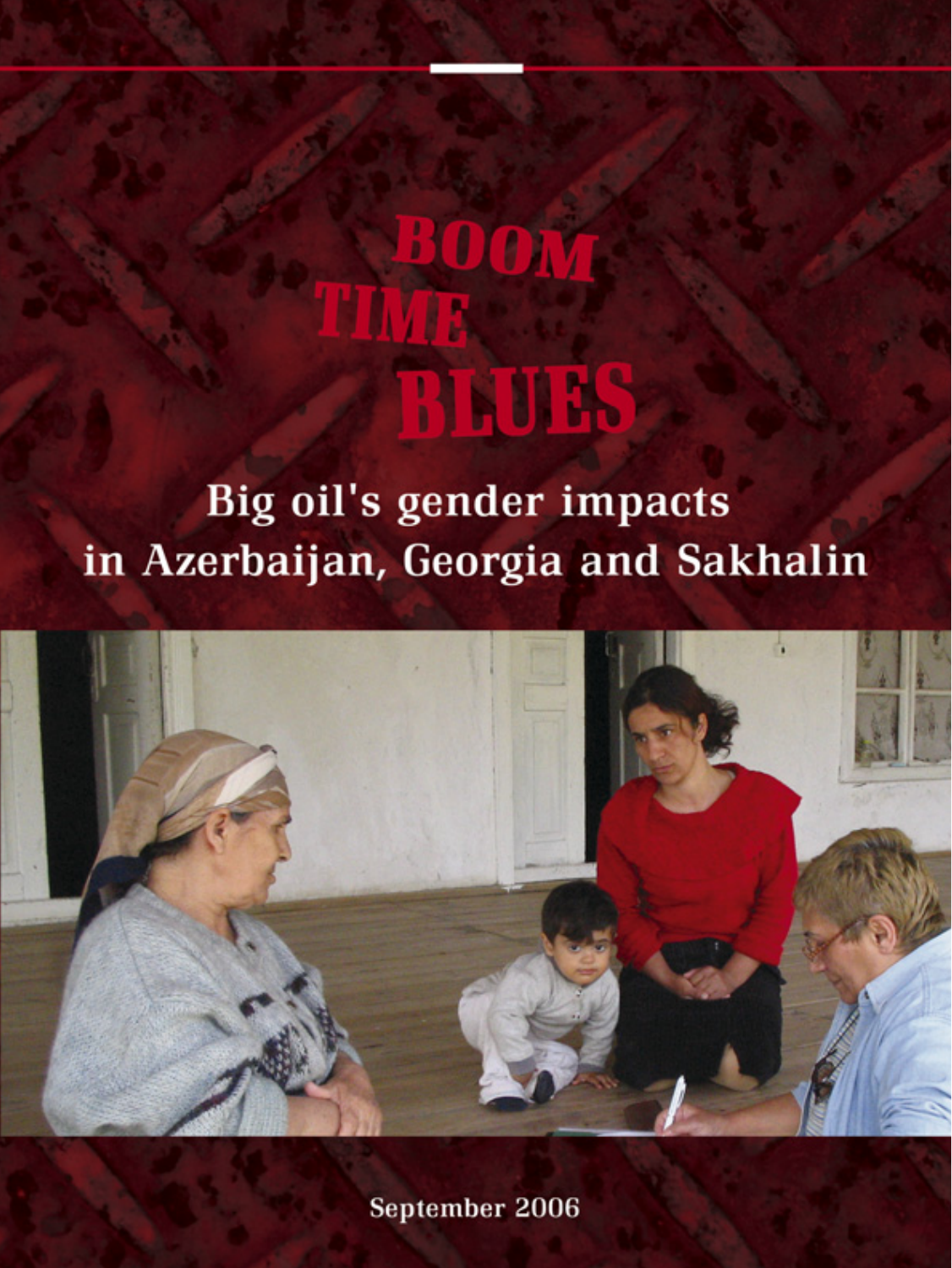# **BOOT BIND**

Big oil's gender impacts in Azerbaijan, Georgia and Sakhalin



September 2006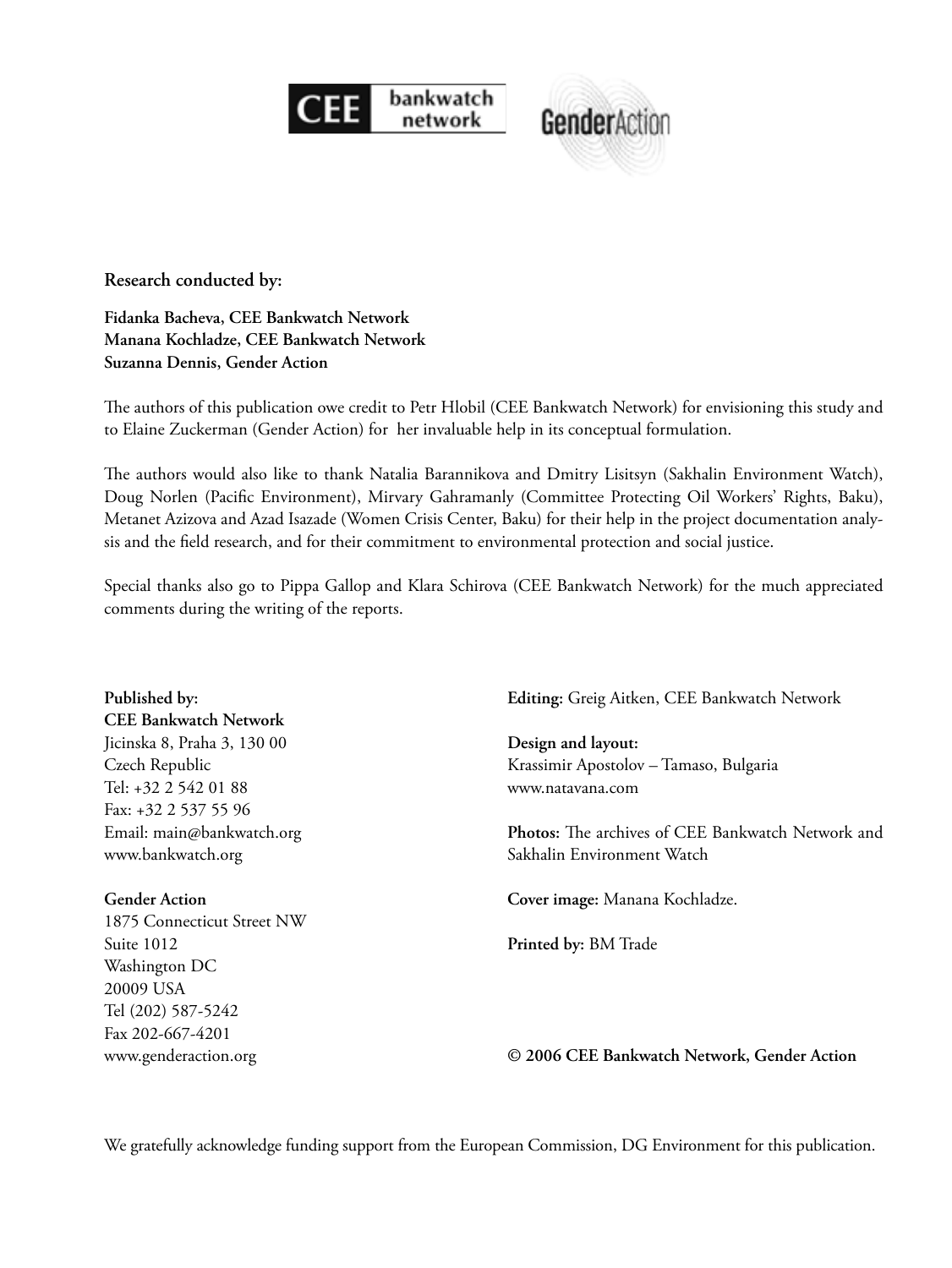



**Research conducted by:** 

**Fidanka Bacheva, CEE Bankwatch Network Manana Kochladze, CEE Bankwatch Network Suzanna Dennis, Gender Action**

The authors of this publication owe credit to Petr Hlobil (CEE Bankwatch Network) for envisioning this study and to Elaine Zuckerman (Gender Action) for her invaluable help in its conceptual formulation.

The authors would also like to thank Natalia Barannikova and Dmitry Lisitsyn (Sakhalin Environment Watch), Doug Norlen (Pacific Environment), Mirvary Gahramanly (Committee Protecting Oil Workers' Rights, Baku), Metanet Azizova and Azad Isazade (Women Crisis Center, Baku) for their help in the project documentation analysis and the field research, and for their commitment to environmental protection and social justice.

Special thanks also go to Pippa Gallop and Klara Schirova (CEE Bankwatch Network) for the much appreciated comments during the writing of the reports.

| Published by:                | Editing: Greig Aitken, CEE Bankwatch Network             |
|------------------------------|----------------------------------------------------------|
| <b>CEE Bankwatch Network</b> |                                                          |
| Jicinska 8, Praha 3, 130 00  | Design and layout:                                       |
| Czech Republic               | Krassimir Apostolov - Tamaso, Bulgaria                   |
| Tel: +32 2 542 01 88         | www.natavana.com                                         |
| Fax: +32 2 537 55 96         |                                                          |
| Email: main@bankwatch.org    | <b>Photos:</b> The archives of CEE Bankwatch Network and |
| www.bankwatch.org            | Sakhalin Environment Watch                               |
| <b>Gender Action</b>         | Cover image: Manana Kochladze.                           |
| 1875 Connecticut Street NW   |                                                          |
| Suite 1012                   | Printed by: BM Trade                                     |
| Washington DC                |                                                          |
| 20009 USA                    |                                                          |
| Tel (202) 587-5242           |                                                          |
| Fax 202-667-4201             |                                                          |
| www.genderaction.org         | © 2006 CEE Bankwatch Network, Gender Action              |

We gratefully acknowledge funding support from the European Commission, DG Environment for this publication.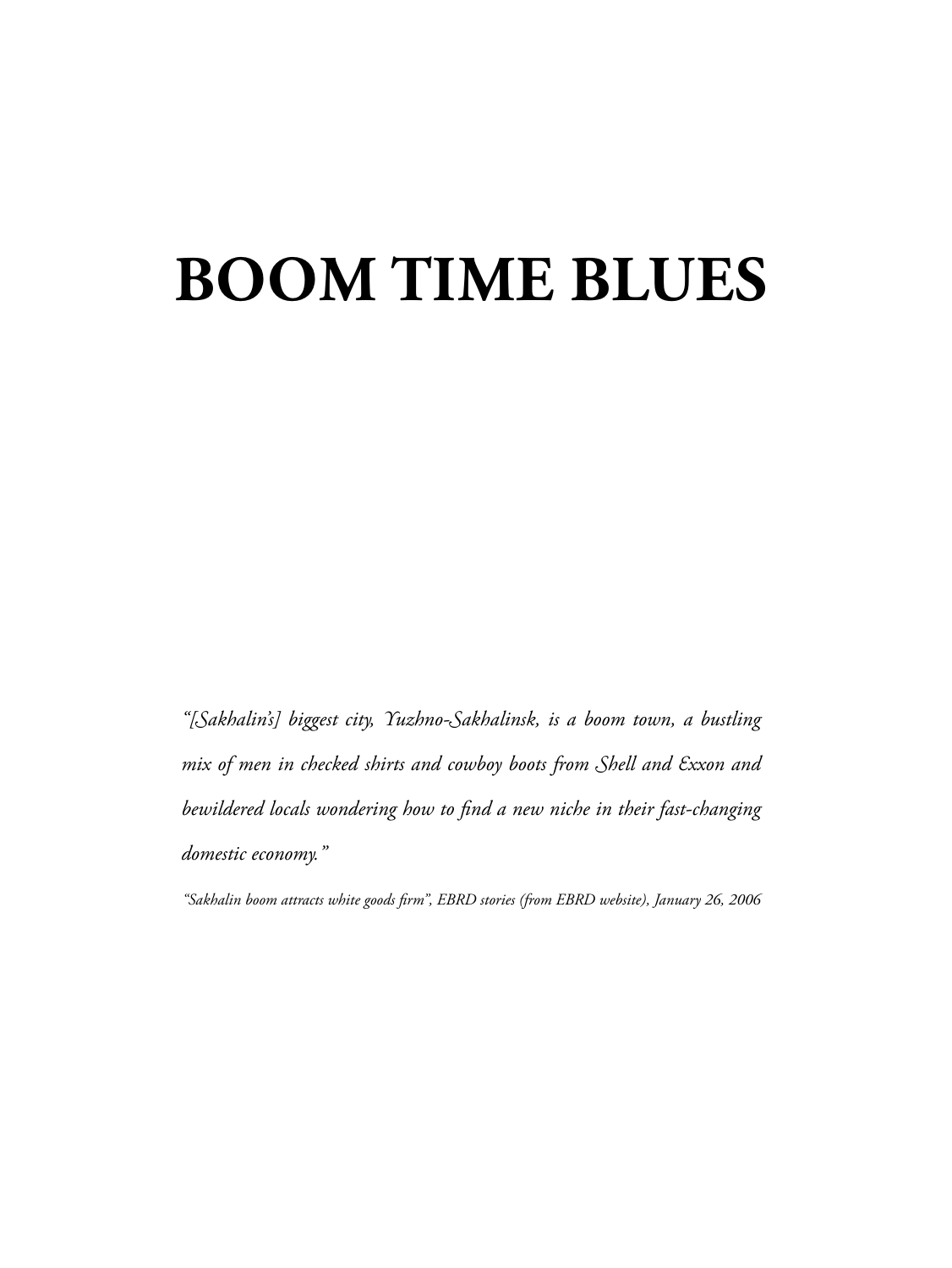## **BOOM TIME BLUES**

*"[Sakhalin's] biggest city, Yuzhno-Sakhalinsk, is a boom town, a bustling mix of men in checked shirts and cowboy boots from Shell and Exxon and*  bewildered locals wondering how to find a new niche in their fast-changing *domestic economy."*

*"Sakhalin boom attracts white goods fi rm", EBRD stories (from EBRD website), January 26, 2006*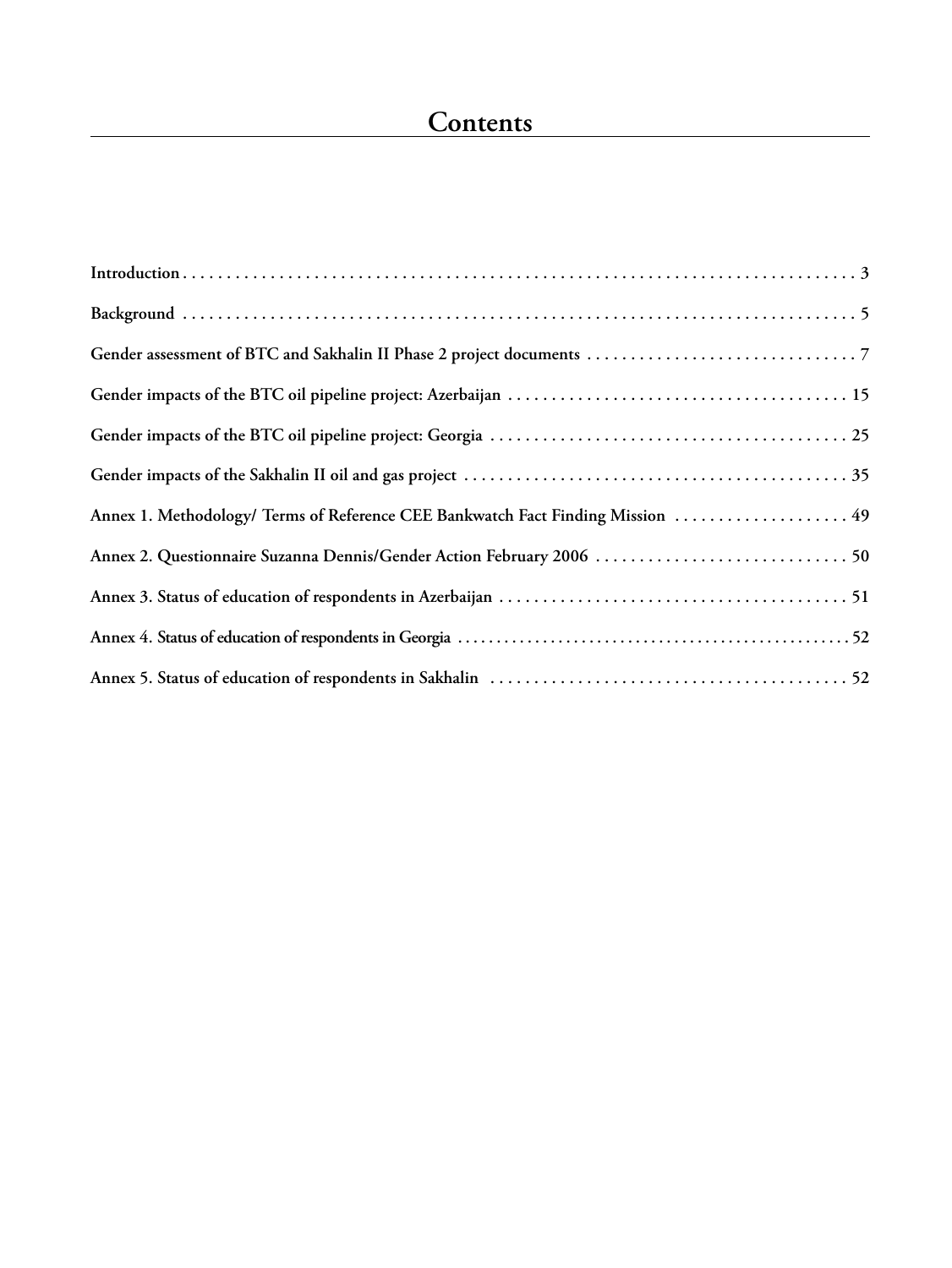| Annex 1. Methodology/ Terms of Reference CEE Bankwatch Fact Finding Mission  49 |
|---------------------------------------------------------------------------------|
|                                                                                 |
|                                                                                 |
|                                                                                 |
|                                                                                 |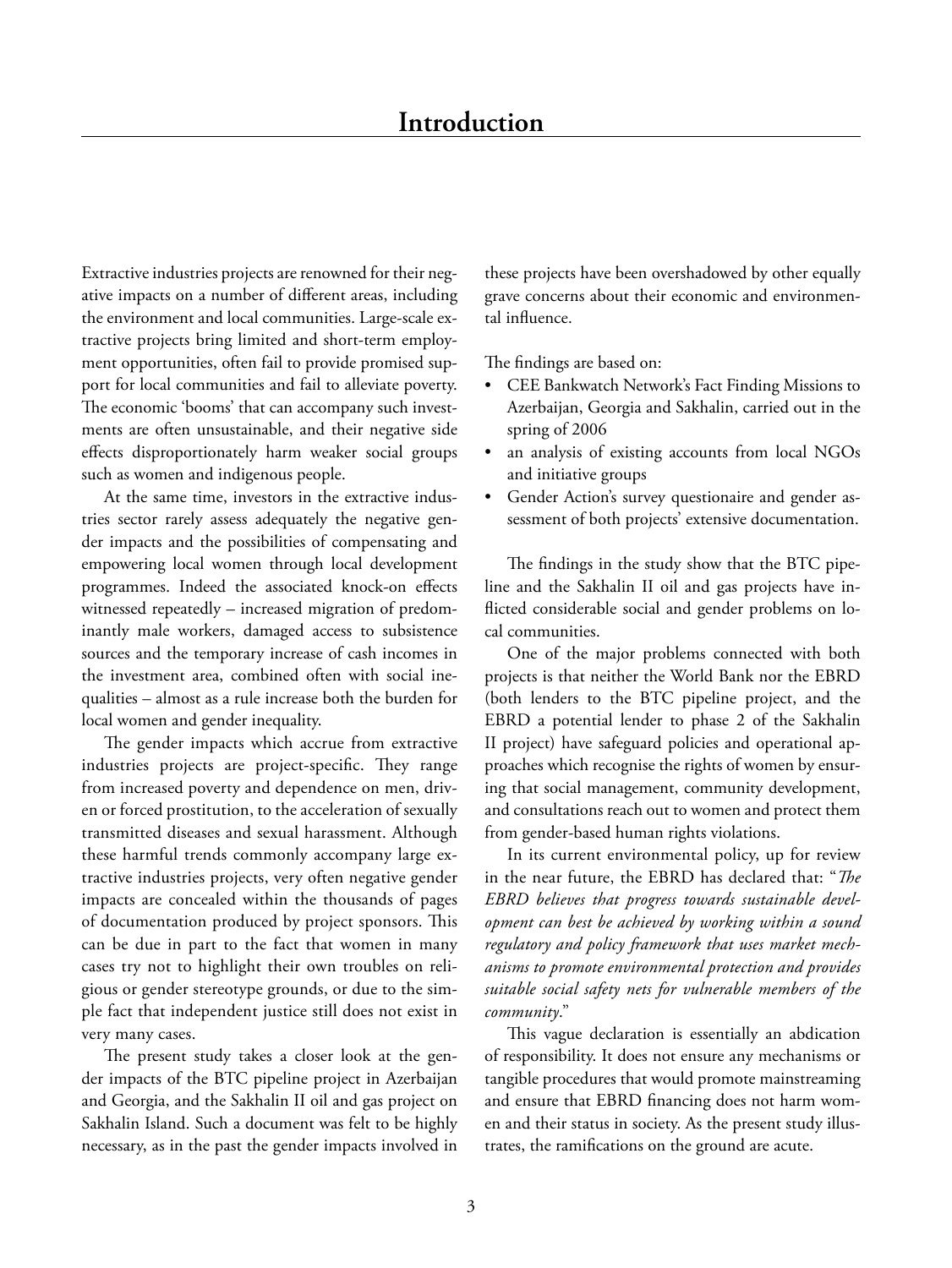#### **Introduction**

Extractive industries projects are renowned for their negative impacts on a number of different areas, including the environment and local communities. Large-scale extractive projects bring limited and short-term employment opportunities, often fail to provide promised support for local communities and fail to alleviate poverty. The economic 'booms' that can accompany such investments are often unsustainable, and their negative side effects disproportionately harm weaker social groups such as women and indigenous people.

At the same time, investors in the extractive industries sector rarely assess adequately the negative gender impacts and the possibilities of compensating and empowering local women through local development programmes. Indeed the associated knock-on effects witnessed repeatedly – increased migration of predominantly male workers, damaged access to subsistence sources and the temporary increase of cash incomes in the investment area, combined often with social inequalities – almost as a rule increase both the burden for local women and gender inequality.

The gender impacts which accrue from extractive industries projects are project-specific. They range from increased poverty and dependence on men, driven or forced prostitution, to the acceleration of sexually transmitted diseases and sexual harassment. Although these harmful trends commonly accompany large extractive industries projects, very often negative gender impacts are concealed within the thousands of pages of documentation produced by project sponsors. This can be due in part to the fact that women in many cases try not to highlight their own troubles on religious or gender stereotype grounds, or due to the simple fact that independent justice still does not exist in very many cases.

The present study takes a closer look at the gender impacts of the BTC pipeline project in Azerbaijan and Georgia, and the Sakhalin II oil and gas project on Sakhalin Island. Such a document was felt to be highly necessary, as in the past the gender impacts involved in

these projects have been overshadowed by other equally grave concerns about their economic and environmental influence.

The findings are based on:

- CEE Bankwatch Network's Fact Finding Missions to Azerbaijan, Georgia and Sakhalin, carried out in the spring of 2006
- an analysis of existing accounts from local NGOs and initiative groups
- Gender Action's survey questionaire and gender assessment of both projects' extensive documentation.

The findings in the study show that the BTC pipeline and the Sakhalin II oil and gas projects have inflicted considerable social and gender problems on local communities.

One of the major problems connected with both projects is that neither the World Bank nor the EBRD (both lenders to the BTC pipeline project, and the EBRD a potential lender to phase 2 of the Sakhalin II project) have safeguard policies and operational approaches which recognise the rights of women by ensuring that social management, community development, and consultations reach out to women and protect them from gender-based human rights violations.

In its current environmental policy, up for review in the near future, the EBRD has declared that: "*The EBRD believes that progress towards sustainable development can best be achieved by working within a sound regulatory and policy framework that uses market mechanisms to promote environmental protection and provides suitable social safety nets for vulnerable members of the community*."

This vague declaration is essentially an abdication of responsibility. It does not ensure any mechanisms or tangible procedures that would promote mainstreaming and ensure that EBRD financing does not harm women and their status in society. As the present study illustrates, the ramifications on the ground are acute.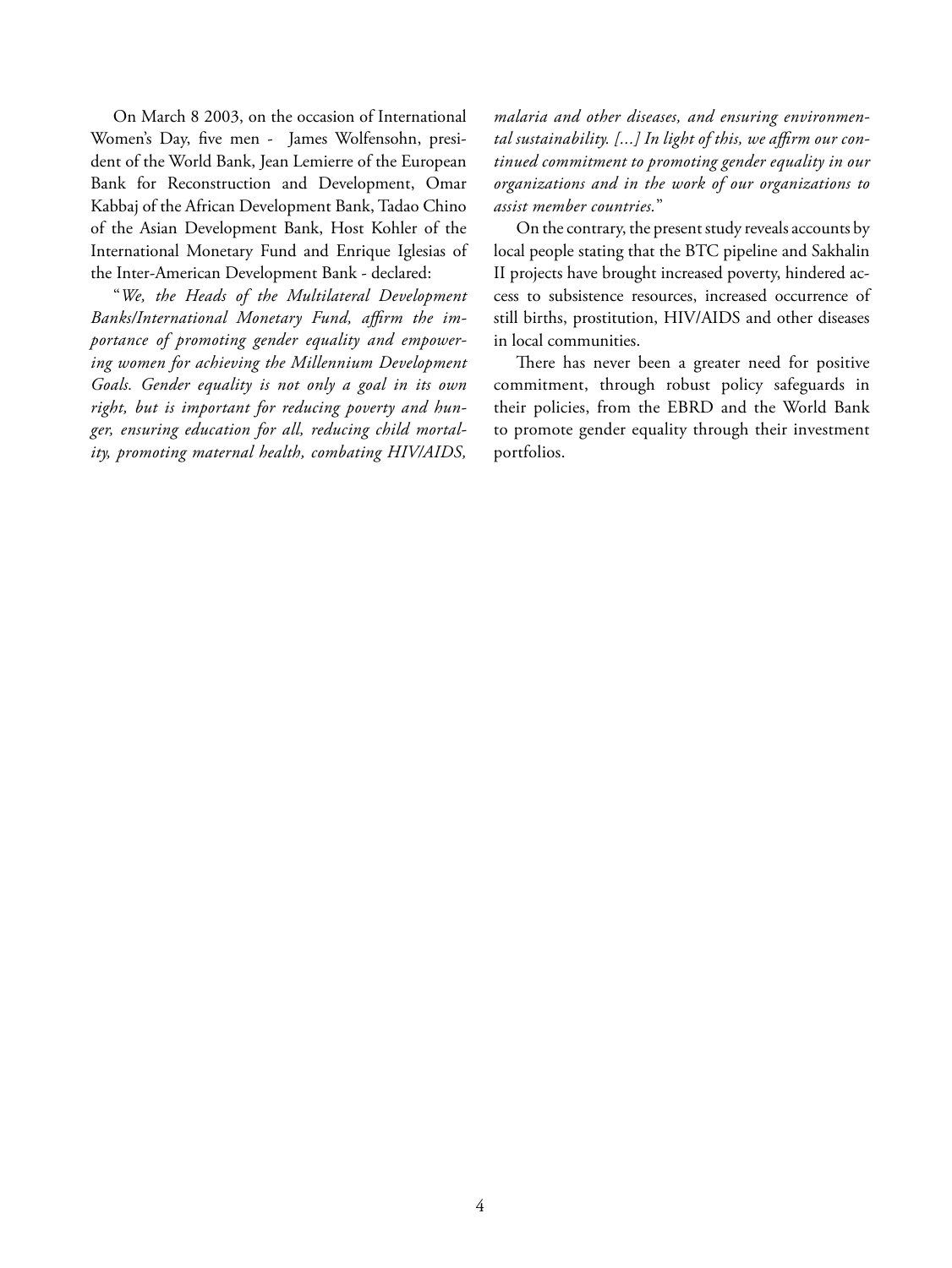On March 8 2003, on the occasion of International Women's Day, five men - James Wolfensohn, president of the World Bank, Jean Lemierre of the European Bank for Reconstruction and Development, Omar Kabbaj of the African Development Bank, Tadao Chino of the Asian Development Bank, Host Kohler of the International Monetary Fund and Enrique Iglesias of the Inter-American Development Bank - declared:

"*We, the Heads of the Multilateral Development*  Banks/International Monetary Fund, affirm the im*portance of promoting gender equality and empowering women for achieving the Millennium Development Goals. Gender equality is not only a goal in its own right, but is important for reducing poverty and hunger, ensuring education for all, reducing child mortality, promoting maternal health, combating HIV/AIDS,* 

*malaria and other diseases, and ensuring environmen*tal sustainability. [...] In light of this, we affirm our con*tinued commitment to promoting gender equality in our organizations and in the work of our organizations to assist member countries.*"

On the contrary, the present study reveals accounts by local people stating that the BTC pipeline and Sakhalin II projects have brought increased poverty, hindered access to subsistence resources, increased occurrence of still births, prostitution, HIV/AIDS and other diseases in local communities.

There has never been a greater need for positive commitment, through robust policy safeguards in their policies, from the EBRD and the World Bank to promote gender equality through their investment portfolios.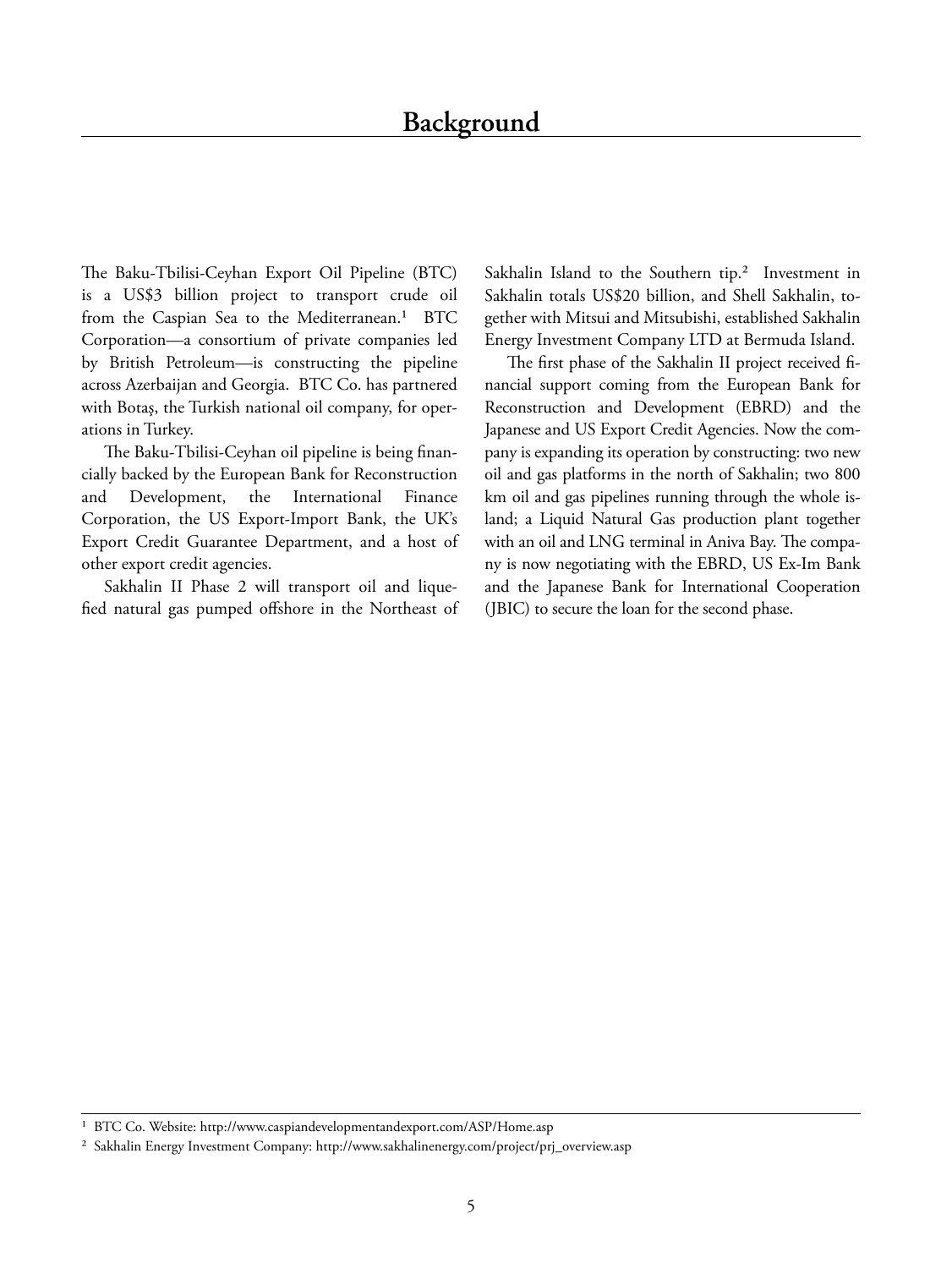The Baku-Tbilisi-Ceyhan Export Oil Pipeline (BTC) is a US\$3 billion project to transport crude oil from the Caspian Sea to the Mediterranean.<sup>1</sup> BTC Corporation—a consortium of private companies led by British Petroleum—is constructing the pipeline across Azerbaijan and Georgia. BTC Co. has partnered with Botaş, the Turkish national oil company, for operations in Turkey.

The Baku-Tbilisi-Ceyhan oil pipeline is being financially backed by the European Bank for Reconstruction and Development, the International Finance Corporation, the US Export-Import Bank, the UK's Export Credit Guarantee Department, and a host of other export credit agencies.

Sakhalin II Phase 2 will transport oil and liquefied natural gas pumped offshore in the Northeast of Sakhalin Island to the Southern tip.<sup>2</sup> Investment in Sakhalin totals US\$20 billion, and Shell Sakhalin, together with Mitsui and Mitsubishi, established Sakhalin Energy Investment Company LTD at Bermuda Island.

The first phase of the Sakhalin II project received financial support coming from the European Bank for Reconstruction and Development (EBRD) and the Japanese and US Export Credit Agencies. Now the company is expanding its operation by constructing: two new oil and gas platforms in the north of Sakhalin; two 800 km oil and gas pipelines running through the whole island; a Liquid Natural Gas production plant together with an oil and LNG terminal in Aniva Bay. The company is now negotiating with the EBRD, US Ex-Im Bank and the Japanese Bank for International Cooperation (JBIC) to secure the loan for the second phase.

<sup>&</sup>lt;sup>1</sup> BTC Co. Website: http://www.caspiandevelopmentandexport.com/ASP/Home.asp

² Sakhalin Energy Investment Company: http://www.sakhalinenergy.com/project/prj\_overview.asp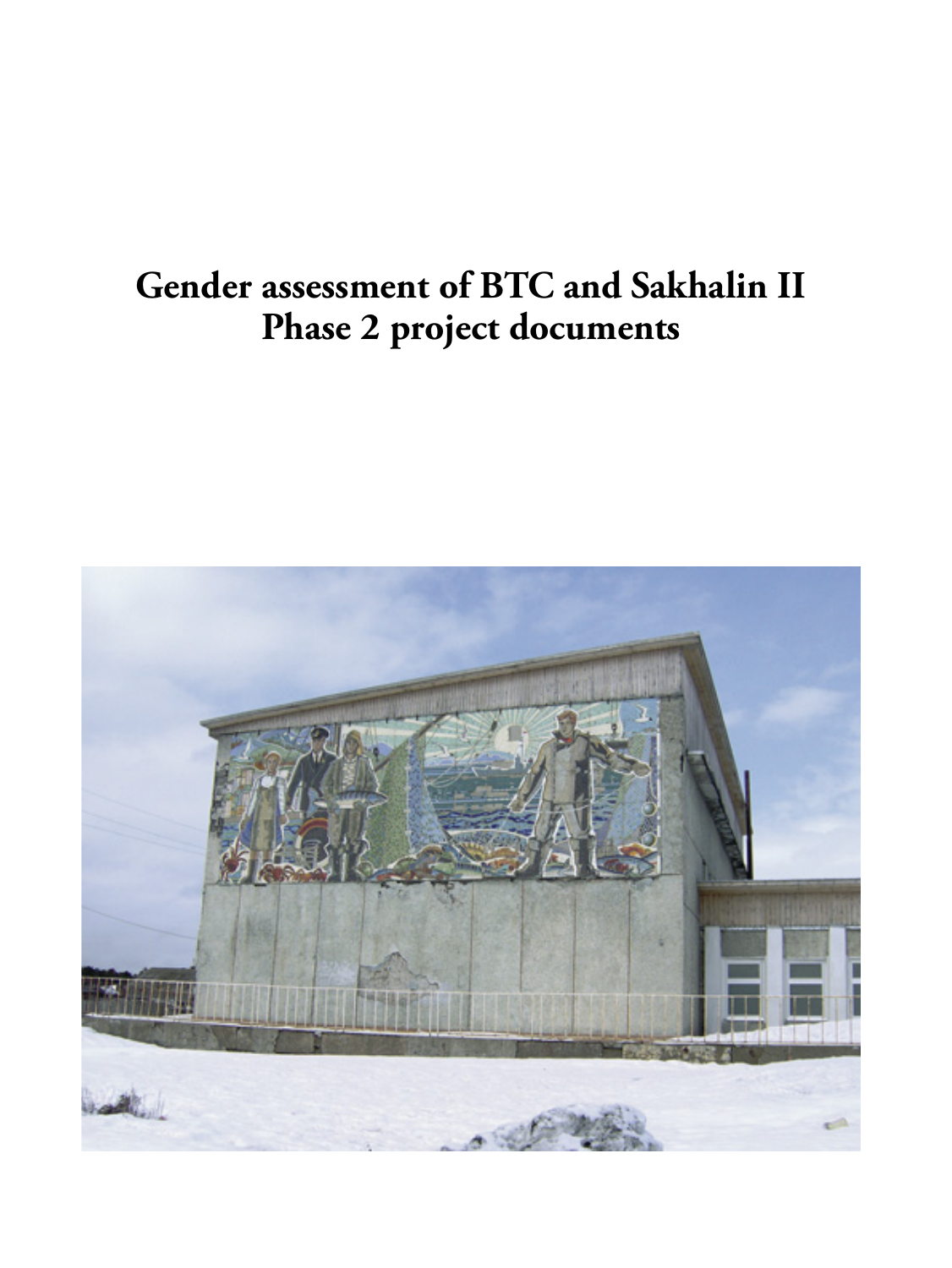## **Gender assessment of BTC and Sakhalin II Phase 2 project documents**

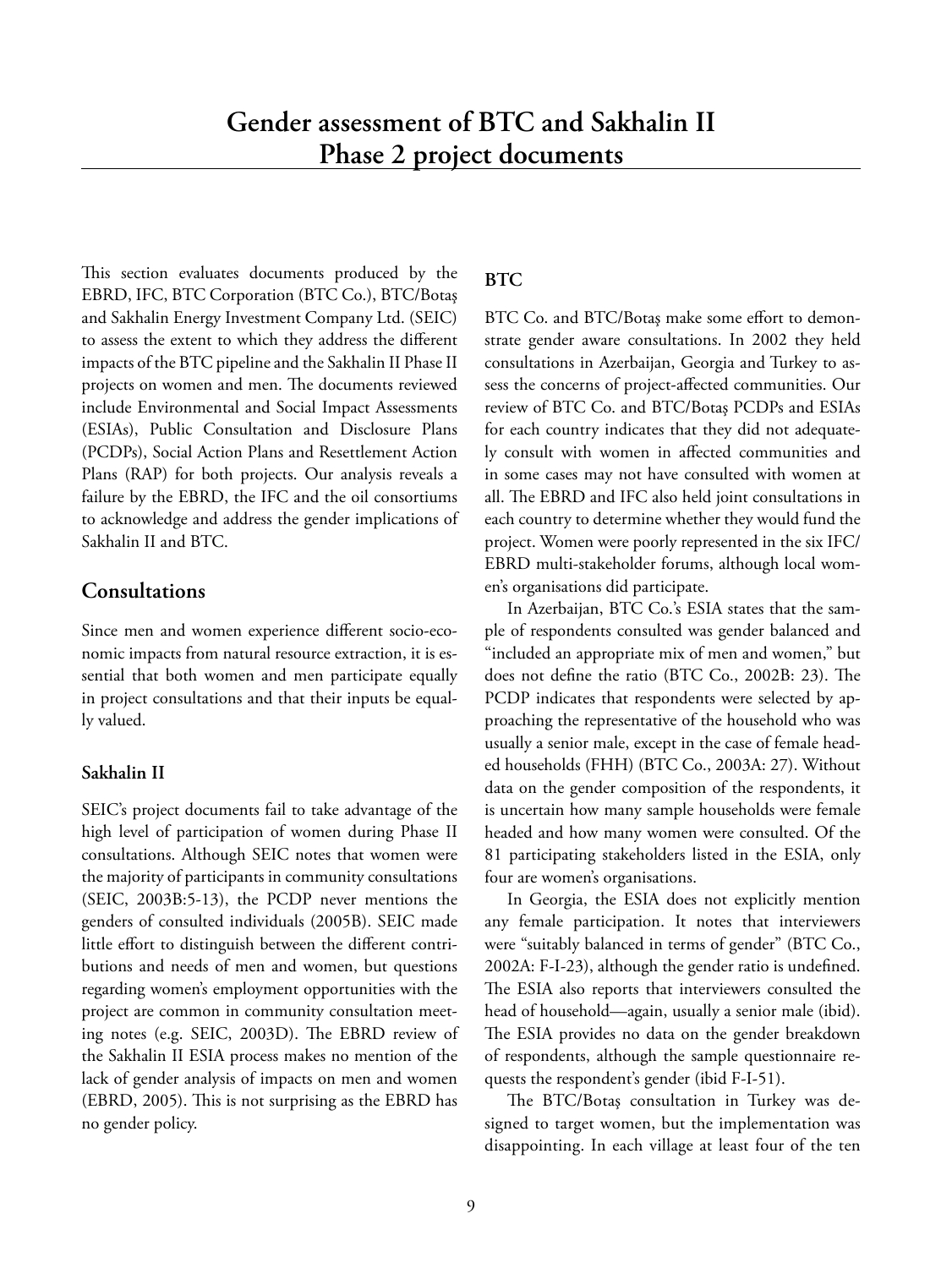This section evaluates documents produced by the EBRD, IFC, BTC Corporation (BTC Co.), BTC/Botaş and Sakhalin Energy Investment Company Ltd. (SEIC) to assess the extent to which they address the different impacts of the BTC pipeline and the Sakhalin II Phase II projects on women and men. The documents reviewed include Environmental and Social Impact Assessments (ESIAs), Public Consultation and Disclosure Plans (PCDPs), Social Action Plans and Resettlement Action Plans (RAP) for both projects. Our analysis reveals a failure by the EBRD, the IFC and the oil consortiums to acknowledge and address the gender implications of Sakhalin II and BTC.

#### **Consultations**

Since men and women experience different socio-economic impacts from natural resource extraction, it is essential that both women and men participate equally in project consultations and that their inputs be equally valued.

#### **Sakhalin II**

SEIC's project documents fail to take advantage of the high level of participation of women during Phase II consultations. Although SEIC notes that women were the majority of participants in community consultations (SEIC, 2003B:5-13), the PCDP never mentions the genders of consulted individuals (2005B). SEIC made little effort to distinguish between the different contributions and needs of men and women, but questions regarding women's employment opportunities with the project are common in community consultation meeting notes (e.g. SEIC, 2003D). The EBRD review of the Sakhalin II ESIA process makes no mention of the lack of gender analysis of impacts on men and women (EBRD, 2005). This is not surprising as the EBRD has no gender policy.

#### **BTC**

BTC Co. and BTC/Botaş make some effort to demonstrate gender aware consultations. In 2002 they held consultations in Azerbaijan, Georgia and Turkey to assess the concerns of project-affected communities. Our review of BTC Co. and BTC/Botaş PCDPs and ESIAs for each country indicates that they did not adequately consult with women in affected communities and in some cases may not have consulted with women at all. The EBRD and IFC also held joint consultations in each country to determine whether they would fund the project. Women were poorly represented in the six IFC/ EBRD multi-stakeholder forums, although local women's organisations did participate.

In Azerbaijan, BTC Co.'s ESIA states that the sample of respondents consulted was gender balanced and "included an appropriate mix of men and women," but does not define the ratio (BTC Co., 2002B: 23). The PCDP indicates that respondents were selected by approaching the representative of the household who was usually a senior male, except in the case of female headed households (FHH) (BTC Co., 2003A: 27). Without data on the gender composition of the respondents, it is uncertain how many sample households were female headed and how many women were consulted. Of the 81 participating stakeholders listed in the ESIA, only four are women's organisations.

In Georgia, the ESIA does not explicitly mention any female participation. It notes that interviewers were "suitably balanced in terms of gender" (BTC Co., 2002A: F-I-23), although the gender ratio is undefined. The ESIA also reports that interviewers consulted the head of household—again, usually a senior male (ibid). The ESIA provides no data on the gender breakdown of respondents, although the sample questionnaire requests the respondent's gender (ibid F-I-51).

The BTC/Botaş consultation in Turkey was designed to target women, but the implementation was disappointing. In each village at least four of the ten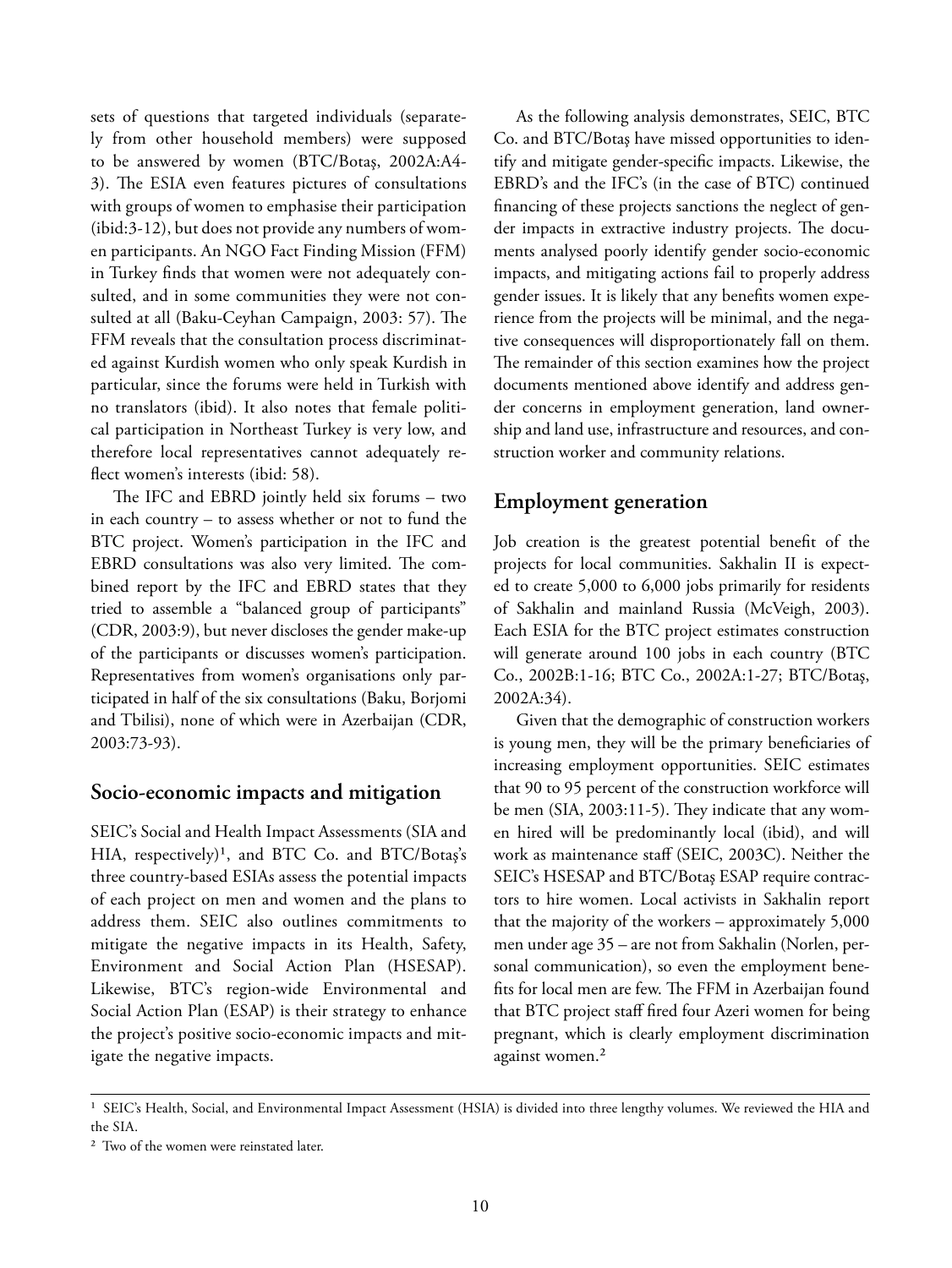sets of questions that targeted individuals (separately from other household members) were supposed to be answered by women (BTC/Botaş, 2002A:A4- 3). The ESIA even features pictures of consultations with groups of women to emphasise their participation (ibid:3-12), but does not provide any numbers of women participants. An NGO Fact Finding Mission (FFM) in Turkey finds that women were not adequately consulted, and in some communities they were not consulted at all (Baku-Ceyhan Campaign, 2003: 57). The FFM reveals that the consultation process discriminated against Kurdish women who only speak Kurdish in particular, since the forums were held in Turkish with no translators (ibid). It also notes that female political participation in Northeast Turkey is very low, and therefore local representatives cannot adequately reflect women's interests (ibid: 58).

The IFC and EBRD jointly held six forums - two in each country – to assess whether or not to fund the BTC project. Women's participation in the IFC and EBRD consultations was also very limited. The combined report by the IFC and EBRD states that they tried to assemble a "balanced group of participants" (CDR, 2003:9), but never discloses the gender make-up of the participants or discusses women's participation. Representatives from women's organisations only participated in half of the six consultations (Baku, Borjomi and Tbilisi), none of which were in Azerbaijan (CDR, 2003:73-93).

#### **Socio-economic impacts and mitigation**

SEIC's Social and Health Impact Assessments (SIA and HIA, respectively)<sup>1</sup>, and BTC Co. and BTC/Botaş's three country-based ESIAs assess the potential impacts of each project on men and women and the plans to address them. SEIC also outlines commitments to mitigate the negative impacts in its Health, Safety, Environment and Social Action Plan (HSESAP). Likewise, BTC's region-wide Environmental and Social Action Plan (ESAP) is their strategy to enhance the project's positive socio-economic impacts and mitigate the negative impacts.

As the following analysis demonstrates, SEIC, BTC Co. and BTC/Botaş have missed opportunities to identify and mitigate gender-specific impacts. Likewise, the EBRD's and the IFC's (in the case of BTC) continued financing of these projects sanctions the neglect of gender impacts in extractive industry projects. The documents analysed poorly identify gender socio-economic impacts, and mitigating actions fail to properly address gender issues. It is likely that any benefits women experience from the projects will be minimal, and the negative consequences will disproportionately fall on them. The remainder of this section examines how the project documents mentioned above identify and address gender concerns in employment generation, land ownership and land use, infrastructure and resources, and construction worker and community relations.

#### **Employment generation**

Job creation is the greatest potential benefit of the projects for local communities. Sakhalin II is expected to create 5,000 to 6,000 jobs primarily for residents of Sakhalin and mainland Russia (McVeigh, 2003). Each ESIA for the BTC project estimates construction will generate around 100 jobs in each country (BTC Co., 2002B:1-16; BTC Co., 2002A:1-27; BTC/Botaş, 2002A:34).

Given that the demographic of construction workers is young men, they will be the primary beneficiaries of increasing employment opportunities. SEIC estimates that 90 to 95 percent of the construction workforce will be men  $(SIA, 2003:11-5)$ . They indicate that any women hired will be predominantly local (ibid), and will work as maintenance staff (SEIC, 2003C). Neither the SEIC's HSESAP and BTC/Botaş ESAP require contractors to hire women. Local activists in Sakhalin report that the majority of the workers – approximately 5,000 men under age 35 – are not from Sakhalin (Norlen, personal communication), so even the employment benefits for local men are few. The FFM in Azerbaijan found that BTC project staff fired four Azeri women for being pregnant, which is clearly employment discrimination against women.<sup>2</sup>

<sup>&</sup>lt;sup>1</sup> SEIC's Health, Social, and Environmental Impact Assessment (HSIA) is divided into three lengthy volumes. We reviewed the HIA and the SIA.

<sup>&</sup>lt;sup>2</sup> Two of the women were reinstated later.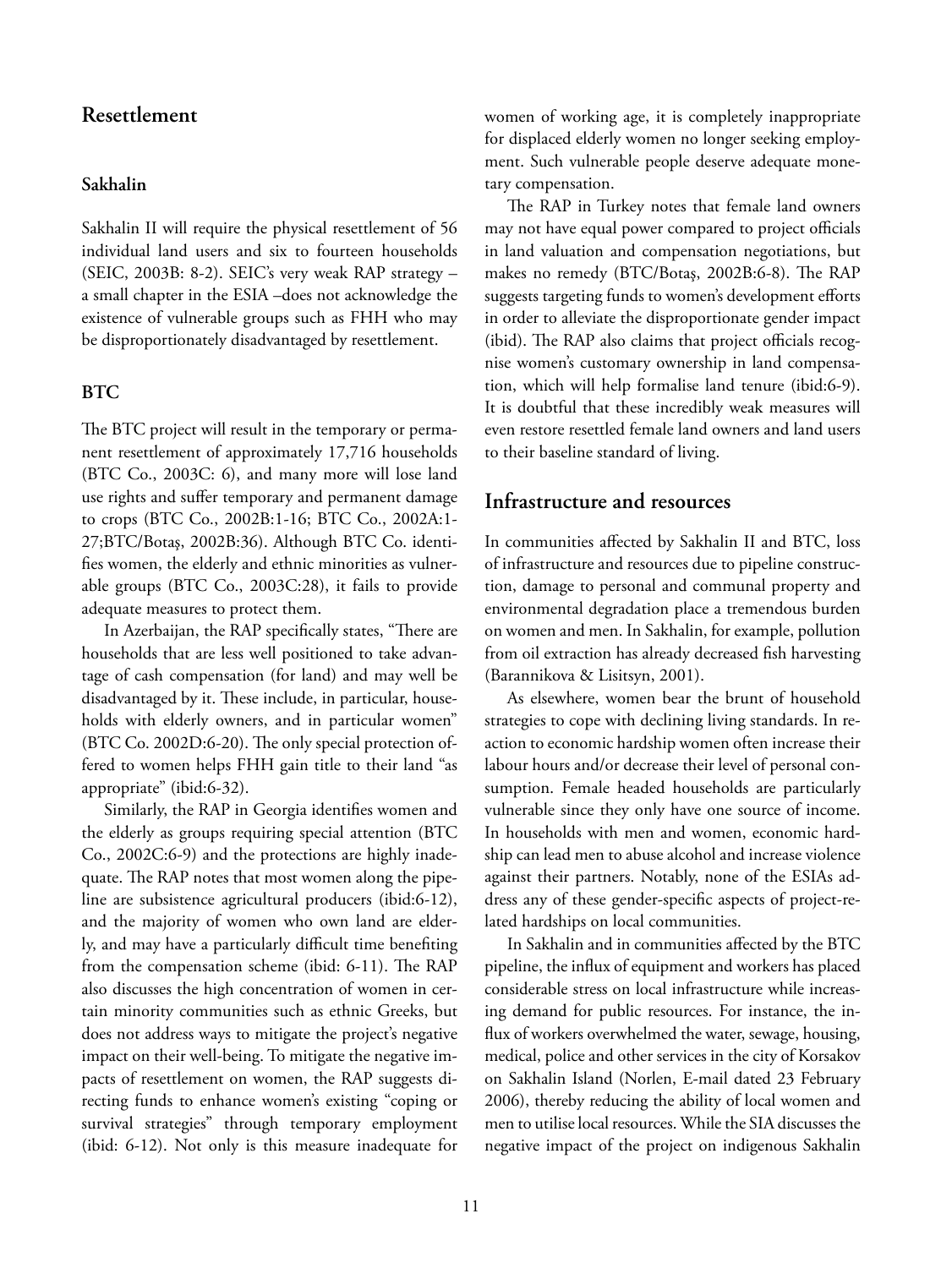#### **Resettlement**

#### **Sakhalin**

Sakhalin II will require the physical resettlement of 56 individual land users and six to fourteen households (SEIC, 2003B: 8-2). SEIC's very weak RAP strategy – a small chapter in the ESIA –does not acknowledge the existence of vulnerable groups such as FHH who may be disproportionately disadvantaged by resettlement.

#### **BTC**

The BTC project will result in the temporary or permanent resettlement of approximately 17,716 households (BTC Co., 2003C: 6), and many more will lose land use rights and suffer temporary and permanent damage to crops (BTC Co., 2002B:1-16; BTC Co., 2002A:1- 27;BTC/Botaş, 2002B:36). Although BTC Co. identifies women, the elderly and ethnic minorities as vulnerable groups (BTC Co., 2003C:28), it fails to provide adequate measures to protect them.

In Azerbaijan, the RAP specifically states, "There are households that are less well positioned to take advantage of cash compensation (for land) and may well be disadvantaged by it. These include, in particular, households with elderly owners, and in particular women" (BTC Co. 2002D:6-20). The only special protection offered to women helps FHH gain title to their land "as appropriate" (ibid:6-32).

Similarly, the RAP in Georgia identifies women and the elderly as groups requiring special attention (BTC Co., 2002C:6-9) and the protections are highly inadequate. The RAP notes that most women along the pipeline are subsistence agricultural producers (ibid:6-12), and the majority of women who own land are elderly, and may have a particularly difficult time benefiting from the compensation scheme (ibid: 6-11). The RAP also discusses the high concentration of women in certain minority communities such as ethnic Greeks, but does not address ways to mitigate the project's negative impact on their well-being. To mitigate the negative impacts of resettlement on women, the RAP suggests directing funds to enhance women's existing "coping or survival strategies" through temporary employment (ibid: 6-12). Not only is this measure inadequate for women of working age, it is completely inappropriate for displaced elderly women no longer seeking employment. Such vulnerable people deserve adequate monetary compensation.

The RAP in Turkey notes that female land owners may not have equal power compared to project officials in land valuation and compensation negotiations, but makes no remedy (BTC/Botaş, 2002B:6-8). The RAP suggests targeting funds to women's development efforts in order to alleviate the disproportionate gender impact (ibid). The RAP also claims that project officials recognise women's customary ownership in land compensation, which will help formalise land tenure (ibid:6-9). It is doubtful that these incredibly weak measures will even restore resettled female land owners and land users to their baseline standard of living.

#### **Infrastructure and resources**

In communities affected by Sakhalin II and BTC, loss of infrastructure and resources due to pipeline construction, damage to personal and communal property and environmental degradation place a tremendous burden on women and men. In Sakhalin, for example, pollution from oil extraction has already decreased fish harvesting (Barannikova & Lisitsyn, 2001).

As elsewhere, women bear the brunt of household strategies to cope with declining living standards. In reaction to economic hardship women often increase their labour hours and/or decrease their level of personal consumption. Female headed households are particularly vulnerable since they only have one source of income. In households with men and women, economic hardship can lead men to abuse alcohol and increase violence against their partners. Notably, none of the ESIAs address any of these gender-specific aspects of project-related hardships on local communities.

In Sakhalin and in communities affected by the BTC pipeline, the influx of equipment and workers has placed considerable stress on local infrastructure while increasing demand for public resources. For instance, the influx of workers overwhelmed the water, sewage, housing, medical, police and other services in the city of Korsakov on Sakhalin Island (Norlen, E-mail dated 23 February 2006), thereby reducing the ability of local women and men to utilise local resources. While the SIA discusses the negative impact of the project on indigenous Sakhalin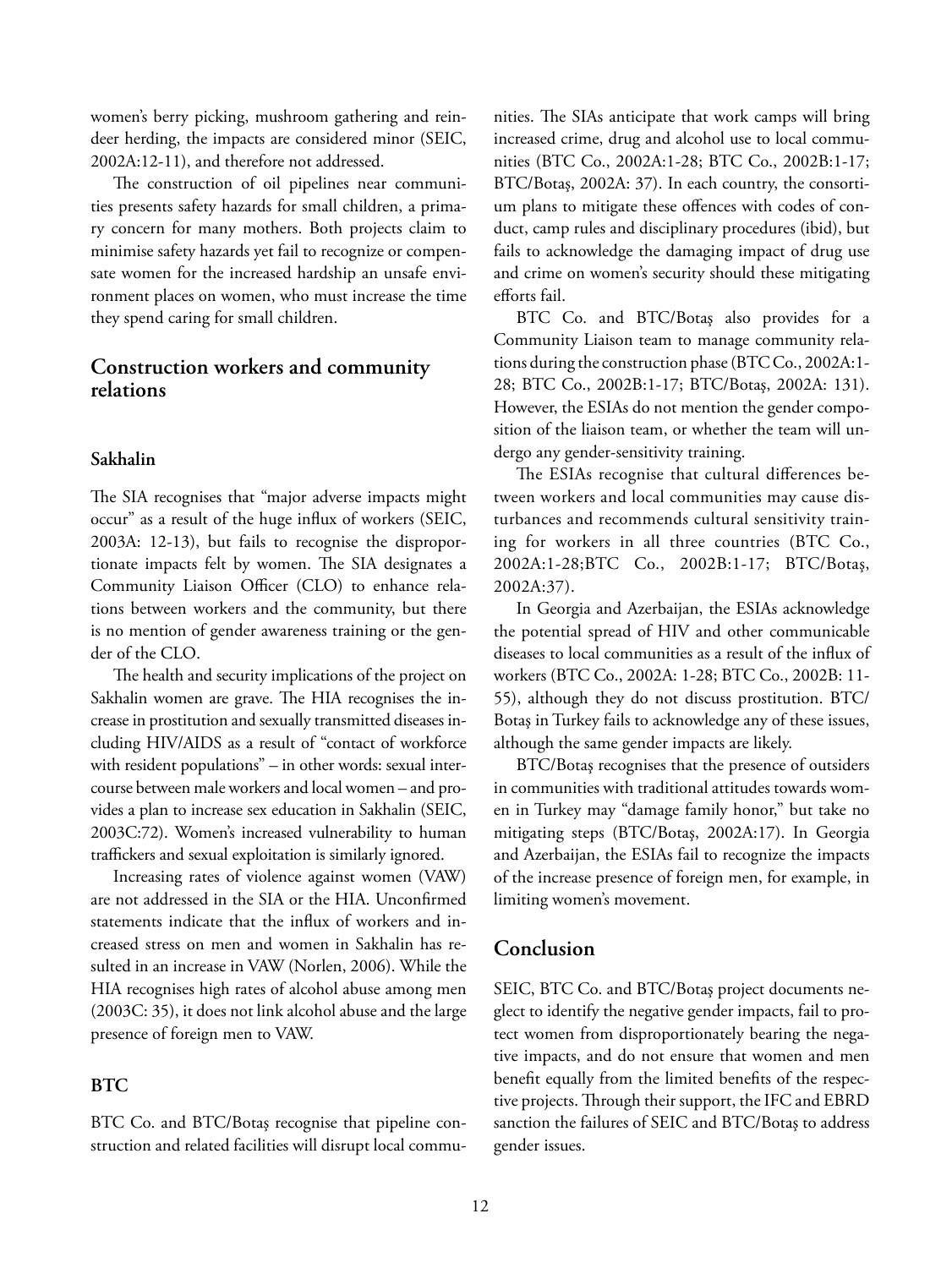women's berry picking, mushroom gathering and reindeer herding, the impacts are considered minor (SEIC, 2002A:12-11), and therefore not addressed.

The construction of oil pipelines near communities presents safety hazards for small children, a primary concern for many mothers. Both projects claim to minimise safety hazards yet fail to recognize or compensate women for the increased hardship an unsafe environment places on women, who must increase the time they spend caring for small children.

#### **Construction workers and community relations**

#### **Sakhalin**

The SIA recognises that "major adverse impacts might occur" as a result of the huge influx of workers (SEIC, 2003A: 12-13), but fails to recognise the disproportionate impacts felt by women. The SIA designates a Community Liaison Officer (CLO) to enhance relations between workers and the community, but there is no mention of gender awareness training or the gender of the CLO.

The health and security implications of the project on Sakhalin women are grave. The HIA recognises the increase in prostitution and sexually transmitted diseases including HIV/AIDS as a result of "contact of workforce with resident populations" – in other words: sexual intercourse between male workers and local women – and provides a plan to increase sex education in Sakhalin (SEIC, 2003C:72). Women's increased vulnerability to human traffickers and sexual exploitation is similarly ignored.

Increasing rates of violence against women (VAW) are not addressed in the SIA or the HIA. Unconfirmed statements indicate that the influx of workers and increased stress on men and women in Sakhalin has resulted in an increase in VAW (Norlen, 2006). While the HIA recognises high rates of alcohol abuse among men (2003C: 35), it does not link alcohol abuse and the large presence of foreign men to VAW.

#### **BTC**

BTC Co. and BTC/Botaş recognise that pipeline construction and related facilities will disrupt local commu-

nities. The SIAs anticipate that work camps will bring increased crime, drug and alcohol use to local communities (BTC Co., 2002A:1-28; BTC Co., 2002B:1-17; BTC/Botaş, 2002A: 37). In each country, the consortium plans to mitigate these offences with codes of conduct, camp rules and disciplinary procedures (ibid), but fails to acknowledge the damaging impact of drug use and crime on women's security should these mitigating efforts fail.

BTC Co. and BTC/Botaş also provides for a Community Liaison team to manage community relations during the construction phase (BTC Co., 2002A:1- 28; BTC Co., 2002B:1-17; BTC/Botaş, 2002A: 131). However, the ESIAs do not mention the gender composition of the liaison team, or whether the team will undergo any gender-sensitivity training.

The ESIAs recognise that cultural differences between workers and local communities may cause disturbances and recommends cultural sensitivity training for workers in all three countries (BTC Co., 2002A:1-28;BTC Co., 2002B:1-17; BTC/Botaş, 2002A:37).

In Georgia and Azerbaijan, the ESIAs acknowledge the potential spread of HIV and other communicable diseases to local communities as a result of the influx of workers (BTC Co., 2002A: 1-28; BTC Co., 2002B: 11- 55), although they do not discuss prostitution. BTC/ Botaş in Turkey fails to acknowledge any of these issues, although the same gender impacts are likely.

BTC/Botaş recognises that the presence of outsiders in communities with traditional attitudes towards women in Turkey may "damage family honor," but take no mitigating steps (BTC/Botaş, 2002A:17). In Georgia and Azerbaijan, the ESIAs fail to recognize the impacts of the increase presence of foreign men, for example, in limiting women's movement.

#### **Conclusion**

SEIC, BTC Co. and BTC/Botaş project documents neglect to identify the negative gender impacts, fail to protect women from disproportionately bearing the negative impacts, and do not ensure that women and men benefit equally from the limited benefits of the respective projects. Through their support, the IFC and EBRD sanction the failures of SEIC and BTC/Botaş to address gender issues.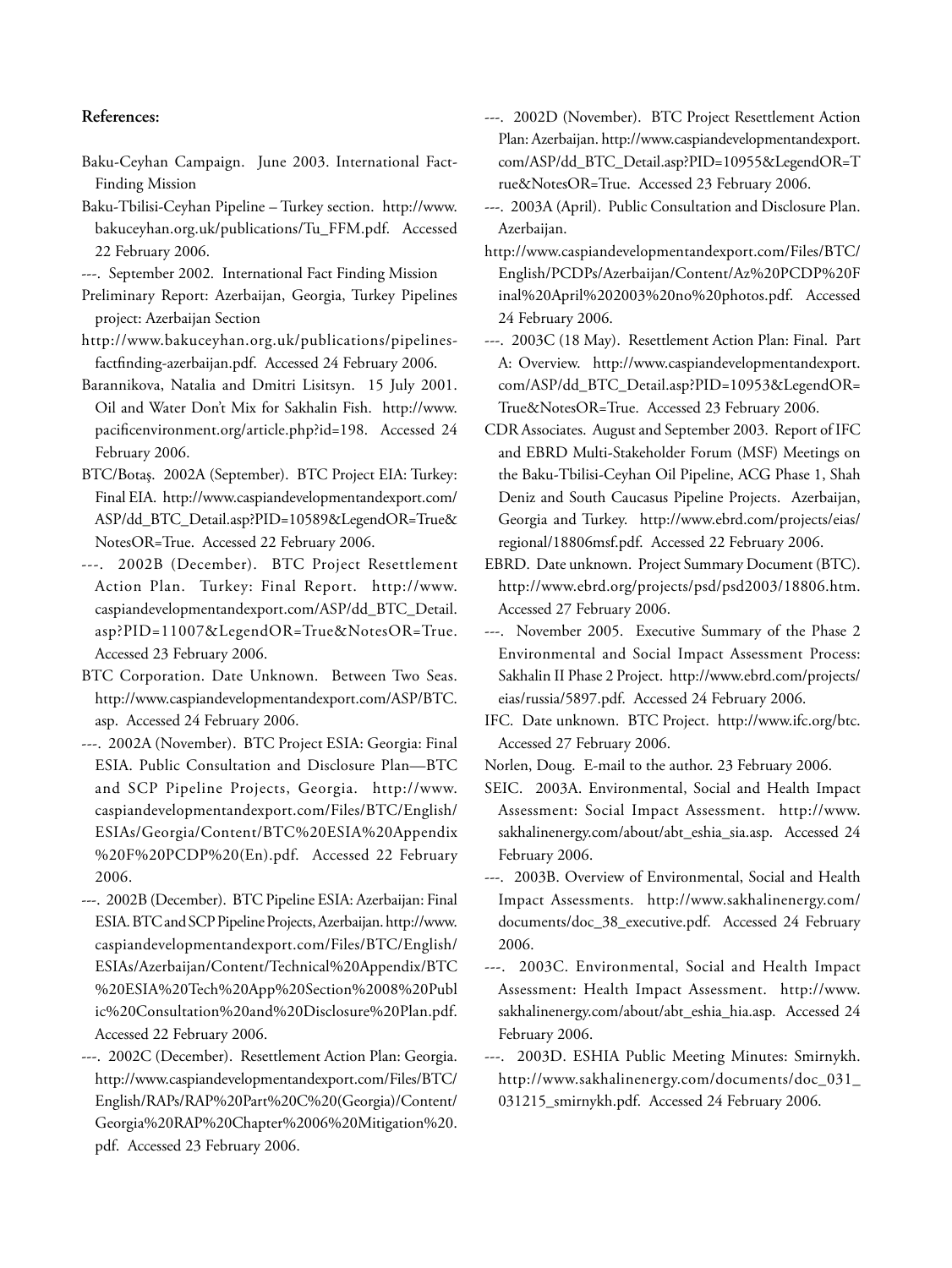#### **References:**

Baku-Ceyhan Campaign. June 2003. International Fact-Finding Mission

Baku-Tbilisi-Ceyhan Pipeline – Turkey section. http://www. bakuceyhan.org.uk/publications/Tu\_FFM.pdf. Accessed 22 February 2006.

- ---. September 2002. International Fact Finding Mission
- Preliminary Report: Azerbaijan, Georgia, Turkey Pipelines project: Azerbaijan Section
- http://www.bakuceyhan.org.uk/publications/pipelinesfactfinding-azerbaijan.pdf. Accessed 24 February 2006.
- Barannikova, Natalia and Dmitri Lisitsyn. 15 July 2001. Oil and Water Don't Mix for Sakhalin Fish. http://www. pacificenvironment.org/article.php?id=198. Accessed 24 February 2006.
- BTC/Botaş. 2002A (September). BTC Project EIA: Turkey: Final EIA. http://www.caspiandevelopmentandexport.com/ ASP/dd\_BTC\_Detail.asp?PID=10589&LegendOR=True& NotesOR=True. Accessed 22 February 2006.
- ---. 2002B (December). BTC Project Resettlement Action Plan. Turkey: Final Report. http://www. caspiandevelopmentandexport.com/ASP/dd\_BTC\_Detail. asp?PID=11007&LegendOR=True&NotesOR=True. Accessed 23 February 2006.
- BTC Corporation. Date Unknown. Between Two Seas. http://www.caspiandevelopmentandexport.com/ASP/BTC. asp. Accessed 24 February 2006.
- ---. 2002A (November). BTC Project ESIA: Georgia: Final ESIA. Public Consultation and Disclosure Plan—BTC and SCP Pipeline Projects, Georgia. http://www. caspiandevelopmentandexport.com/Files/BTC/English/ ESIAs/Georgia/Content/BTC%20ESIA%20Appendix %20F%20PCDP%20(En).pdf. Accessed 22 February 2006.
- ---. 2002B (December). BTC Pipeline ESIA: Azerbaijan: Final ESIA. BTC and SCP Pipeline Projects, Azerbaijan. http://www. caspiandevelopmentandexport.com/Files/BTC/English/ ESIAs/Azerbaijan/Content/Technical%20Appendix/BTC %20ESIA%20Tech%20App%20Section%2008%20Publ ic%20Consultation%20and%20Disclosure%20Plan.pdf. Accessed 22 February 2006.
- ---. 2002C (December). Resettlement Action Plan: Georgia. http://www.caspiandevelopmentandexport.com/Files/BTC/ English/RAPs/RAP%20Part%20C%20(Georgia)/Content/ Georgia%20RAP%20Chapter%2006%20Mitigation%20. pdf. Accessed 23 February 2006.
- ---. 2002D (November). BTC Project Resettlement Action Plan: Azerbaijan. http://www.caspiandevelopmentandexport. com/ASP/dd\_BTC\_Detail.asp?PID=10955&LegendOR=T rue&NotesOR=True. Accessed 23 February 2006.
- ---. 2003A (April). Public Consultation and Disclosure Plan. Azerbaijan.
- http://www.caspiandevelopmentandexport.com/Files/BTC/ English/PCDPs/Azerbaijan/Content/Az%20PCDP%20F inal%20April%202003%20no%20photos.pdf. Accessed 24 February 2006.
- ---. 2003C (18 May). Resettlement Action Plan: Final. Part A: Overview. http://www.caspiandevelopmentandexport. com/ASP/dd\_BTC\_Detail.asp?PID=10953&LegendOR= True&NotesOR=True. Accessed 23 February 2006.
- CDR Associates. August and September 2003. Report of IFC and EBRD Multi-Stakeholder Forum (MSF) Meetings on the Baku-Tbilisi-Ceyhan Oil Pipeline, ACG Phase 1, Shah Deniz and South Caucasus Pipeline Projects. Azerbaijan, Georgia and Turkey. http://www.ebrd.com/projects/eias/ regional/18806msf.pdf. Accessed 22 February 2006.
- EBRD. Date unknown. Project Summary Document (BTC). http://www.ebrd.org/projects/psd/psd2003/18806.htm. Accessed 27 February 2006.
- ---. November 2005. Executive Summary of the Phase 2 Environmental and Social Impact Assessment Process: Sakhalin II Phase 2 Project. http://www.ebrd.com/projects/ eias/russia/5897.pdf. Accessed 24 February 2006.
- IFC. Date unknown. BTC Project. http://www.ifc.org/btc. Accessed 27 February 2006.
- Norlen, Doug. E-mail to the author. 23 February 2006.
- SEIC. 2003A. Environmental, Social and Health Impact Assessment: Social Impact Assessment. http://www. sakhalinenergy.com/about/abt\_eshia\_sia.asp. Accessed 24 February 2006.
- ---. 2003B. Overview of Environmental, Social and Health Impact Assessments. http://www.sakhalinenergy.com/ documents/doc\_38\_executive.pdf. Accessed 24 February 2006.
- ---. 2003C. Environmental, Social and Health Impact Assessment: Health Impact Assessment. http://www. sakhalinenergy.com/about/abt\_eshia\_hia.asp. Accessed 24 February 2006.
- ---. 2003D. ESHIA Public Meeting Minutes: Smirnykh. http://www.sakhalinenergy.com/documents/doc\_031\_ 031215\_smirnykh.pdf. Accessed 24 February 2006.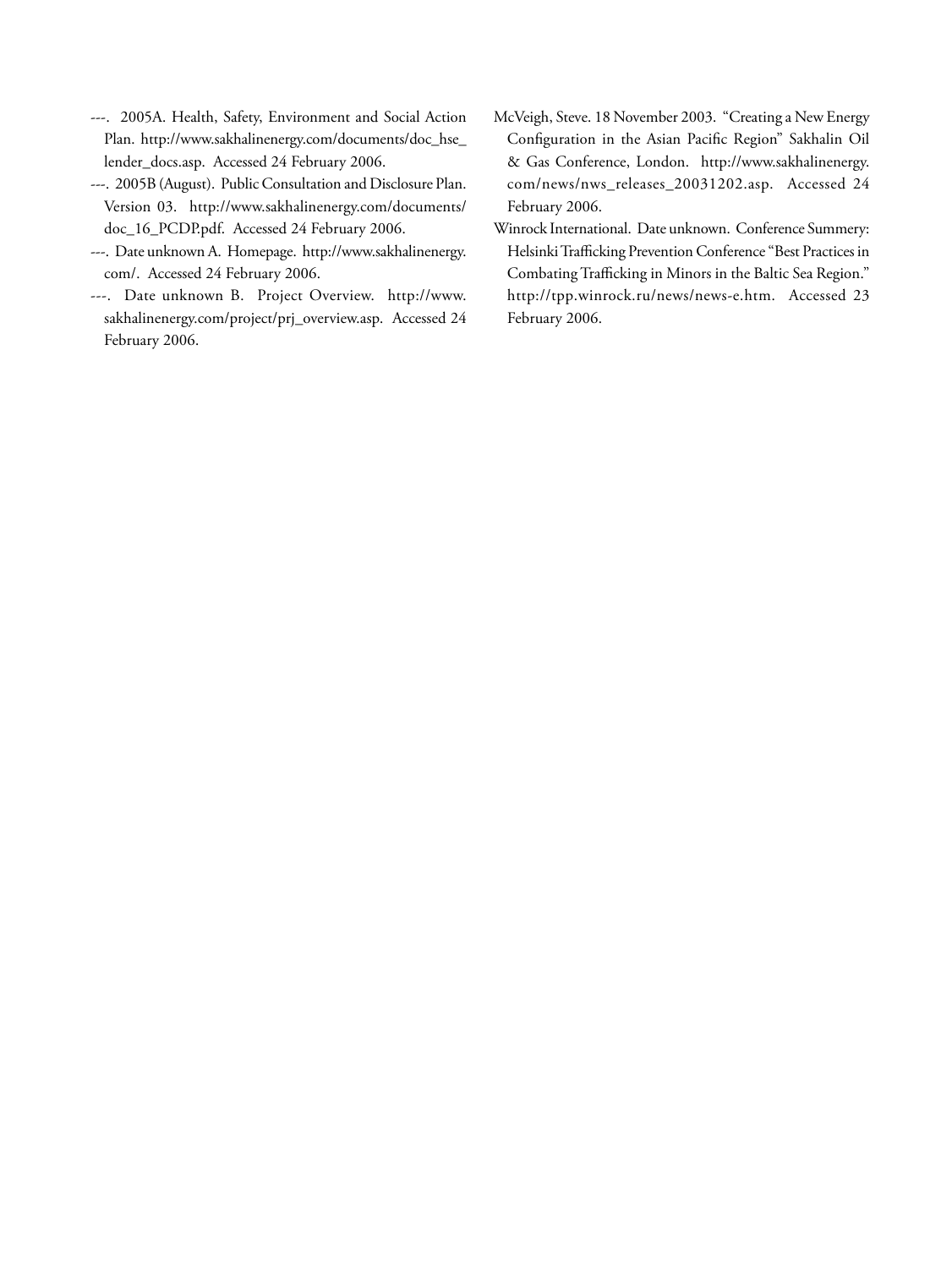- ---. 2005A. Health, Safety, Environment and Social Action Plan. http://www.sakhalinenergy.com/documents/doc\_hse\_ lender\_docs.asp. Accessed 24 February 2006.
- ---. 2005B (August). Public Consultation and Disclosure Plan. Version 03. http://www.sakhalinenergy.com/documents/ doc\_16\_PCDP.pdf. Accessed 24 February 2006.
- ---. Date unknown A. Homepage. http://www.sakhalinenergy. com/. Accessed 24 February 2006.
- ---. Date unknown B. Project Overview. http://www. sakhalinenergy.com/project/prj\_overview.asp. Accessed 24 February 2006.
- McVeigh, Steve. 18 November 2003. "Creating a New Energy Configuration in the Asian Pacific Region" Sakhalin Oil & Gas Conference, London. http://www.sakhalinenergy. com/news/nws\_releases\_20031202.asp. Accessed 24 February 2006.
- Winrock International. Date unknown. Conference Summery: Helsinki Trafficking Prevention Conference "Best Practices in Combating Trafficking in Minors in the Baltic Sea Region." http://tpp.winrock.ru/news/news-e.htm. Accessed 23 February 2006.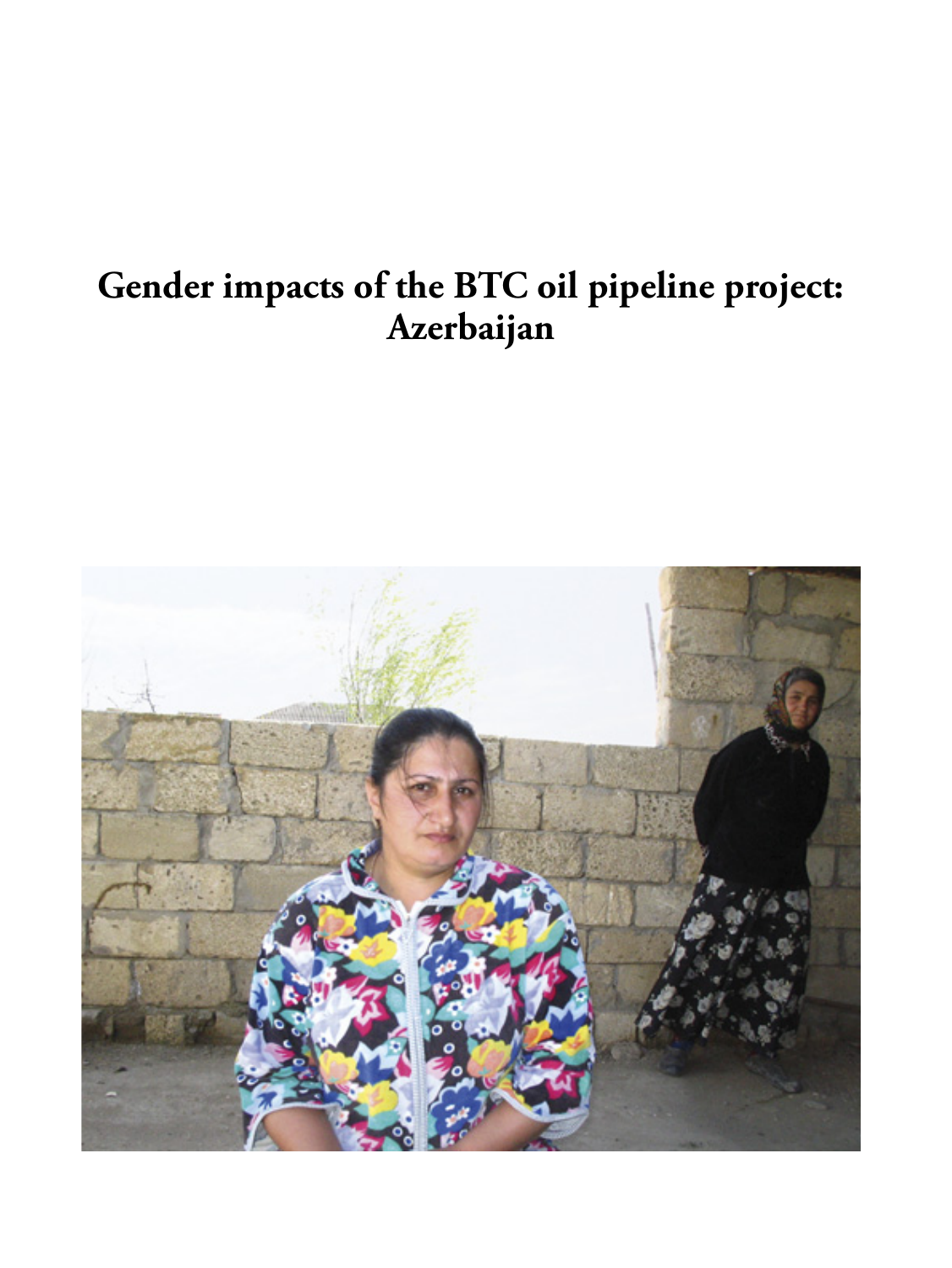## **Gender impacts of the BTC oil pipeline project: Azerbaijan**

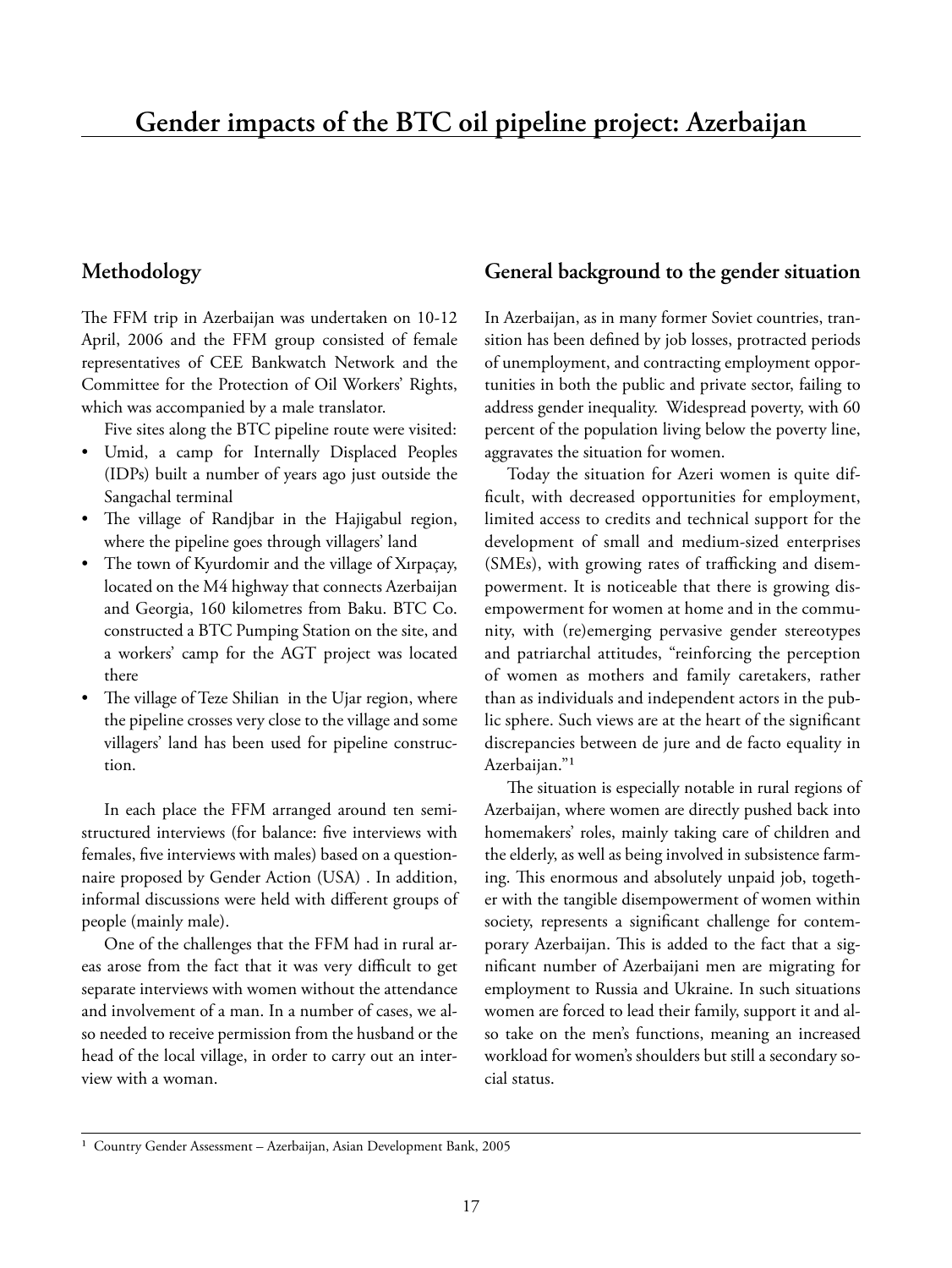#### **Methodology**

The FFM trip in Azerbaijan was undertaken on 10-12 April, 2006 and the FFM group consisted of female representatives of CEE Bankwatch Network and the Committee for the Protection of Oil Workers' Rights, which was accompanied by a male translator.

Five sites along the BTC pipeline route were visited:

- Umid, a camp for Internally Displaced Peoples (IDPs) built a number of years ago just outside the Sangachal terminal
- The village of Randjbar in the Hajigabul region, where the pipeline goes through villagers' land
- The town of Kyurdomir and the village of Xırpaçay, located on the M4 highway that connects Azerbaijan and Georgia, 160 kilometres from Baku. BTC Co. constructed a BTC Pumping Station on the site, and a workers' camp for the AGT project was located there
- The village of Teze Shilian in the Ujar region, where the pipeline crosses very close to the village and some villagers' land has been used for pipeline construction.

In each place the FFM arranged around ten semistructured interviews (for balance: five interviews with females, five interviews with males) based on a questionnaire proposed by Gender Action (USA) . In addition, informal discussions were held with different groups of people (mainly male).

One of the challenges that the FFM had in rural areas arose from the fact that it was very difficult to get separate interviews with women without the attendance and involvement of a man. In a number of cases, we also needed to receive permission from the husband or the head of the local village, in order to carry out an interview with a woman.

#### **General background to the gender situation**

In Azerbaijan, as in many former Soviet countries, transition has been defined by job losses, protracted periods of unemployment, and contracting employment opportunities in both the public and private sector, failing to address gender inequality. Widespread poverty, with 60 percent of the population living below the poverty line, aggravates the situation for women.

Today the situation for Azeri women is quite difficult, with decreased opportunities for employment, limited access to credits and technical support for the development of small and medium-sized enterprises (SMEs), with growing rates of trafficking and disempowerment. It is noticeable that there is growing disempowerment for women at home and in the community, with (re)emerging pervasive gender stereotypes and patriarchal attitudes, "reinforcing the perception of women as mothers and family caretakers, rather than as individuals and independent actors in the public sphere. Such views are at the heart of the significant discrepancies between de jure and de facto equality in Azerbaijan."<sup>1</sup>

The situation is especially notable in rural regions of Azerbaijan, where women are directly pushed back into homemakers' roles, mainly taking care of children and the elderly, as well as being involved in subsistence farming. This enormous and absolutely unpaid job, together with the tangible disempowerment of women within society, represents a significant challenge for contemporary Azerbaijan. This is added to the fact that a significant number of Azerbaijani men are migrating for employment to Russia and Ukraine. In such situations women are forced to lead their family, support it and also take on the men's functions, meaning an increased workload for women's shoulders but still a secondary social status.

Country Gender Assessment - Azerbaijan, Asian Development Bank, 2005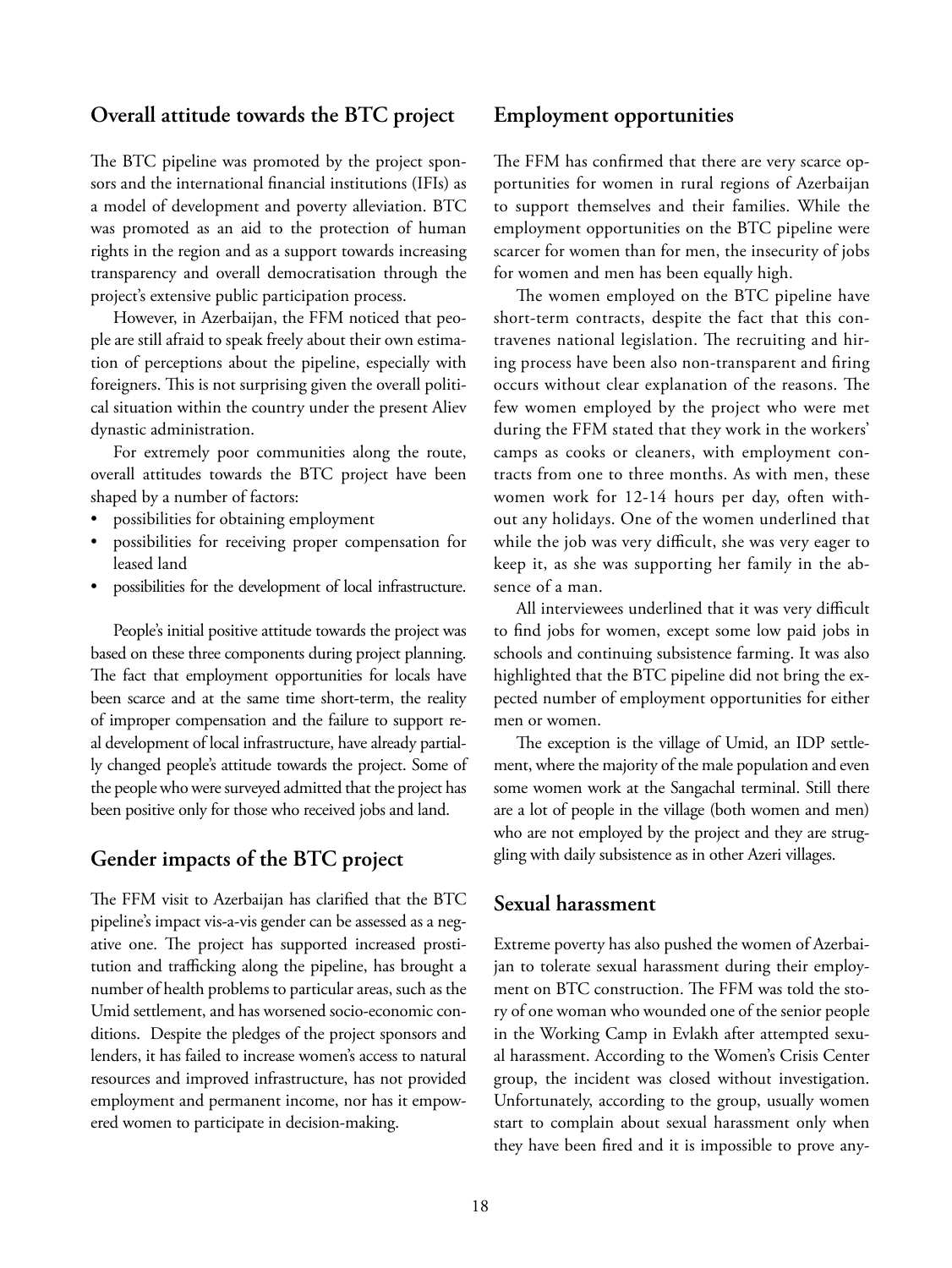#### **Overall attitude towards the BTC project**

The BTC pipeline was promoted by the project sponsors and the international financial institutions (IFIs) as a model of development and poverty alleviation. BTC was promoted as an aid to the protection of human rights in the region and as a support towards increasing transparency and overall democratisation through the project's extensive public participation process.

However, in Azerbaijan, the FFM noticed that people are still afraid to speak freely about their own estimation of perceptions about the pipeline, especially with foreigners. This is not surprising given the overall political situation within the country under the present Aliev dynastic administration.

For extremely poor communities along the route, overall attitudes towards the BTC project have been shaped by a number of factors:

- possibilities for obtaining employment
- possibilities for receiving proper compensation for leased land
- possibilities for the development of local infrastructure.

People's initial positive attitude towards the project was based on these three components during project planning. The fact that employment opportunities for locals have been scarce and at the same time short-term, the reality of improper compensation and the failure to support real development of local infrastructure, have already partially changed people's attitude towards the project. Some of the people who were surveyed admitted that the project has been positive only for those who received jobs and land.

#### **Gender impacts of the BTC project**

The FFM visit to Azerbaijan has clarified that the BTC pipeline's impact vis-a-vis gender can be assessed as a negative one. The project has supported increased prostitution and trafficking along the pipeline, has brought a number of health problems to particular areas, such as the Umid settlement, and has worsened socio-economic conditions. Despite the pledges of the project sponsors and lenders, it has failed to increase women's access to natural resources and improved infrastructure, has not provided employment and permanent income, nor has it empowered women to participate in decision-making.

#### **Employment opportunities**

The FFM has confirmed that there are very scarce opportunities for women in rural regions of Azerbaijan to support themselves and their families. While the employment opportunities on the BTC pipeline were scarcer for women than for men, the insecurity of jobs for women and men has been equally high.

The women employed on the BTC pipeline have short-term contracts, despite the fact that this contravenes national legislation. The recruiting and hiring process have been also non-transparent and firing occurs without clear explanation of the reasons. The few women employed by the project who were met during the FFM stated that they work in the workers' camps as cooks or cleaners, with employment contracts from one to three months. As with men, these women work for 12-14 hours per day, often without any holidays. One of the women underlined that while the job was very difficult, she was very eager to keep it, as she was supporting her family in the absence of a man.

All interviewees underlined that it was very difficult to find jobs for women, except some low paid jobs in schools and continuing subsistence farming. It was also highlighted that the BTC pipeline did not bring the expected number of employment opportunities for either men or women.

The exception is the village of Umid, an IDP settlement, where the majority of the male population and even some women work at the Sangachal terminal. Still there are a lot of people in the village (both women and men) who are not employed by the project and they are struggling with daily subsistence as in other Azeri villages.

#### **Sexual harassment**

Extreme poverty has also pushed the women of Azerbaijan to tolerate sexual harassment during their employment on BTC construction. The FFM was told the story of one woman who wounded one of the senior people in the Working Camp in Evlakh after attempted sexual harassment. According to the Women's Crisis Center group, the incident was closed without investigation. Unfortunately, according to the group, usually women start to complain about sexual harassment only when they have been fired and it is impossible to prove any-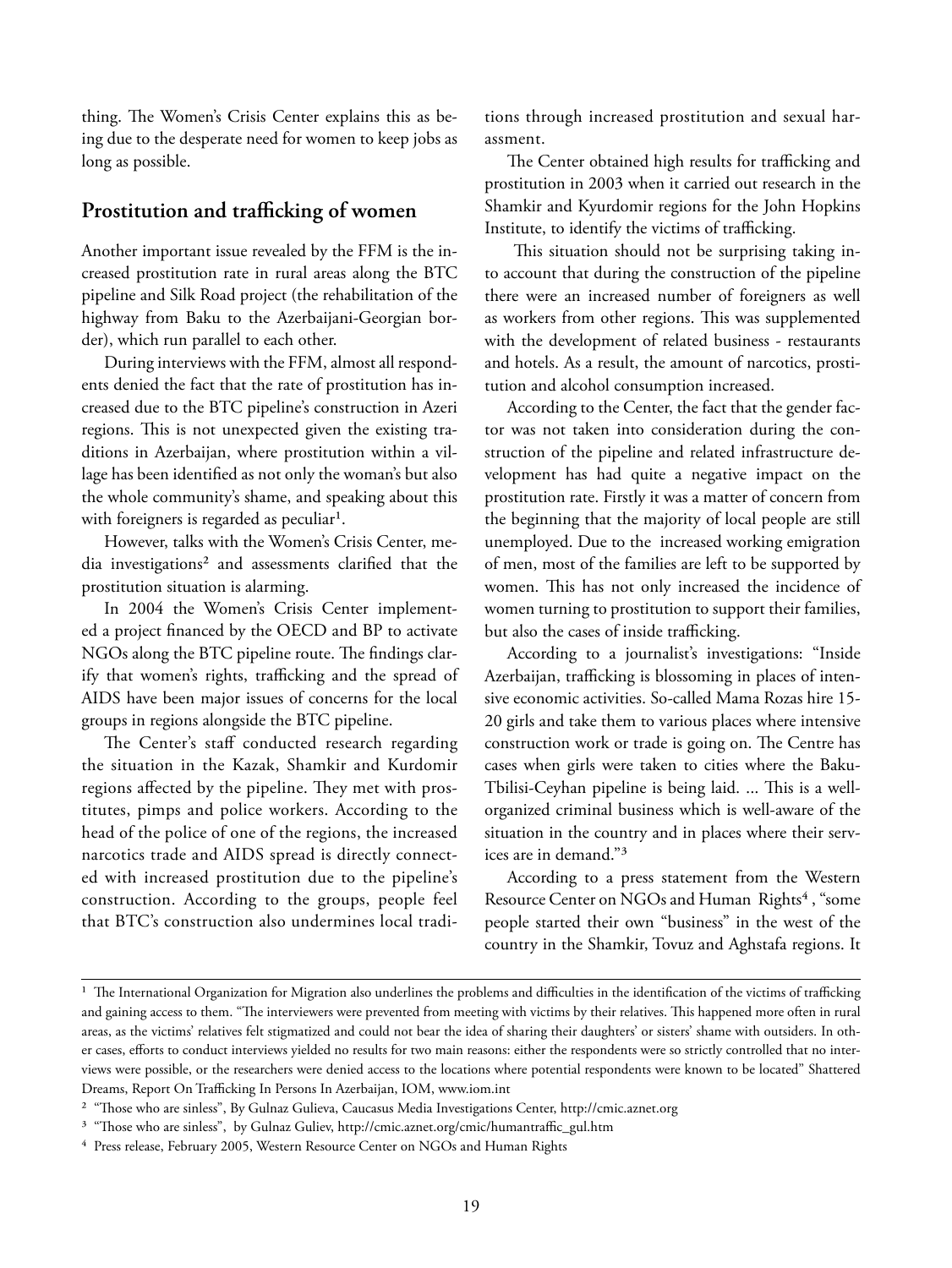thing. The Women's Crisis Center explains this as being due to the desperate need for women to keep jobs as long as possible.

#### Prostitution and trafficking of women

Another important issue revealed by the FFM is the increased prostitution rate in rural areas along the BTC pipeline and Silk Road project (the rehabilitation of the highway from Baku to the Azerbaijani-Georgian border), which run parallel to each other.

During interviews with the FFM, almost all respondents denied the fact that the rate of prostitution has increased due to the BTC pipeline's construction in Azeri regions. This is not unexpected given the existing traditions in Azerbaijan, where prostitution within a village has been identified as not only the woman's but also the whole community's shame, and speaking about this with foreigners is regarded as peculiar<sup>1</sup>.

However, talks with the Women's Crisis Center, media investigations<sup>2</sup> and assessments clarified that the prostitution situation is alarming.

In 2004 the Women's Crisis Center implemented a project financed by the OECD and BP to activate NGOs along the BTC pipeline route. The findings clarify that women's rights, trafficking and the spread of AIDS have been major issues of concerns for the local groups in regions alongside the BTC pipeline.

The Center's staff conducted research regarding the situation in the Kazak, Shamkir and Kurdomir regions affected by the pipeline. They met with prostitutes, pimps and police workers. According to the head of the police of one of the regions, the increased narcotics trade and AIDS spread is directly connected with increased prostitution due to the pipeline's construction. According to the groups, people feel that BTC's construction also undermines local traditions through increased prostitution and sexual harassment.

The Center obtained high results for trafficking and prostitution in 2003 when it carried out research in the Shamkir and Kyurdomir regions for the John Hopkins Institute, to identify the victims of trafficking.

This situation should not be surprising taking into account that during the construction of the pipeline there were an increased number of foreigners as well as workers from other regions. This was supplemented with the development of related business - restaurants and hotels. As a result, the amount of narcotics, prostitution and alcohol consumption increased.

According to the Center, the fact that the gender factor was not taken into consideration during the construction of the pipeline and related infrastructure development has had quite a negative impact on the prostitution rate. Firstly it was a matter of concern from the beginning that the majority of local people are still unemployed. Due to the increased working emigration of men, most of the families are left to be supported by women. This has not only increased the incidence of women turning to prostitution to support their families, but also the cases of inside trafficking.

According to a journalist's investigations: "Inside Azerbaijan, trafficking is blossoming in places of intensive economic activities. So-called Mama Rozas hire 15- 20 girls and take them to various places where intensive construction work or trade is going on. The Centre has cases when girls were taken to cities where the Baku-Tbilisi-Ceyhan pipeline is being laid. ... This is a wellorganized criminal business which is well-aware of the situation in the country and in places where their services are in demand."³

According to a press statement from the Western Resource Center on NGOs and Human Rights<sup>4</sup>, "some people started their own "business" in the west of the country in the Shamkir, Tovuz and Aghstafa regions. It

<sup>&</sup>lt;sup>1</sup> The International Organization for Migration also underlines the problems and difficulties in the identification of the victims of trafficking and gaining access to them. "The interviewers were prevented from meeting with victims by their relatives. This happened more often in rural areas, as the victims' relatives felt stigmatized and could not bear the idea of sharing their daughters' or sisters' shame with outsiders. In other cases, efforts to conduct interviews yielded no results for two main reasons: either the respondents were so strictly controlled that no interviews were possible, or the researchers were denied access to the locations where potential respondents were known to be located" Shattered Dreams, Report On Trafficking In Persons In Azerbaijan, IOM, www.iom.int

<sup>&</sup>lt;sup>2</sup> "Those who are sinless", By Gulnaz Gulieva, Caucasus Media Investigations Center, http://cmic.aznet.org

<sup>&</sup>lt;sup>3</sup> "Those who are sinless", by Gulnaz Guliev, http://cmic.aznet.org/cmic/humantraffic\_gul.htm

<sup>&</sup>lt;sup>4</sup> Press release, February 2005, Western Resource Center on NGOs and Human Rights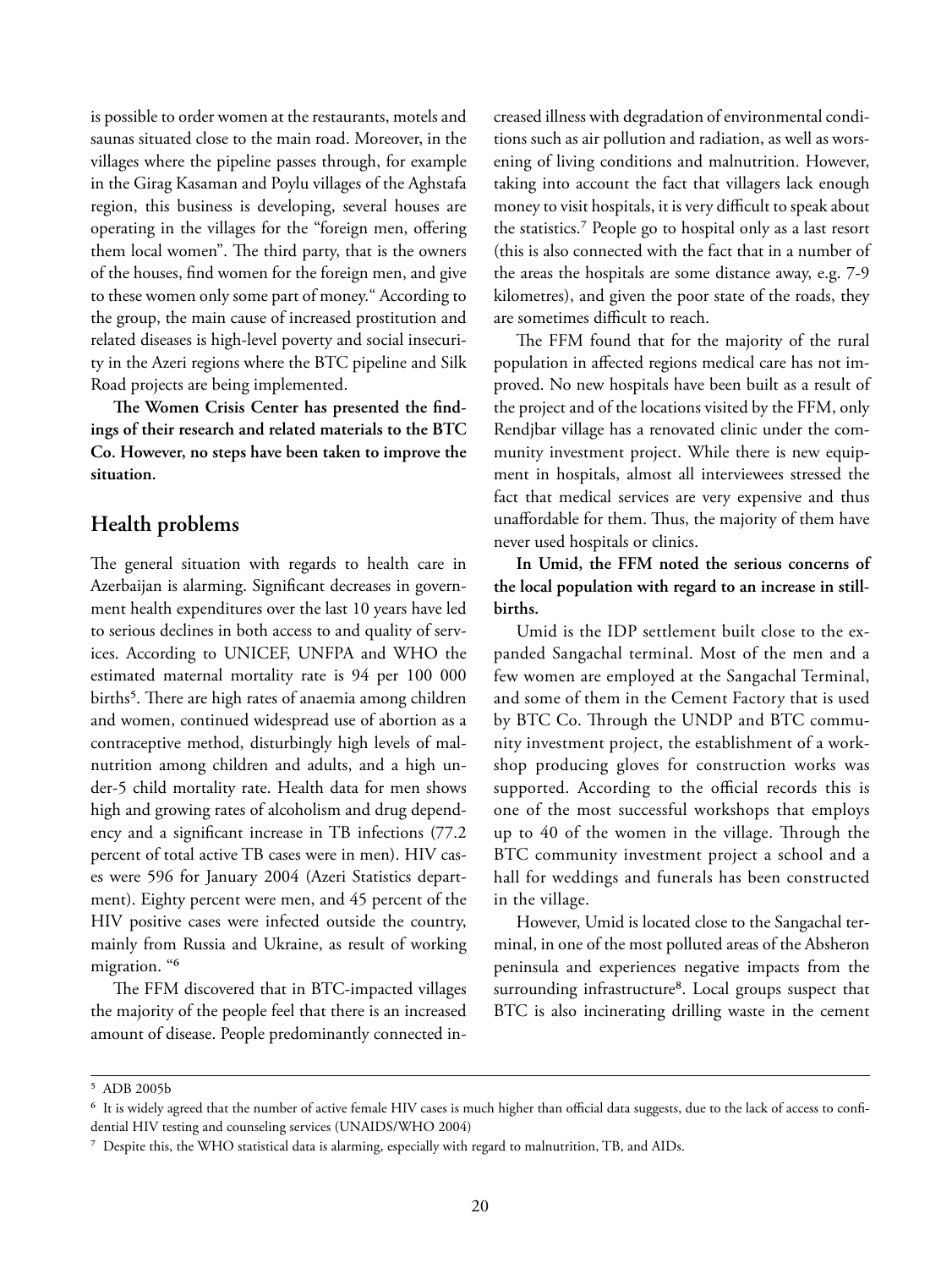is possible to order women at the restaurants, motels and saunas situated close to the main road. Moreover, in the villages where the pipeline passes through, for example in the Girag Kasaman and Poylu villages of the Aghstafa region, this business is developing, several houses are operating in the villages for the "foreign men, offering them local women". The third party, that is the owners of the houses, find women for the foreign men, and give to these women only some part of money." According to the group, the main cause of increased prostitution and related diseases is high-level poverty and social insecurity in the Azeri regions where the BTC pipeline and Silk Road projects are being implemented.

The Women Crisis Center has presented the find**ings of their research and related materials to the BTC Co. However, no steps have been taken to improve the situation.**

#### **Health problems**

The general situation with regards to health care in Azerbaijan is alarming. Significant decreases in government health expenditures over the last 10 years have led to serious declines in both access to and quality of services. According to UNICEF, UNFPA and WHO the estimated maternal mortality rate is 94 per 100 000 births<sup>5</sup>. There are high rates of anaemia among children and women, continued widespread use of abortion as a contraceptive method, disturbingly high levels of malnutrition among children and adults, and a high under-5 child mortality rate. Health data for men shows high and growing rates of alcoholism and drug dependency and a significant increase in TB infections (77.2) percent of total active TB cases were in men). HIV cases were 596 for January 2004 (Azeri Statistics department). Eighty percent were men, and 45 percent of the HIV positive cases were infected outside the country, mainly from Russia and Ukraine, as result of working migration. "<sup>6</sup>

The FFM discovered that in BTC-impacted villages the majority of the people feel that there is an increased amount of disease. People predominantly connected in-

creased illness with degradation of environmental conditions such as air pollution and radiation, as well as worsening of living conditions and malnutrition. However, taking into account the fact that villagers lack enough money to visit hospitals, it is very difficult to speak about the statistics.⁷ People go to hospital only as a last resort (this is also connected with the fact that in a number of the areas the hospitals are some distance away, e.g. 7-9 kilometres), and given the poor state of the roads, they are sometimes difficult to reach.

The FFM found that for the majority of the rural population in affected regions medical care has not improved. No new hospitals have been built as a result of the project and of the locations visited by the FFM, only Rendjbar village has a renovated clinic under the community investment project. While there is new equipment in hospitals, almost all interviewees stressed the fact that medical services are very expensive and thus unaffordable for them. Thus, the majority of them have never used hospitals or clinics.

**In Umid, the FFM noted the serious concerns of the local population with regard to an increase in stillbirths.**

Umid is the IDP settlement built close to the expanded Sangachal terminal. Most of the men and a few women are employed at the Sangachal Terminal, and some of them in the Cement Factory that is used by BTC Co. Through the UNDP and BTC community investment project, the establishment of a workshop producing gloves for construction works was supported. According to the official records this is one of the most successful workshops that employs up to 40 of the women in the village. Through the BTC community investment project a school and a hall for weddings and funerals has been constructed in the village.

However, Umid is located close to the Sangachal terminal, in one of the most polluted areas of the Absheron peninsula and experiences negative impacts from the surrounding infrastructure<sup>8</sup>. Local groups suspect that BTC is also incinerating drilling waste in the cement

⁵ ADB 2005b

 $6$  It is widely agreed that the number of active female HIV cases is much higher than official data suggests, due to the lack of access to confidential HIV testing and counseling services (UNAIDS/WHO 2004)

⁷ Despite this, the WHO statistical data is alarming, especially with regard to malnutrition, TB, and AIDs.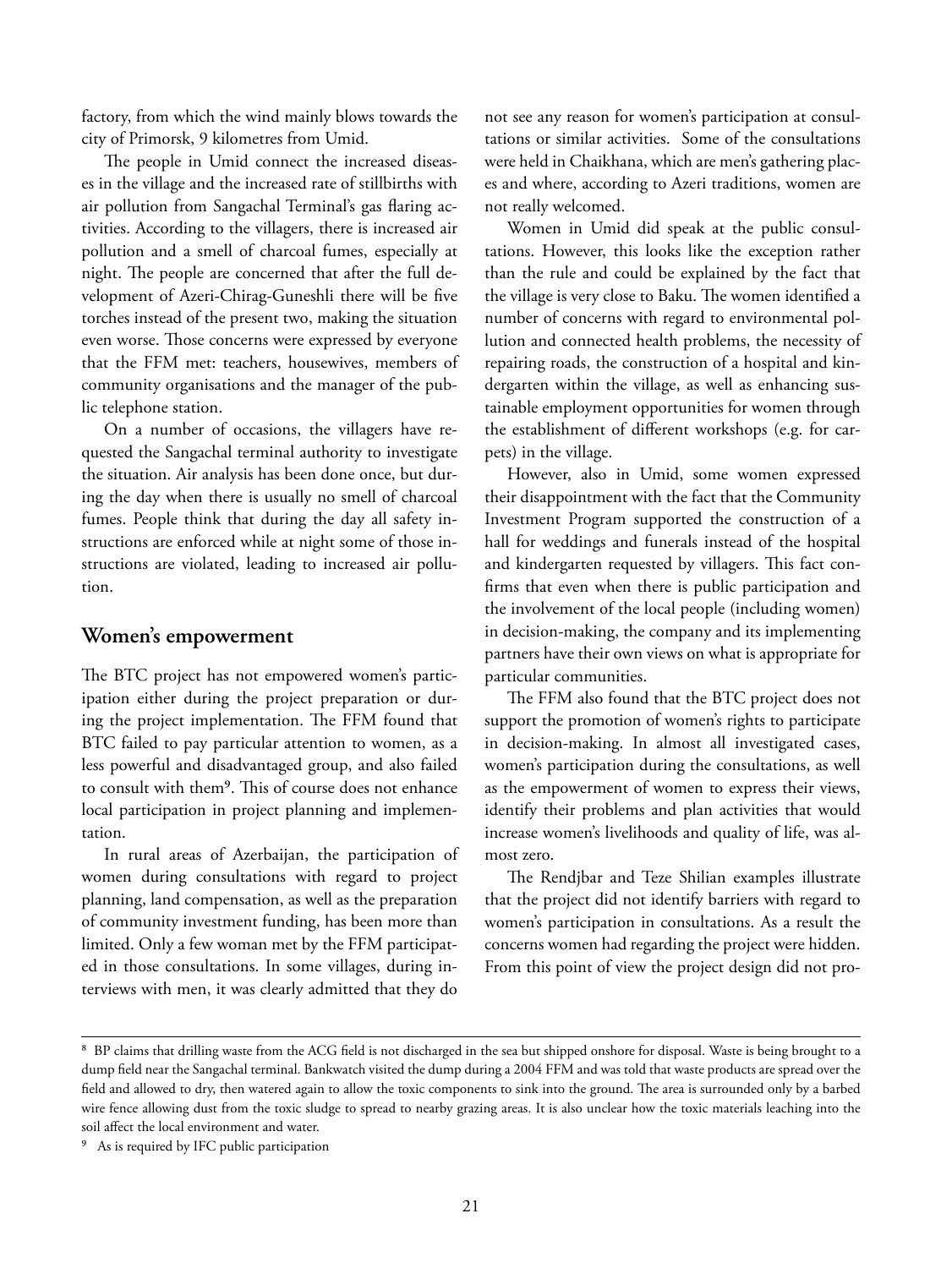factory, from which the wind mainly blows towards the city of Primorsk, 9 kilometres from Umid.

The people in Umid connect the increased diseases in the village and the increased rate of stillbirths with air pollution from Sangachal Terminal's gas flaring activities. According to the villagers, there is increased air pollution and a smell of charcoal fumes, especially at night. The people are concerned that after the full development of Azeri-Chirag-Guneshli there will be five torches instead of the present two, making the situation even worse. Those concerns were expressed by everyone that the FFM met: teachers, housewives, members of community organisations and the manager of the public telephone station.

On a number of occasions, the villagers have requested the Sangachal terminal authority to investigate the situation. Air analysis has been done once, but during the day when there is usually no smell of charcoal fumes. People think that during the day all safety instructions are enforced while at night some of those instructions are violated, leading to increased air pollution.

#### **Women's empowerment**

The BTC project has not empowered women's participation either during the project preparation or during the project implementation. The FFM found that BTC failed to pay particular attention to women, as a less powerful and disadvantaged group, and also failed to consult with them<sup>9</sup>. This of course does not enhance local participation in project planning and implementation.

In rural areas of Azerbaijan, the participation of women during consultations with regard to project planning, land compensation, as well as the preparation of community investment funding, has been more than limited. Only a few woman met by the FFM participated in those consultations. In some villages, during interviews with men, it was clearly admitted that they do

not see any reason for women's participation at consultations or similar activities. Some of the consultations were held in Chaikhana, which are men's gathering places and where, according to Azeri traditions, women are not really welcomed.

Women in Umid did speak at the public consultations. However, this looks like the exception rather than the rule and could be explained by the fact that the village is very close to Baku. The women identified a number of concerns with regard to environmental pollution and connected health problems, the necessity of repairing roads, the construction of a hospital and kindergarten within the village, as well as enhancing sustainable employment opportunities for women through the establishment of different workshops (e.g. for carpets) in the village.

However, also in Umid, some women expressed their disappointment with the fact that the Community Investment Program supported the construction of a hall for weddings and funerals instead of the hospital and kindergarten requested by villagers. This fact confirms that even when there is public participation and the involvement of the local people (including women) in decision-making, the company and its implementing partners have their own views on what is appropriate for particular communities.

The FFM also found that the BTC project does not support the promotion of women's rights to participate in decision-making. In almost all investigated cases, women's participation during the consultations, as well as the empowerment of women to express their views, identify their problems and plan activities that would increase women's livelihoods and quality of life, was almost zero.

The Rendjbar and Teze Shilian examples illustrate that the project did not identify barriers with regard to women's participation in consultations. As a result the concerns women had regarding the project were hidden. From this point of view the project design did not pro-

<sup>&</sup>lt;sup>8</sup> BP claims that drilling waste from the ACG field is not discharged in the sea but shipped onshore for disposal. Waste is being brought to a dump field near the Sangachal terminal. Bankwatch visited the dump during a 2004 FFM and was told that waste products are spread over the field and allowed to dry, then watered again to allow the toxic components to sink into the ground. The area is surrounded only by a barbed wire fence allowing dust from the toxic sludge to spread to nearby grazing areas. It is also unclear how the toxic materials leaching into the soil affect the local environment and water.

As is required by IFC public participation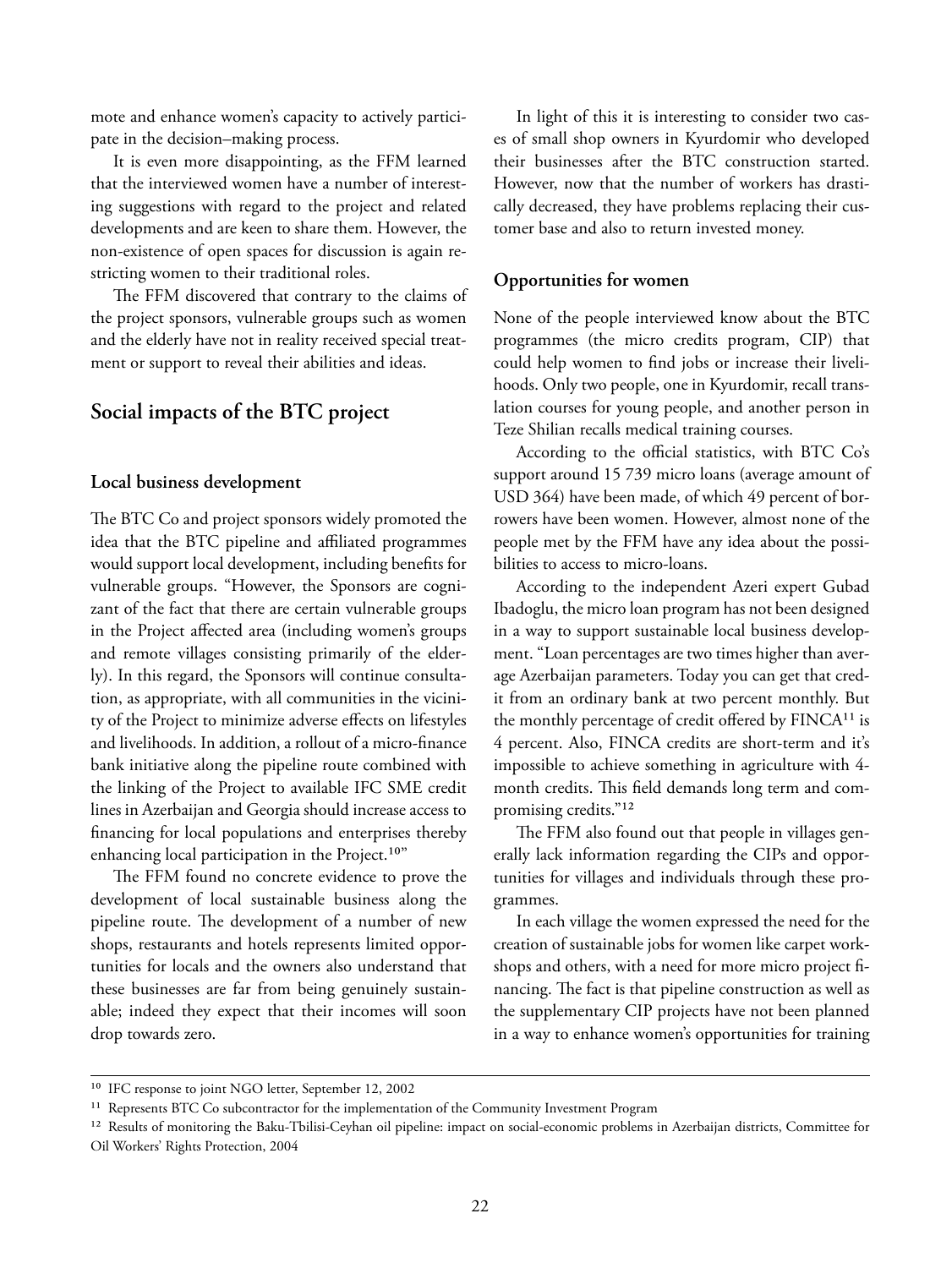mote and enhance women's capacity to actively participate in the decision–making process.

It is even more disappointing, as the FFM learned that the interviewed women have a number of interesting suggestions with regard to the project and related developments and are keen to share them. However, the non-existence of open spaces for discussion is again restricting women to their traditional roles.

The FFM discovered that contrary to the claims of the project sponsors, vulnerable groups such as women and the elderly have not in reality received special treatment or support to reveal their abilities and ideas.

#### **Social impacts of the BTC project**

#### **Local business development**

The BTC Co and project sponsors widely promoted the idea that the BTC pipeline and affiliated programmes would support local development, including benefits for vulnerable groups. "However, the Sponsors are cognizant of the fact that there are certain vulnerable groups in the Project affected area (including women's groups and remote villages consisting primarily of the elderly). In this regard, the Sponsors will continue consultation, as appropriate, with all communities in the vicinity of the Project to minimize adverse effects on lifestyles and livelihoods. In addition, a rollout of a micro-finance bank initiative along the pipeline route combined with the linking of the Project to available IFC SME credit lines in Azerbaijan and Georgia should increase access to financing for local populations and enterprises thereby enhancing local participation in the Project.<sup>10"</sup>

The FFM found no concrete evidence to prove the development of local sustainable business along the pipeline route. The development of a number of new shops, restaurants and hotels represents limited opportunities for locals and the owners also understand that these businesses are far from being genuinely sustainable; indeed they expect that their incomes will soon drop towards zero.

In light of this it is interesting to consider two cases of small shop owners in Kyurdomir who developed their businesses after the BTC construction started. However, now that the number of workers has drastically decreased, they have problems replacing their customer base and also to return invested money.

#### **Opportunities for women**

None of the people interviewed know about the BTC programmes (the micro credits program, CIP) that could help women to find jobs or increase their livelihoods. Only two people, one in Kyurdomir, recall translation courses for young people, and another person in Teze Shilian recalls medical training courses.

According to the official statistics, with BTC Co's support around 15 739 micro loans (average amount of USD 364) have been made, of which 49 percent of borrowers have been women. However, almost none of the people met by the FFM have any idea about the possibilities to access to micro-loans.

According to the independent Azeri expert Gubad Ibadoglu, the micro loan program has not been designed in a way to support sustainable local business development. "Loan percentages are two times higher than average Azerbaijan parameters. Today you can get that credit from an ordinary bank at two percent monthly. But the monthly percentage of credit offered by FINCA<sup>11</sup> is 4 percent. Also, FINCA credits are short-term and it's impossible to achieve something in agriculture with 4 month credits. This field demands long term and compromising credits."<sup>12</sup>

The FFM also found out that people in villages generally lack information regarding the CIPs and opportunities for villages and individuals through these programmes.

In each village the women expressed the need for the creation of sustainable jobs for women like carpet workshops and others, with a need for more micro project financing. The fact is that pipeline construction as well as the supplementary CIP projects have not been planned in a way to enhance women's opportunities for training

<sup>&</sup>lt;sup>10</sup> IFC response to joint NGO letter, September 12, 2002

<sup>&</sup>lt;sup>11</sup> Represents BTC Co subcontractor for the implementation of the Community Investment Program

<sup>&</sup>lt;sup>12</sup> Results of monitoring the Baku-Tbilisi-Ceyhan oil pipeline: impact on social-economic problems in Azerbaijan districts, Committee for Oil Workers' Rights Protection, 2004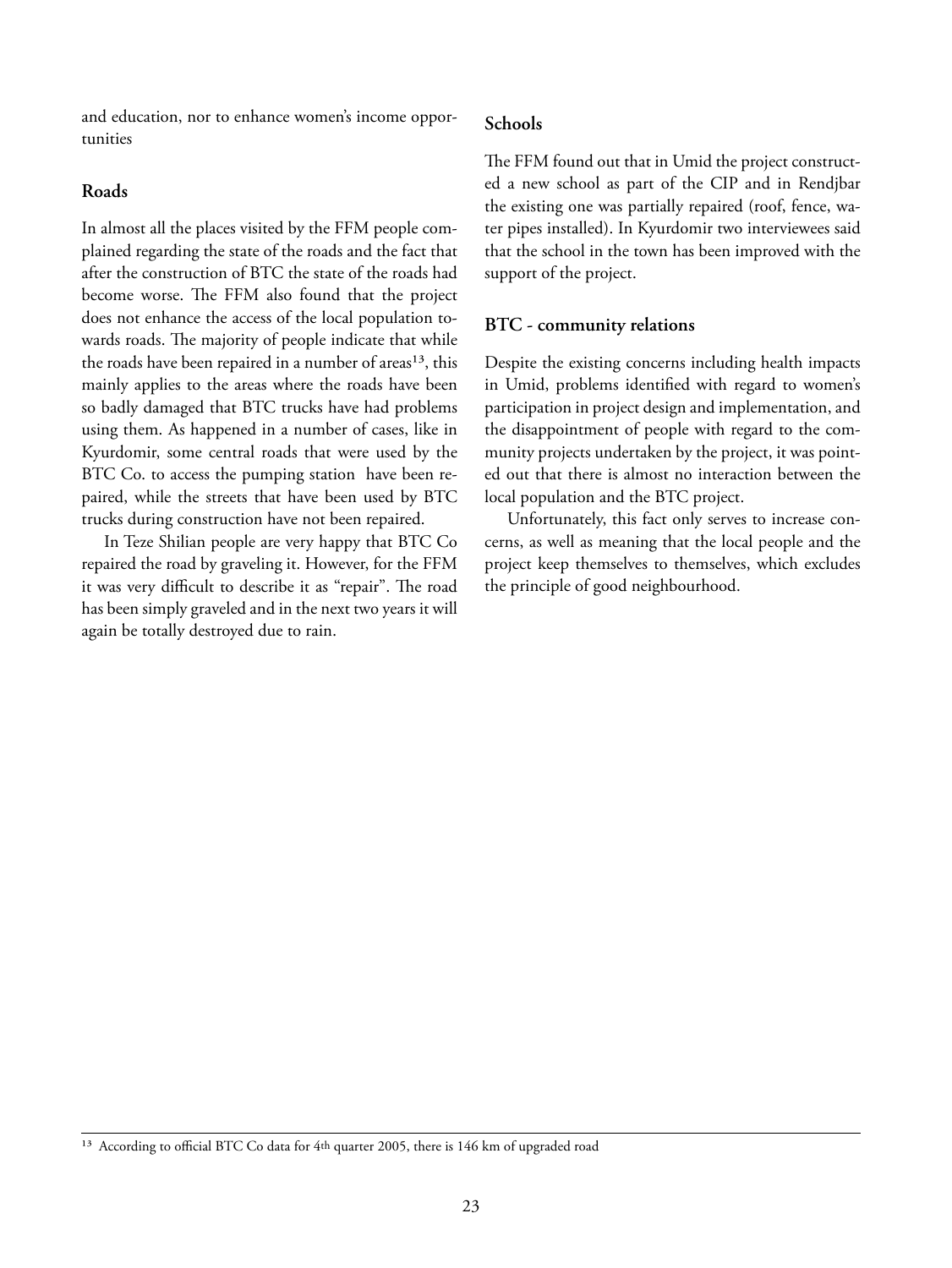and education, nor to enhance women's income opportunities

#### **Roads**

In almost all the places visited by the FFM people complained regarding the state of the roads and the fact that after the construction of BTC the state of the roads had become worse. The FFM also found that the project does not enhance the access of the local population towards roads. The majority of people indicate that while the roads have been repaired in a number of areas<sup>13</sup>, this mainly applies to the areas where the roads have been so badly damaged that BTC trucks have had problems using them. As happened in a number of cases, like in Kyurdomir, some central roads that were used by the BTC Co. to access the pumping station have been repaired, while the streets that have been used by BTC trucks during construction have not been repaired.

In Teze Shilian people are very happy that BTC Co repaired the road by graveling it. However, for the FFM it was very difficult to describe it as "repair". The road has been simply graveled and in the next two years it will again be totally destroyed due to rain.

#### **Schools**

The FFM found out that in Umid the project constructed a new school as part of the CIP and in Rendjbar the existing one was partially repaired (roof, fence, water pipes installed). In Kyurdomir two interviewees said that the school in the town has been improved with the support of the project.

#### **BTC - community relations**

Despite the existing concerns including health impacts in Umid, problems identified with regard to women's participation in project design and implementation, and the disappointment of people with regard to the community projects undertaken by the project, it was pointed out that there is almost no interaction between the local population and the BTC project.

Unfortunately, this fact only serves to increase concerns, as well as meaning that the local people and the project keep themselves to themselves, which excludes the principle of good neighbourhood.

<sup>&</sup>lt;sup>13</sup> According to official BTC Co data for 4th quarter 2005, there is 146 km of upgraded road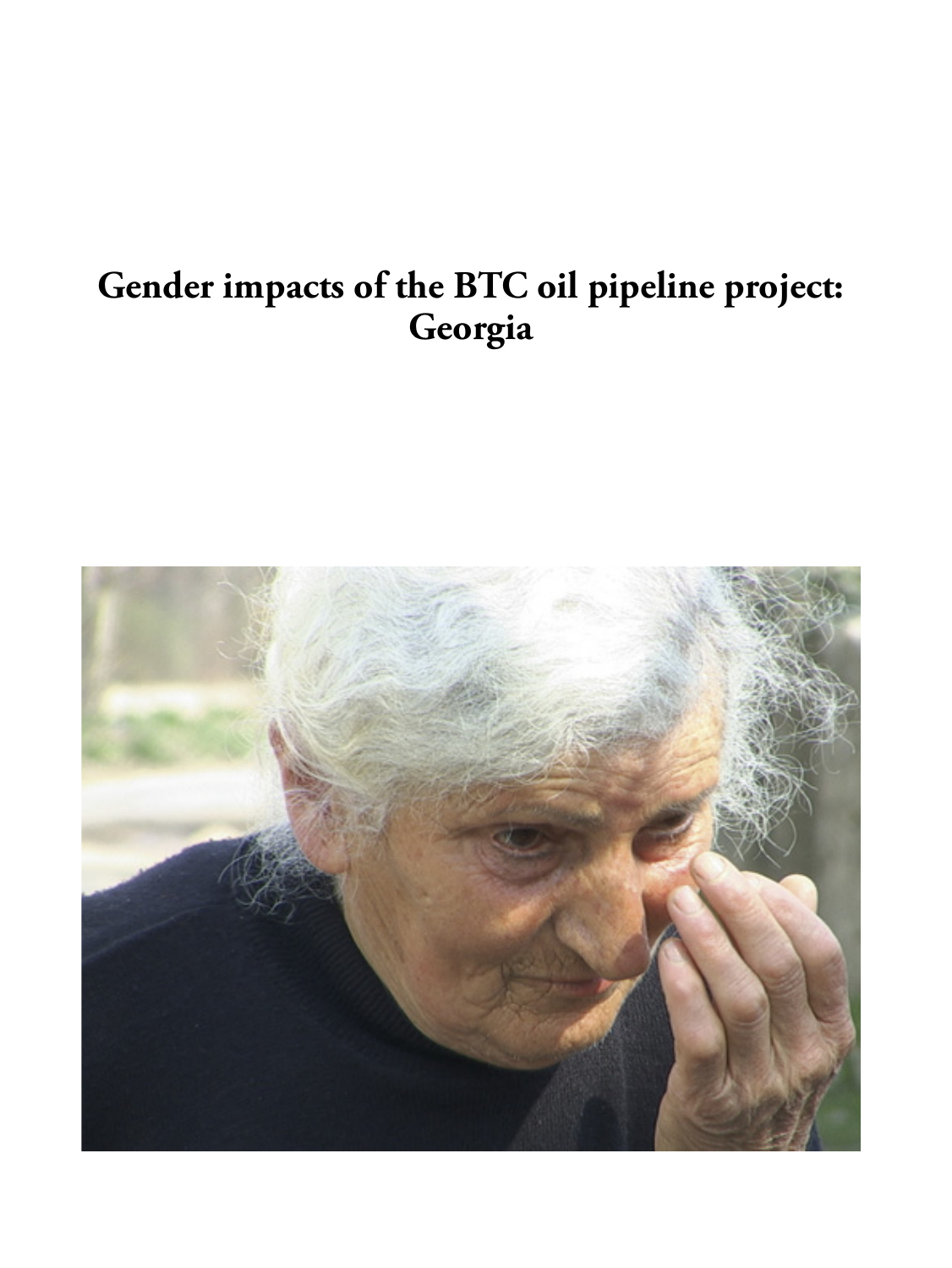## **Gender impacts of the BTC oil pipeline project: Georgia**

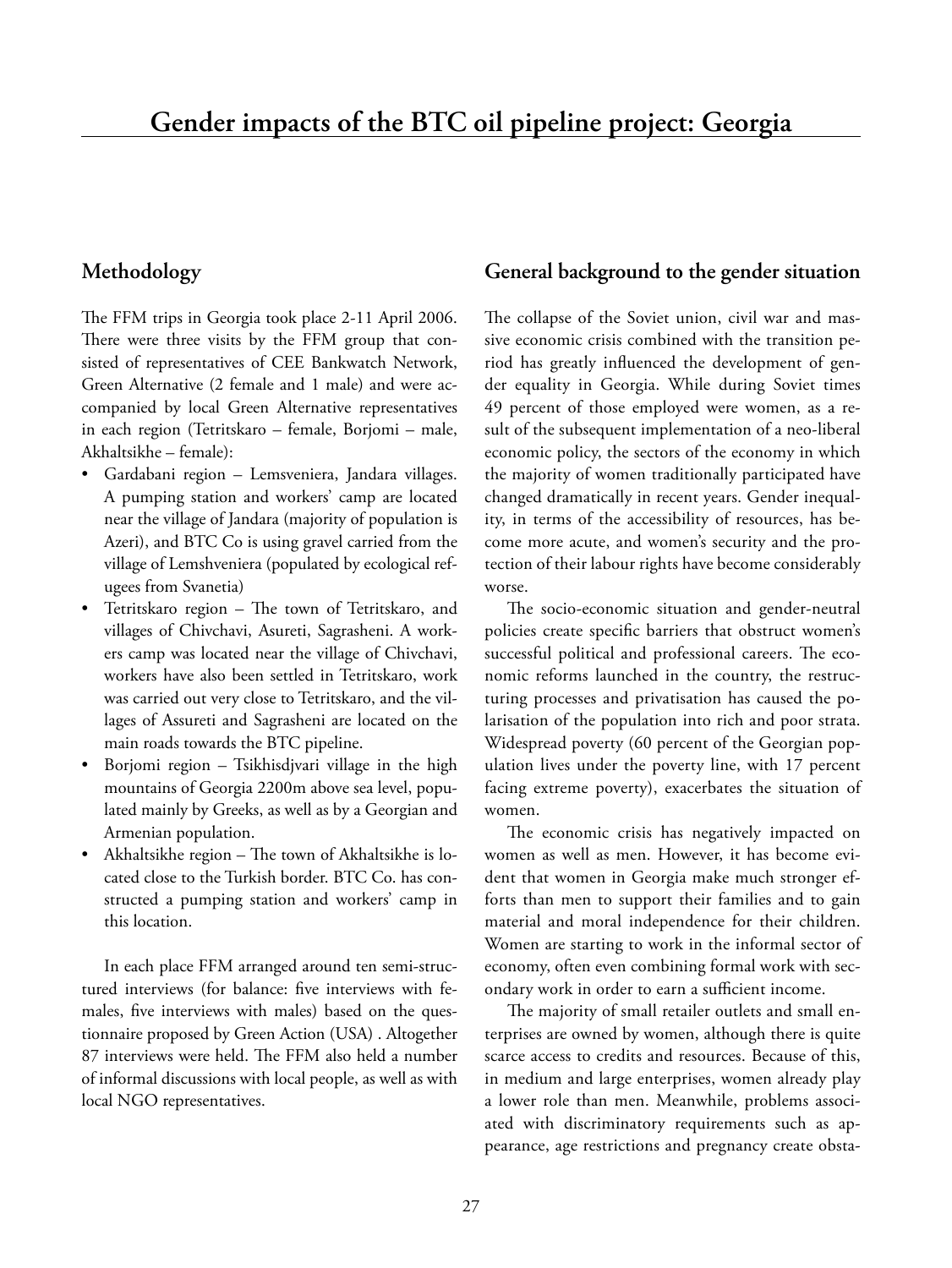#### **Methodology**

The FFM trips in Georgia took place 2-11 April 2006. There were three visits by the FFM group that consisted of representatives of CEE Bankwatch Network, Green Alternative (2 female and 1 male) and were accompanied by local Green Alternative representatives in each region (Tetritskaro – female, Borjomi – male, Akhaltsikhe – female):

- Gardabani region Lemsveniera, Jandara villages. A pumping station and workers' camp are located near the village of Jandara (majority of population is Azeri), and BTC Co is using gravel carried from the village of Lemshveniera (populated by ecological refugees from Svanetia)
- Tetritskaro region The town of Tetritskaro, and villages of Chivchavi, Asureti, Sagrasheni. A workers camp was located near the village of Chivchavi, workers have also been settled in Tetritskaro, work was carried out very close to Tetritskaro, and the villages of Assureti and Sagrasheni are located on the main roads towards the BTC pipeline.
- Borjomi region Tsikhisdjvari village in the high mountains of Georgia 2200m above sea level, populated mainly by Greeks, as well as by a Georgian and Armenian population.
- Akhaltsikhe region The town of Akhaltsikhe is located close to the Turkish border. BTC Co. has constructed a pumping station and workers' camp in this location.

In each place FFM arranged around ten semi-structured interviews (for balance: five interviews with females, five interviews with males) based on the questionnaire proposed by Green Action (USA) . Altogether 87 interviews were held. The FFM also held a number of informal discussions with local people, as well as with local NGO representatives.

#### **General background to the gender situation**

The collapse of the Soviet union, civil war and massive economic crisis combined with the transition period has greatly influenced the development of gender equality in Georgia. While during Soviet times 49 percent of those employed were women, as a result of the subsequent implementation of a neo-liberal economic policy, the sectors of the economy in which the majority of women traditionally participated have changed dramatically in recent years. Gender inequality, in terms of the accessibility of resources, has become more acute, and women's security and the protection of their labour rights have become considerably worse.

The socio-economic situation and gender-neutral policies create specific barriers that obstruct women's successful political and professional careers. The economic reforms launched in the country, the restructuring processes and privatisation has caused the polarisation of the population into rich and poor strata. Widespread poverty (60 percent of the Georgian population lives under the poverty line, with 17 percent facing extreme poverty), exacerbates the situation of women.

The economic crisis has negatively impacted on women as well as men. However, it has become evident that women in Georgia make much stronger efforts than men to support their families and to gain material and moral independence for their children. Women are starting to work in the informal sector of economy, often even combining formal work with secondary work in order to earn a sufficient income.

The majority of small retailer outlets and small enterprises are owned by women, although there is quite scarce access to credits and resources. Because of this, in medium and large enterprises, women already play a lower role than men. Meanwhile, problems associated with discriminatory requirements such as appearance, age restrictions and pregnancy create obsta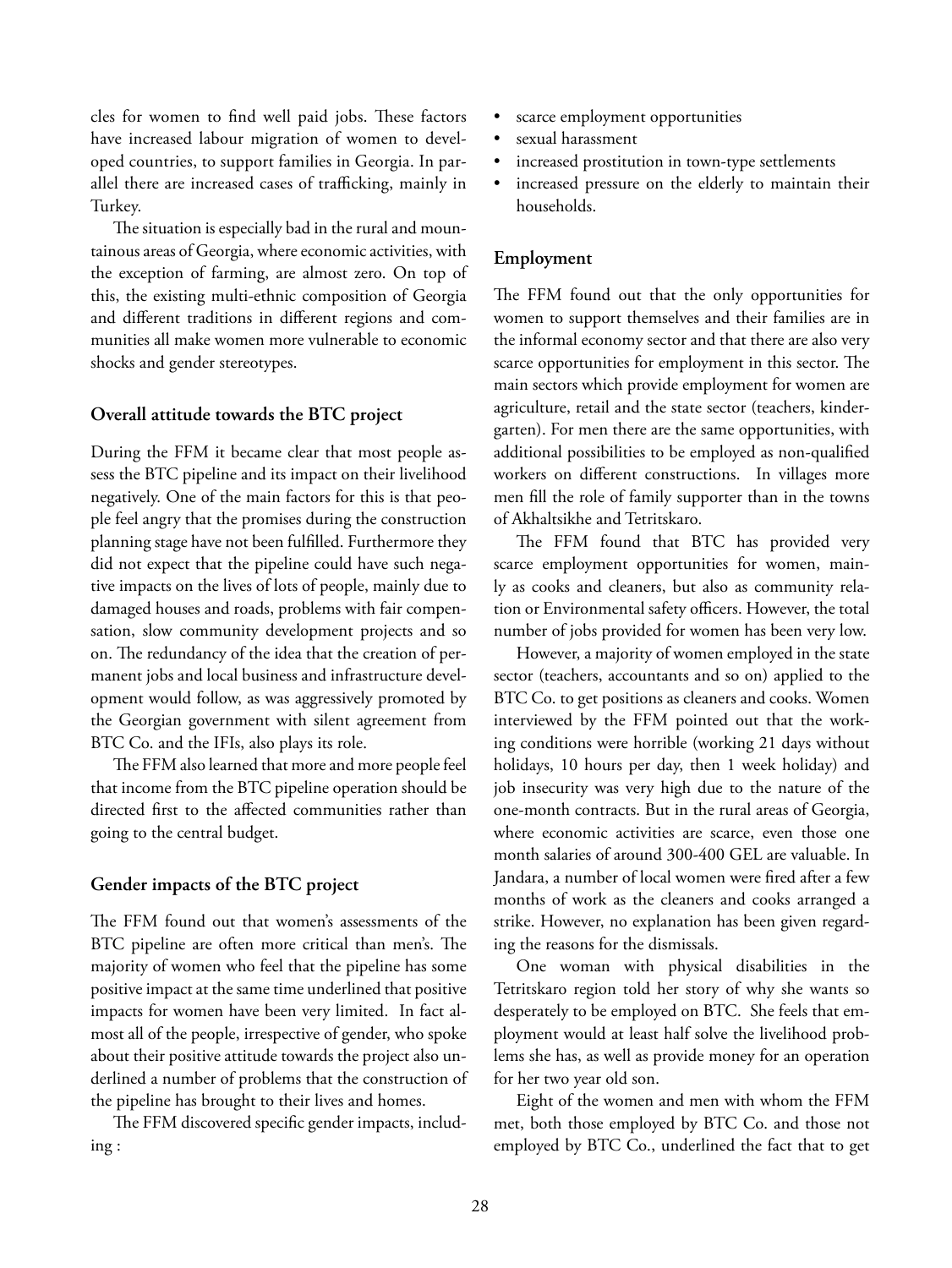cles for women to find well paid jobs. These factors have increased labour migration of women to developed countries, to support families in Georgia. In parallel there are increased cases of trafficking, mainly in Turkey.

The situation is especially bad in the rural and mountainous areas of Georgia, where economic activities, with the exception of farming, are almost zero. On top of this, the existing multi-ethnic composition of Georgia and different traditions in different regions and communities all make women more vulnerable to economic shocks and gender stereotypes.

#### **Overall attitude towards the BTC project**

During the FFM it became clear that most people assess the BTC pipeline and its impact on their livelihood negatively. One of the main factors for this is that people feel angry that the promises during the construction planning stage have not been fulfilled. Furthermore they did not expect that the pipeline could have such negative impacts on the lives of lots of people, mainly due to damaged houses and roads, problems with fair compensation, slow community development projects and so on. The redundancy of the idea that the creation of permanent jobs and local business and infrastructure development would follow, as was aggressively promoted by the Georgian government with silent agreement from BTC Co. and the IFIs, also plays its role.

The FFM also learned that more and more people feel that income from the BTC pipeline operation should be directed first to the affected communities rather than going to the central budget.

#### **Gender impacts of the BTC project**

The FFM found out that women's assessments of the BTC pipeline are often more critical than men's. The majority of women who feel that the pipeline has some positive impact at the same time underlined that positive impacts for women have been very limited. In fact almost all of the people, irrespective of gender, who spoke about their positive attitude towards the project also underlined a number of problems that the construction of the pipeline has brought to their lives and homes.

The FFM discovered specific gender impacts, including :

- scarce employment opportunities
- sexual harassment
- increased prostitution in town-type settlements
- increased pressure on the elderly to maintain their households.

#### **Employment**

The FFM found out that the only opportunities for women to support themselves and their families are in the informal economy sector and that there are also very scarce opportunities for employment in this sector. The main sectors which provide employment for women are agriculture, retail and the state sector (teachers, kindergarten). For men there are the same opportunities, with additional possibilities to be employed as non-qualified workers on different constructions. In villages more men fill the role of family supporter than in the towns of Akhaltsikhe and Tetritskaro.

The FFM found that BTC has provided very scarce employment opportunities for women, mainly as cooks and cleaners, but also as community relation or Environmental safety officers. However, the total number of jobs provided for women has been very low.

However, a majority of women employed in the state sector (teachers, accountants and so on) applied to the BTC Co. to get positions as cleaners and cooks. Women interviewed by the FFM pointed out that the working conditions were horrible (working 21 days without holidays, 10 hours per day, then 1 week holiday) and job insecurity was very high due to the nature of the one-month contracts. But in the rural areas of Georgia, where economic activities are scarce, even those one month salaries of around 300-400 GEL are valuable. In Jandara, a number of local women were fired after a few months of work as the cleaners and cooks arranged a strike. However, no explanation has been given regarding the reasons for the dismissals.

One woman with physical disabilities in the Tetritskaro region told her story of why she wants so desperately to be employed on BTC. She feels that employment would at least half solve the livelihood problems she has, as well as provide money for an operation for her two year old son.

Eight of the women and men with whom the FFM met, both those employed by BTC Co. and those not employed by BTC Co., underlined the fact that to get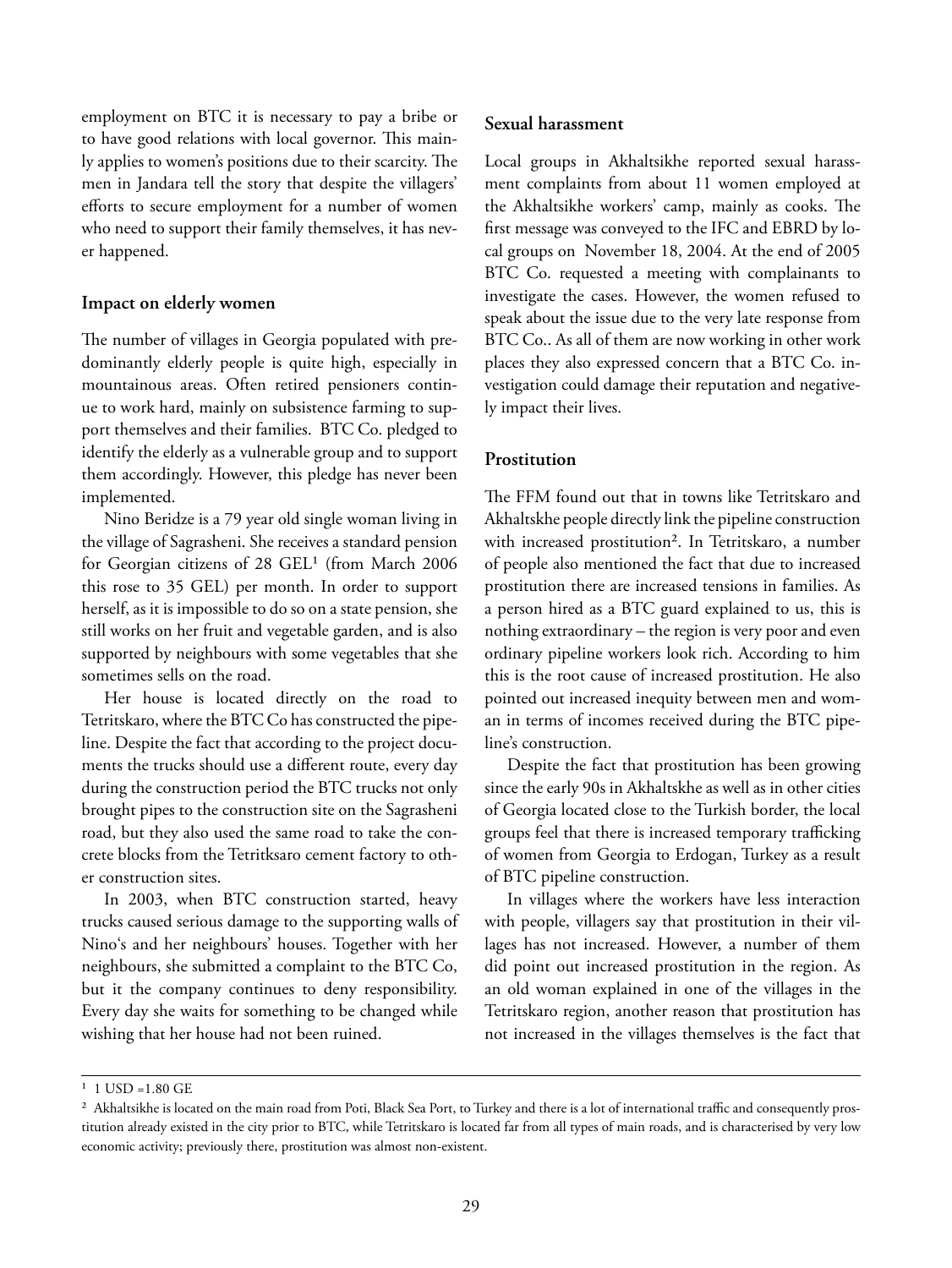employment on BTC it is necessary to pay a bribe or to have good relations with local governor. This mainly applies to women's positions due to their scarcity. The men in Jandara tell the story that despite the villagers' efforts to secure employment for a number of women who need to support their family themselves, it has never happened.

#### **Impact on elderly women**

The number of villages in Georgia populated with predominantly elderly people is quite high, especially in mountainous areas. Often retired pensioners continue to work hard, mainly on subsistence farming to support themselves and their families. BTC Co. pledged to identify the elderly as a vulnerable group and to support them accordingly. However, this pledge has never been implemented.

Nino Beridze is a 79 year old single woman living in the village of Sagrasheni. She receives a standard pension for Georgian citizens of 28 GEL<sup>1</sup> (from March 2006 this rose to 35 GEL) per month. In order to support herself, as it is impossible to do so on a state pension, she still works on her fruit and vegetable garden, and is also supported by neighbours with some vegetables that she sometimes sells on the road.

Her house is located directly on the road to Tetritskaro, where the BTC Co has constructed the pipeline. Despite the fact that according to the project documents the trucks should use a different route, every day during the construction period the BTC trucks not only brought pipes to the construction site on the Sagrasheni road, but they also used the same road to take the concrete blocks from the Tetritksaro cement factory to other construction sites.

In 2003, when BTC construction started, heavy trucks caused serious damage to the supporting walls of Nino's and her neighbours' houses. Together with her neighbours, she submitted a complaint to the BTC Co, but it the company continues to deny responsibility. Every day she waits for something to be changed while wishing that her house had not been ruined.

#### **Sexual harassment**

Local groups in Akhaltsikhe reported sexual harassment complaints from about 11 women employed at the Akhaltsikhe workers' camp, mainly as cooks. The first message was conveyed to the IFC and EBRD by local groups on November 18, 2004. At the end of 2005 BTC Co. requested a meeting with complainants to investigate the cases. However, the women refused to speak about the issue due to the very late response from BTC Co.. As all of them are now working in other work places they also expressed concern that a BTC Co. investigation could damage their reputation and negatively impact their lives.

#### **Prostitution**

The FFM found out that in towns like Tetritskaro and Akhaltskhe people directly link the pipeline construction with increased prostitution<sup>2</sup>. In Tetritskaro, a number of people also mentioned the fact that due to increased prostitution there are increased tensions in families. As a person hired as a BTC guard explained to us, this is nothing extraordinary – the region is very poor and even ordinary pipeline workers look rich. According to him this is the root cause of increased prostitution. He also pointed out increased inequity between men and woman in terms of incomes received during the BTC pipeline's construction.

Despite the fact that prostitution has been growing since the early 90s in Akhaltskhe as well as in other cities of Georgia located close to the Turkish border, the local groups feel that there is increased temporary trafficking of women from Georgia to Erdogan, Turkey as a result of BTC pipeline construction.

In villages where the workers have less interaction with people, villagers say that prostitution in their villages has not increased. However, a number of them did point out increased prostitution in the region. As an old woman explained in one of the villages in the Tetritskaro region, another reason that prostitution has not increased in the villages themselves is the fact that

 $1 \text{ USD} = 1.80 \text{ GE}$ 

<sup>&</sup>lt;sup>2</sup> Akhaltsikhe is located on the main road from Poti, Black Sea Port, to Turkey and there is a lot of international traffic and consequently prostitution already existed in the city prior to BTC, while Tetritskaro is located far from all types of main roads, and is characterised by very low economic activity; previously there, prostitution was almost non-existent.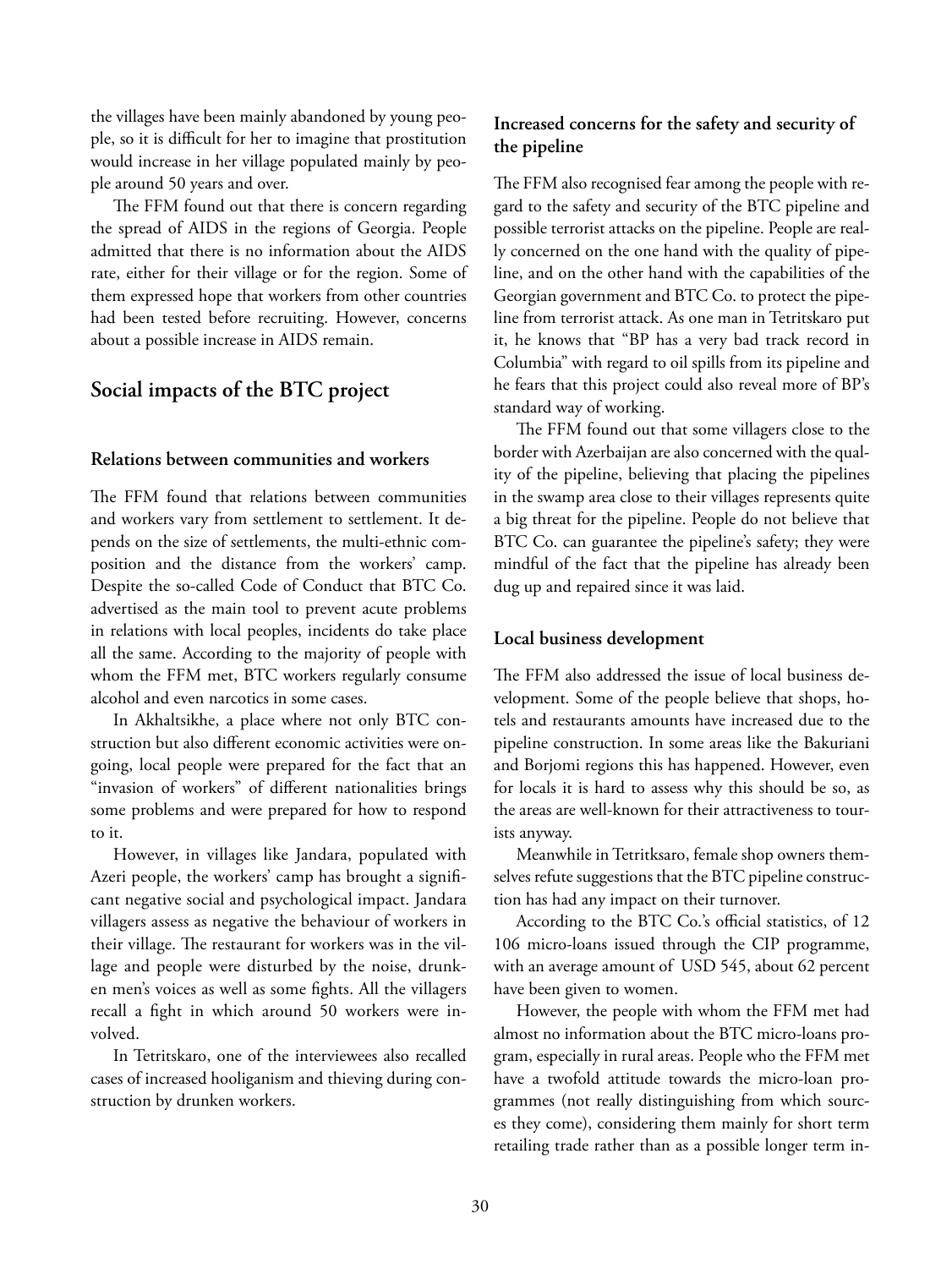the villages have been mainly abandoned by young people, so it is difficult for her to imagine that prostitution would increase in her village populated mainly by people around 50 years and over.

The FFM found out that there is concern regarding the spread of AIDS in the regions of Georgia. People admitted that there is no information about the AIDS rate, either for their village or for the region. Some of them expressed hope that workers from other countries had been tested before recruiting. However, concerns about a possible increase in AIDS remain.

#### **Social impacts of the BTC project**

#### **Relations between communities and workers**

The FFM found that relations between communities and workers vary from settlement to settlement. It depends on the size of settlements, the multi-ethnic composition and the distance from the workers' camp. Despite the so-called Code of Conduct that BTC Co. advertised as the main tool to prevent acute problems in relations with local peoples, incidents do take place all the same. According to the majority of people with whom the FFM met, BTC workers regularly consume alcohol and even narcotics in some cases.

In Akhaltsikhe, a place where not only BTC construction but also different economic activities were ongoing, local people were prepared for the fact that an "invasion of workers" of different nationalities brings some problems and were prepared for how to respond to it.

However, in villages like Jandara, populated with Azeri people, the workers' camp has brought a significant negative social and psychological impact. Jandara villagers assess as negative the behaviour of workers in their village. The restaurant for workers was in the village and people were disturbed by the noise, drunken men's voices as well as some fights. All the villagers recall a fight in which around 50 workers were involved.

In Tetritskaro, one of the interviewees also recalled cases of increased hooliganism and thieving during construction by drunken workers.

#### **Increased concerns for the safety and security of the pipeline**

The FFM also recognised fear among the people with regard to the safety and security of the BTC pipeline and possible terrorist attacks on the pipeline. People are really concerned on the one hand with the quality of pipeline, and on the other hand with the capabilities of the Georgian government and BTC Co. to protect the pipeline from terrorist attack. As one man in Tetritskaro put it, he knows that "BP has a very bad track record in Columbia" with regard to oil spills from its pipeline and he fears that this project could also reveal more of BP's standard way of working.

The FFM found out that some villagers close to the border with Azerbaijan are also concerned with the quality of the pipeline, believing that placing the pipelines in the swamp area close to their villages represents quite a big threat for the pipeline. People do not believe that BTC Co. can guarantee the pipeline's safety; they were mindful of the fact that the pipeline has already been dug up and repaired since it was laid.

#### **Local business development**

The FFM also addressed the issue of local business development. Some of the people believe that shops, hotels and restaurants amounts have increased due to the pipeline construction. In some areas like the Bakuriani and Borjomi regions this has happened. However, even for locals it is hard to assess why this should be so, as the areas are well-known for their attractiveness to tourists anyway.

Meanwhile in Tetritksaro, female shop owners themselves refute suggestions that the BTC pipeline construction has had any impact on their turnover.

According to the BTC Co.'s official statistics, of 12 106 micro-loans issued through the CIP programme, with an average amount of USD 545, about 62 percent have been given to women.

However, the people with whom the FFM met had almost no information about the BTC micro-loans program, especially in rural areas. People who the FFM met have a twofold attitude towards the micro-loan programmes (not really distinguishing from which sources they come), considering them mainly for short term retailing trade rather than as a possible longer term in-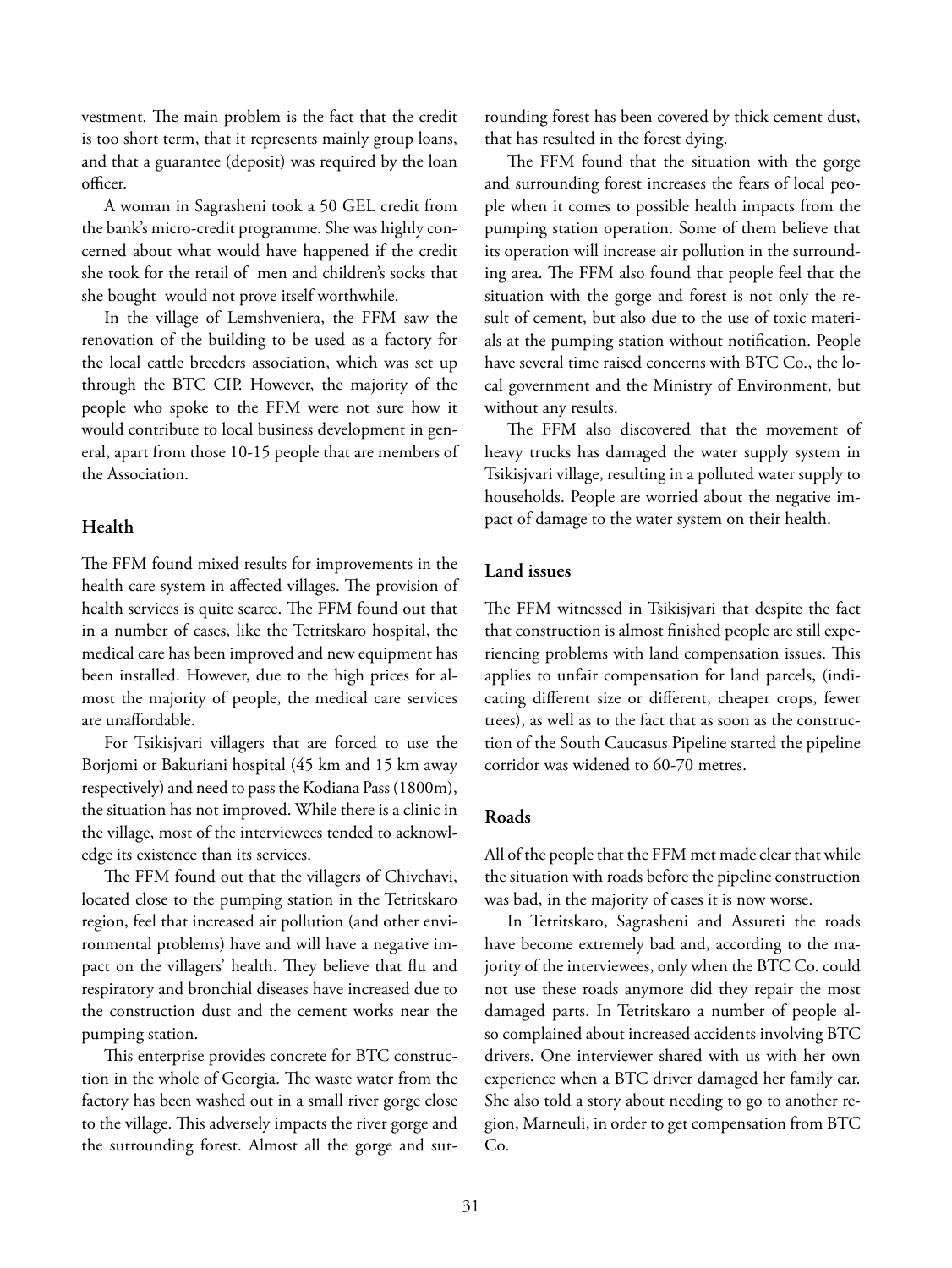vestment. The main problem is the fact that the credit is too short term, that it represents mainly group loans, and that a guarantee (deposit) was required by the loan officer

A woman in Sagrasheni took a 50 GEL credit from the bank's micro-credit programme. She was highly concerned about what would have happened if the credit she took for the retail of men and children's socks that she bought would not prove itself worthwhile.

In the village of Lemshveniera, the FFM saw the renovation of the building to be used as a factory for the local cattle breeders association, which was set up through the BTC CIP. However, the majority of the people who spoke to the FFM were not sure how it would contribute to local business development in general, apart from those 10-15 people that are members of the Association.

#### **Health**

The FFM found mixed results for improvements in the health care system in affected villages. The provision of health services is quite scarce. The FFM found out that in a number of cases, like the Tetritskaro hospital, the medical care has been improved and new equipment has been installed. However, due to the high prices for almost the majority of people, the medical care services are unaffordable.

For Tsikisjvari villagers that are forced to use the Borjomi or Bakuriani hospital (45 km and 15 km away respectively) and need to pass the Kodiana Pass (1800m), the situation has not improved. While there is a clinic in the village, most of the interviewees tended to acknowledge its existence than its services.

The FFM found out that the villagers of Chivchavi, located close to the pumping station in the Tetritskaro region, feel that increased air pollution (and other environmental problems) have and will have a negative impact on the villagers' health. They believe that flu and respiratory and bronchial diseases have increased due to the construction dust and the cement works near the pumping station.

This enterprise provides concrete for BTC construction in the whole of Georgia. The waste water from the factory has been washed out in a small river gorge close to the village. This adversely impacts the river gorge and the surrounding forest. Almost all the gorge and surrounding forest has been covered by thick cement dust, that has resulted in the forest dying.

The FFM found that the situation with the gorge and surrounding forest increases the fears of local people when it comes to possible health impacts from the pumping station operation. Some of them believe that its operation will increase air pollution in the surrounding area. The FFM also found that people feel that the situation with the gorge and forest is not only the result of cement, but also due to the use of toxic materials at the pumping station without notification. People have several time raised concerns with BTC Co., the local government and the Ministry of Environment, but without any results.

The FFM also discovered that the movement of heavy trucks has damaged the water supply system in Tsikisjvari village, resulting in a polluted water supply to households. People are worried about the negative impact of damage to the water system on their health.

#### **Land issues**

The FFM witnessed in Tsikisjvari that despite the fact that construction is almost finished people are still experiencing problems with land compensation issues. This applies to unfair compensation for land parcels, (indicating different size or different, cheaper crops, fewer trees), as well as to the fact that as soon as the construction of the South Caucasus Pipeline started the pipeline corridor was widened to 60-70 metres.

#### **Roads**

All of the people that the FFM met made clear that while the situation with roads before the pipeline construction was bad, in the majority of cases it is now worse.

In Tetritskaro, Sagrasheni and Assureti the roads have become extremely bad and, according to the majority of the interviewees, only when the BTC Co. could not use these roads anymore did they repair the most damaged parts. In Tetritskaro a number of people also complained about increased accidents involving BTC drivers. One interviewer shared with us with her own experience when a BTC driver damaged her family car. She also told a story about needing to go to another region, Marneuli, in order to get compensation from BTC Co.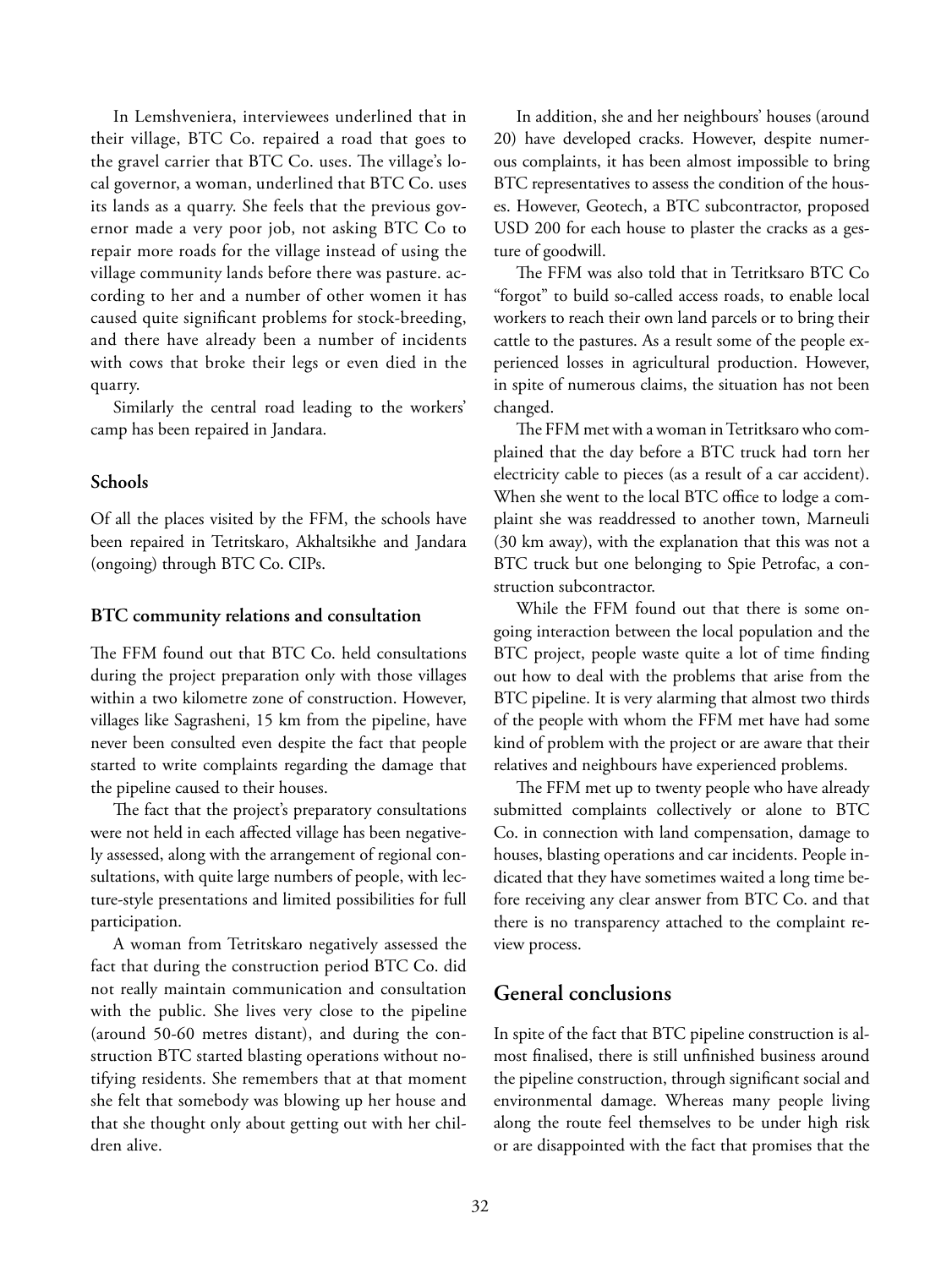In Lemshveniera, interviewees underlined that in their village, BTC Co. repaired a road that goes to the gravel carrier that BTC Co. uses. The village's local governor, a woman, underlined that BTC Co. uses its lands as a quarry. She feels that the previous governor made a very poor job, not asking BTC Co to repair more roads for the village instead of using the village community lands before there was pasture. according to her and a number of other women it has caused quite significant problems for stock-breeding, and there have already been a number of incidents with cows that broke their legs or even died in the quarry.

Similarly the central road leading to the workers' camp has been repaired in Jandara.

#### **Schools**

Of all the places visited by the FFM, the schools have been repaired in Tetritskaro, Akhaltsikhe and Jandara (ongoing) through BTC Co. CIPs.

#### **BTC community relations and consultation**

The FFM found out that BTC Co. held consultations during the project preparation only with those villages within a two kilometre zone of construction. However, villages like Sagrasheni, 15 km from the pipeline, have never been consulted even despite the fact that people started to write complaints regarding the damage that the pipeline caused to their houses.

The fact that the project's preparatory consultations were not held in each affected village has been negatively assessed, along with the arrangement of regional consultations, with quite large numbers of people, with lecture-style presentations and limited possibilities for full participation.

A woman from Tetritskaro negatively assessed the fact that during the construction period BTC Co. did not really maintain communication and consultation with the public. She lives very close to the pipeline (around 50-60 metres distant), and during the construction BTC started blasting operations without notifying residents. She remembers that at that moment she felt that somebody was blowing up her house and that she thought only about getting out with her children alive.

In addition, she and her neighbours' houses (around 20) have developed cracks. However, despite numerous complaints, it has been almost impossible to bring BTC representatives to assess the condition of the houses. However, Geotech, a BTC subcontractor, proposed USD 200 for each house to plaster the cracks as a gesture of goodwill.

The FFM was also told that in Tetritksaro BTC Co "forgot" to build so-called access roads, to enable local workers to reach their own land parcels or to bring their cattle to the pastures. As a result some of the people experienced losses in agricultural production. However, in spite of numerous claims, the situation has not been changed.

The FFM met with a woman in Tetritksaro who complained that the day before a BTC truck had torn her electricity cable to pieces (as a result of a car accident). When she went to the local BTC office to lodge a complaint she was readdressed to another town, Marneuli (30 km away), with the explanation that this was not a BTC truck but one belonging to Spie Petrofac, a construction subcontractor.

While the FFM found out that there is some ongoing interaction between the local population and the BTC project, people waste quite a lot of time finding out how to deal with the problems that arise from the BTC pipeline. It is very alarming that almost two thirds of the people with whom the FFM met have had some kind of problem with the project or are aware that their relatives and neighbours have experienced problems.

The FFM met up to twenty people who have already submitted complaints collectively or alone to BTC Co. in connection with land compensation, damage to houses, blasting operations and car incidents. People indicated that they have sometimes waited a long time before receiving any clear answer from BTC Co. and that there is no transparency attached to the complaint review process.

#### **General conclusions**

In spite of the fact that BTC pipeline construction is almost finalised, there is still unfinished business around the pipeline construction, through significant social and environmental damage. Whereas many people living along the route feel themselves to be under high risk or are disappointed with the fact that promises that the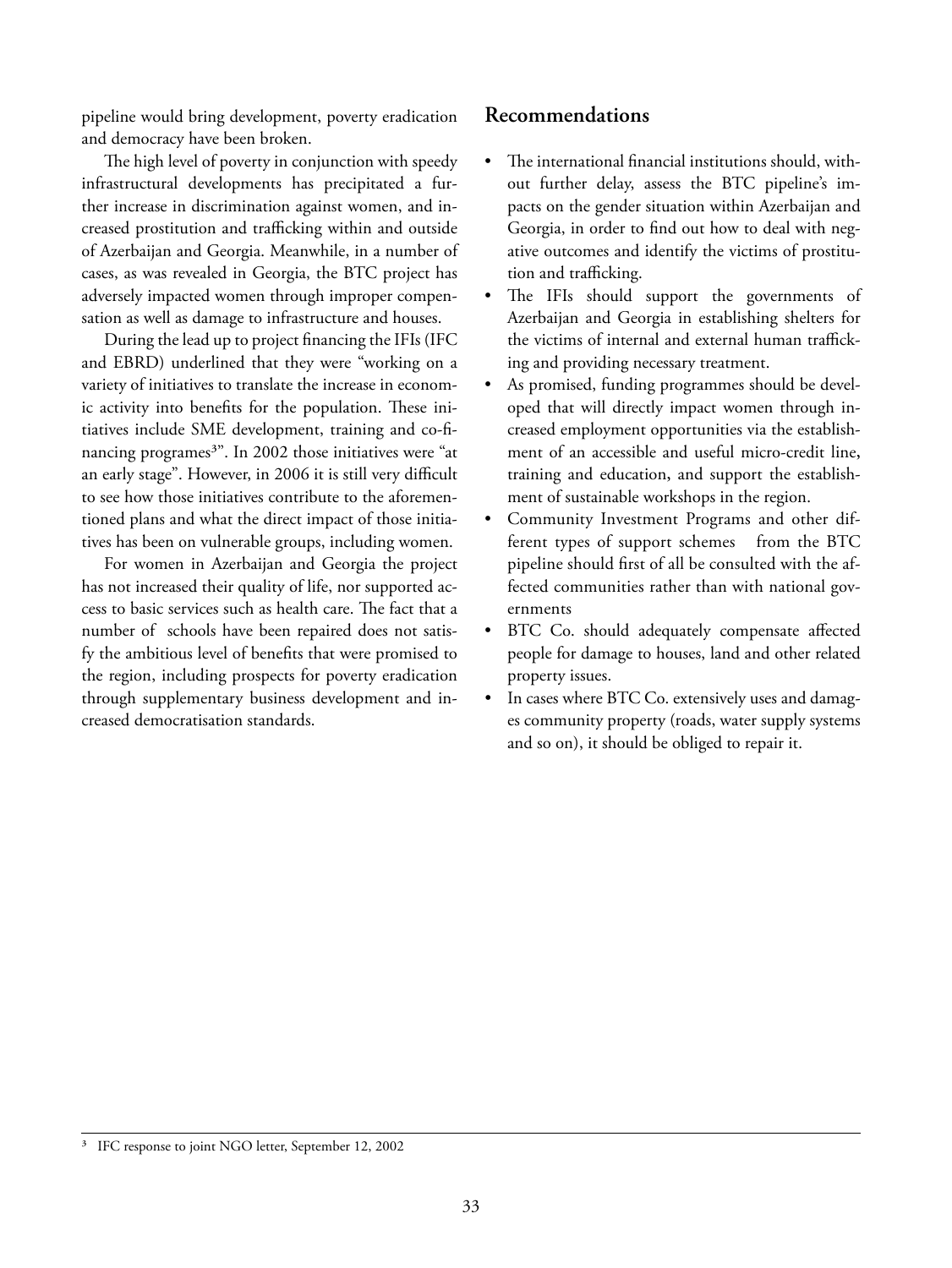pipeline would bring development, poverty eradication and democracy have been broken.

The high level of poverty in conjunction with speedy infrastructural developments has precipitated a further increase in discrimination against women, and increased prostitution and trafficking within and outside of Azerbaijan and Georgia. Meanwhile, in a number of cases, as was revealed in Georgia, the BTC project has adversely impacted women through improper compensation as well as damage to infrastructure and houses.

During the lead up to project financing the IFIs (IFC and EBRD) underlined that they were "working on a variety of initiatives to translate the increase in economic activity into benefits for the population. These initiatives include SME development, training and co-financing programes<sup>3"</sup>. In 2002 those initiatives were "at an early stage". However, in 2006 it is still very difficult to see how those initiatives contribute to the aforementioned plans and what the direct impact of those initiatives has been on vulnerable groups, including women.

For women in Azerbaijan and Georgia the project has not increased their quality of life, nor supported access to basic services such as health care. The fact that a number of schools have been repaired does not satisfy the ambitious level of benefits that were promised to the region, including prospects for poverty eradication through supplementary business development and increased democratisation standards.

#### **Recommendations**

- The international financial institutions should, without further delay, assess the BTC pipeline's impacts on the gender situation within Azerbaijan and Georgia, in order to find out how to deal with negative outcomes and identify the victims of prostitution and trafficking.
- The IFIs should support the governments of Azerbaijan and Georgia in establishing shelters for the victims of internal and external human trafficking and providing necessary treatment.
- As promised, funding programmes should be developed that will directly impact women through increased employment opportunities via the establishment of an accessible and useful micro-credit line**,**  training and education**,** and support the establishment of sustainable workshops in the region.
- Community Investment Programs and other different types of support schemes from the BTC pipeline should first of all be consulted with the affected communities rather than with national governments
- BTC Co. should adequately compensate affected people for damage to houses, land and other related property issues.
- In cases where BTC Co. extensively uses and damages community property (roads, water supply systems and so on), it should be obliged to repair it.

IFC response to joint NGO letter, September 12, 2002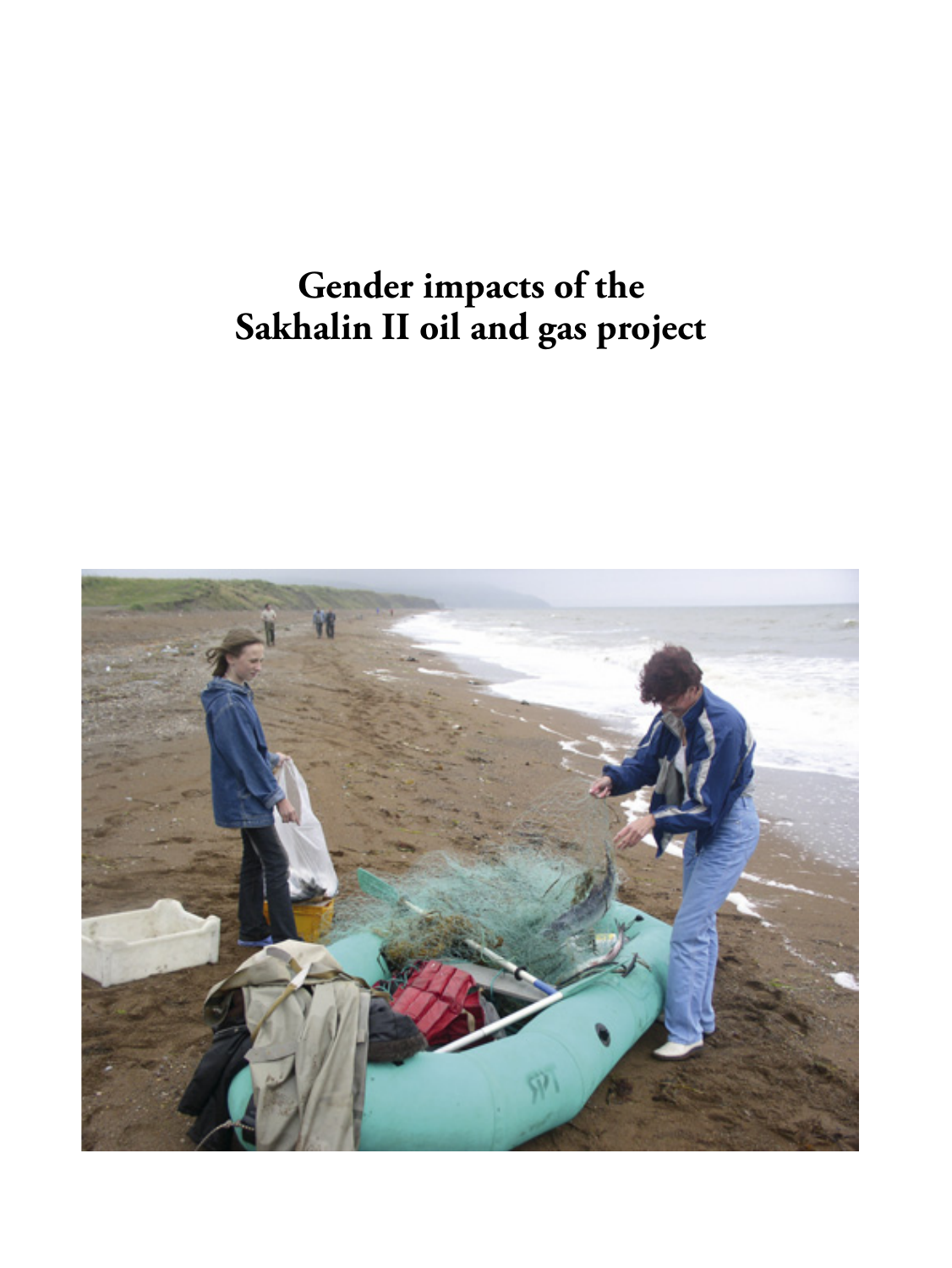## **Gender impacts of the Sakhalin II oil and gas project**

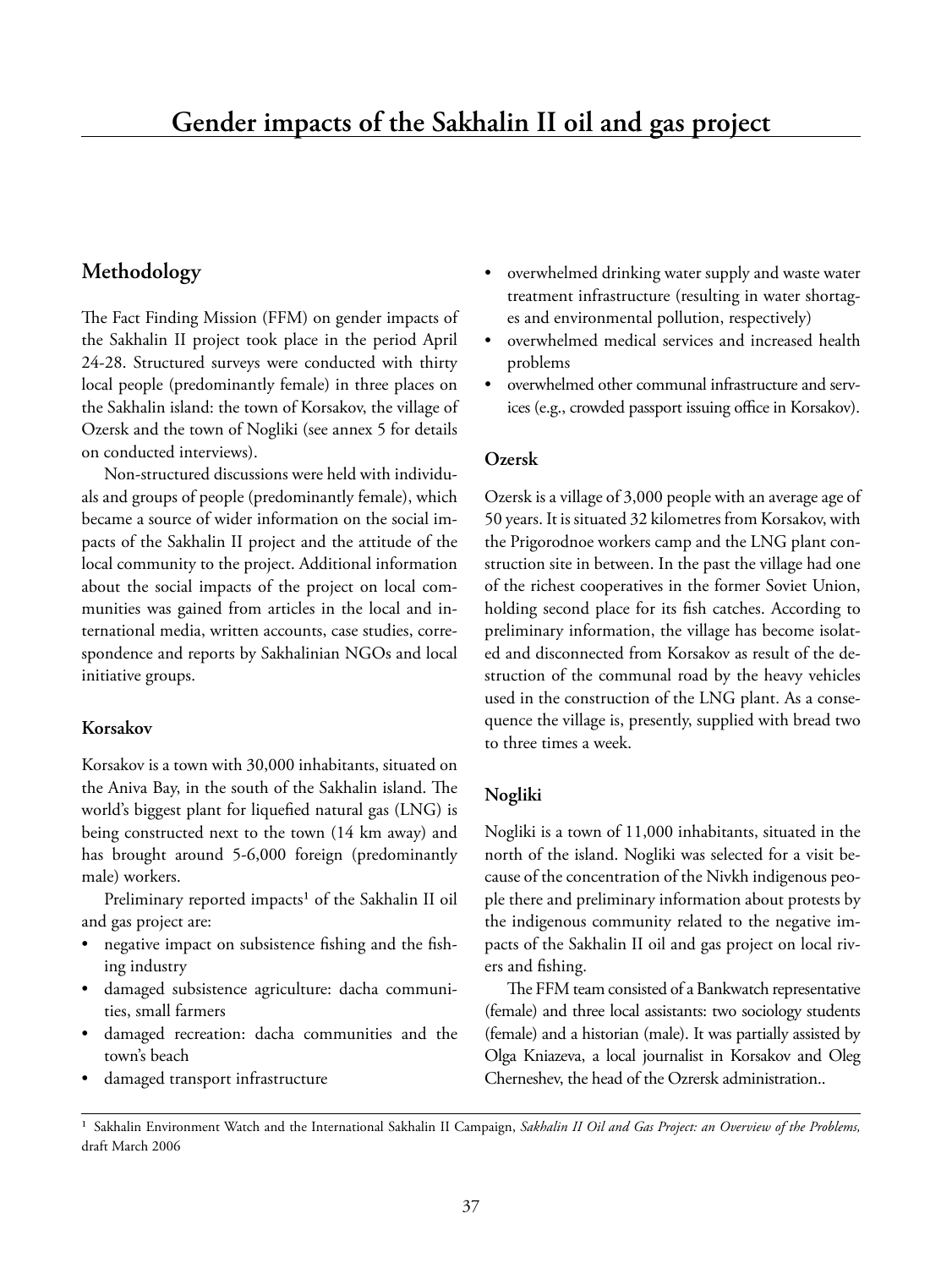#### **Methodology**

The Fact Finding Mission (FFM) on gender impacts of the Sakhalin II project took place in the period April 24-28. Structured surveys were conducted with thirty local people (predominantly female) in three places on the Sakhalin island: the town of Korsakov, the village of Ozersk and the town of Nogliki (see annex 5 for details on conducted interviews).

Non-structured discussions were held with individuals and groups of people (predominantly female), which became a source of wider information on the social impacts of the Sakhalin II project and the attitude of the local community to the project. Additional information about the social impacts of the project on local communities was gained from articles in the local and international media, written accounts, case studies, correspondence and reports by Sakhalinian NGOs and local initiative groups.

#### **Korsakov**

Korsakov is a town with 30,000 inhabitants, situated on the Aniva Bay, in the south of the Sakhalin island. The world's biggest plant for liquefied natural gas (LNG) is being constructed next to the town (14 km away) and has brought around 5-6,000 foreign (predominantly male) workers.

Preliminary reported impacts<sup>1</sup> of the Sakhalin II oil and gas project are:

- negative impact on subsistence fishing and the fishing industry
- damaged subsistence agriculture: dacha communities, small farmers
- damaged recreation: dacha communities and the town's beach
- damaged transport infrastructure
- overwhelmed drinking water supply and waste water treatment infrastructure (resulting in water shortages and environmental pollution, respectively)
- overwhelmed medical services and increased health problems
- overwhelmed other communal infrastructure and services (e.g., crowded passport issuing office in Korsakov).

#### **Ozersk**

Ozersk is a village of 3,000 people with an average age of 50 years. It is situated 32 kilometres from Korsakov, with the Prigorodnoe workers camp and the LNG plant construction site in between. In the past the village had one of the richest cooperatives in the former Soviet Union, holding second place for its fish catches. According to preliminary information, the village has become isolated and disconnected from Korsakov as result of the destruction of the communal road by the heavy vehicles used in the construction of the LNG plant. As a consequence the village is, presently, supplied with bread two to three times a week.

#### **Nogliki**

Nogliki is a town of 11,000 inhabitants, situated in the north of the island. Nogliki was selected for a visit because of the concentration of the Nivkh indigenous people there and preliminary information about protests by the indigenous community related to the negative impacts of the Sakhalin II oil and gas project on local rivers and fishing.

The FFM team consisted of a Bankwatch representative (female) and three local assistants: two sociology students (female) and a historian (male). It was partially assisted by Olga Kniazeva, a local journalist in Korsakov and Oleg Cherneshev, the head of the Ozrersk administration..

<sup>&</sup>lt;sup>1</sup> Sakhalin Environment Watch and the International Sakhalin II Campaign, Sakhalin II Oil and Gas Project: an Overview of the Problems, draft March 2006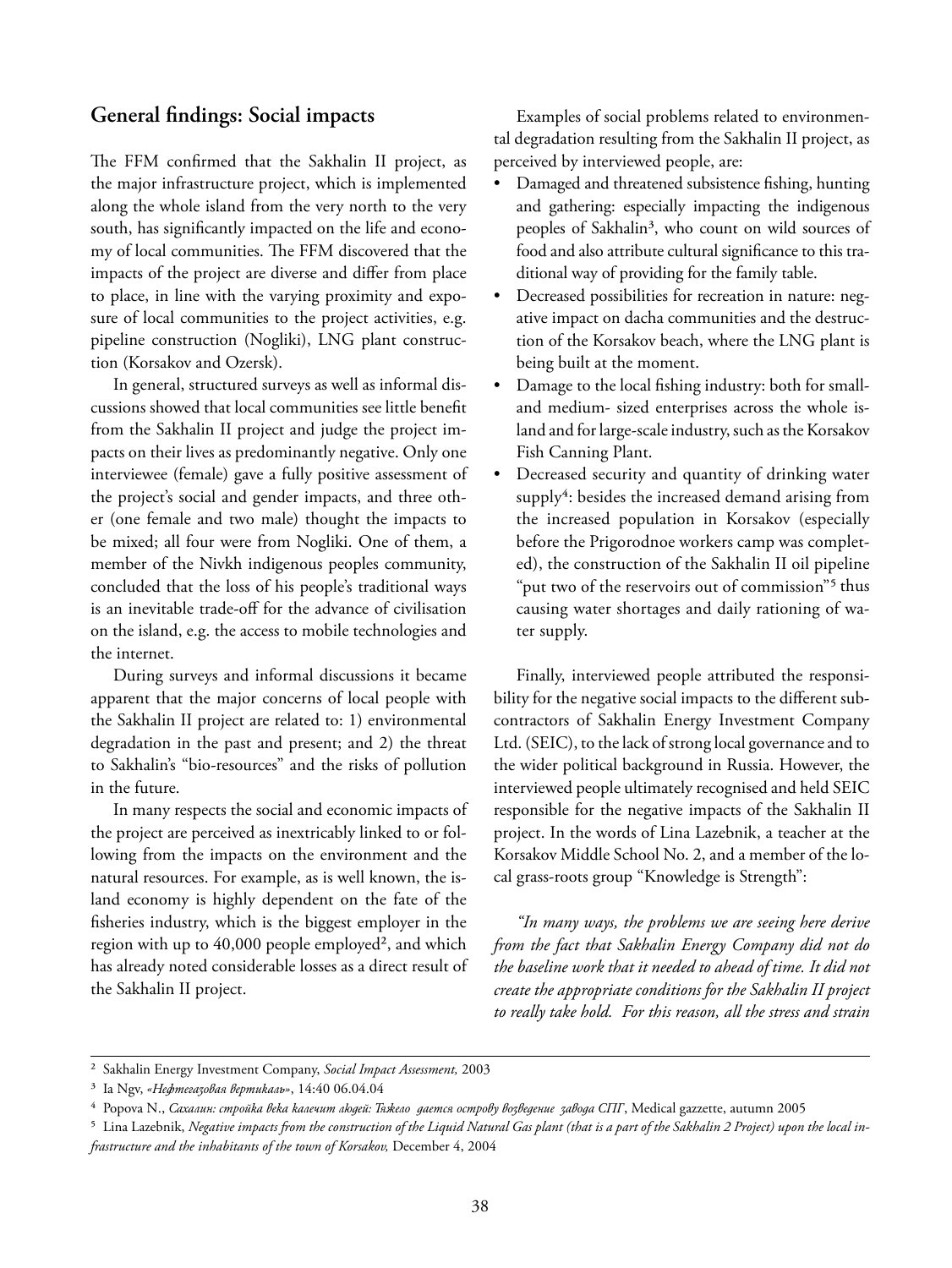#### **General findings: Social impacts**

The FFM confirmed that the Sakhalin II project, as the major infrastructure project, which is implemented along the whole island from the very north to the very south, has significantly impacted on the life and economy of local communities. The FFM discovered that the impacts of the project are diverse and differ from place to place, in line with the varying proximity and exposure of local communities to the project activities, e.g. pipeline construction (Nogliki), LNG plant construction (Korsakov and Ozersk).

In general, structured surveys as well as informal discussions showed that local communities see little benefit from the Sakhalin II project and judge the project impacts on their lives as predominantly negative. Only one interviewee (female) gave a fully positive assessment of the project's social and gender impacts, and three other (one female and two male) thought the impacts to be mixed; all four were from Nogliki. One of them, a member of the Nivkh indigenous peoples community, concluded that the loss of his people's traditional ways is an inevitable trade-off for the advance of civilisation on the island, e.g. the access to mobile technologies and the internet.

During surveys and informal discussions it became apparent that the major concerns of local people with the Sakhalin II project are related to: 1) environmental degradation in the past and present; and 2) the threat to Sakhalin's "bio-resources" and the risks of pollution in the future.

In many respects the social and economic impacts of the project are perceived as inextricably linked to or following from the impacts on the environment and the natural resources. For example, as is well known, the island economy is highly dependent on the fate of the fisheries industry, which is the biggest employer in the region with up to 40,000 people employed², and which has already noted considerable losses as a direct result of the Sakhalin II project.

Examples of social problems related to environmental degradation resulting from the Sakhalin II project, as perceived by interviewed people, are:

- Damaged and threatened subsistence fishing, hunting and gathering: especially impacting the indigenous peoples of Sakhalin<sup>3</sup>, who count on wild sources of food and also attribute cultural significance to this traditional way of providing for the family table.
- Decreased possibilities for recreation in nature: negative impact on dacha communities and the destruction of the Korsakov beach, where the LNG plant is being built at the moment.
- Damage to the local fishing industry: both for smalland medium- sized enterprises across the whole island and for large-scale industry, such as the Korsakov Fish Canning Plant.
- Decreased security and quantity of drinking water supply<sup>4</sup>: besides the increased demand arising from the increased population in Korsakov (especially before the Prigorodnoe workers camp was completed), the construction of the Sakhalin II oil pipeline "put two of the reservoirs out of commission"<sup>5</sup> thus causing water shortages and daily rationing of water supply.

Finally, interviewed people attributed the responsibility for the negative social impacts to the different subcontractors of Sakhalin Energy Investment Company Ltd. (SEIC), to the lack of strong local governance and to the wider political background in Russia. However, the interviewed people ultimately recognised and held SEIC responsible for the negative impacts of the Sakhalin II project. In the words of Lina Lazebnik, a teacher at the Korsakov Middle School No. 2, and a member of the local grass-roots group "Knowledge is Strength":

*"In many ways, the problems we are seeing here derive from the fact that Sakhalin Energy Company did not do the baseline work that it needed to ahead of time. It did not create the appropriate conditions for the Sakhalin II project to really take hold. For this reason, all the stress and strain* 

² Sakhalin Energy Investment Company, *Social Impact Assessment,* 2003

³ Ia Ngv, *«Нефтегазовая вертикаль»*, 14:40 06.04.04

⁴ Popova N., *Сахалин: стройка века калечит людей: Тяжело дается острову возведение завода СПГ*, Medical gazzette, autumn 2005

⁵ Lina Lazebnik, *Negative impacts from the construction of the Liquid Natural Gas plant (that is a part of the Sakhalin 2 Project) upon the local infrastructure and the inhabitants of the town of Korsakov,* December 4, 2004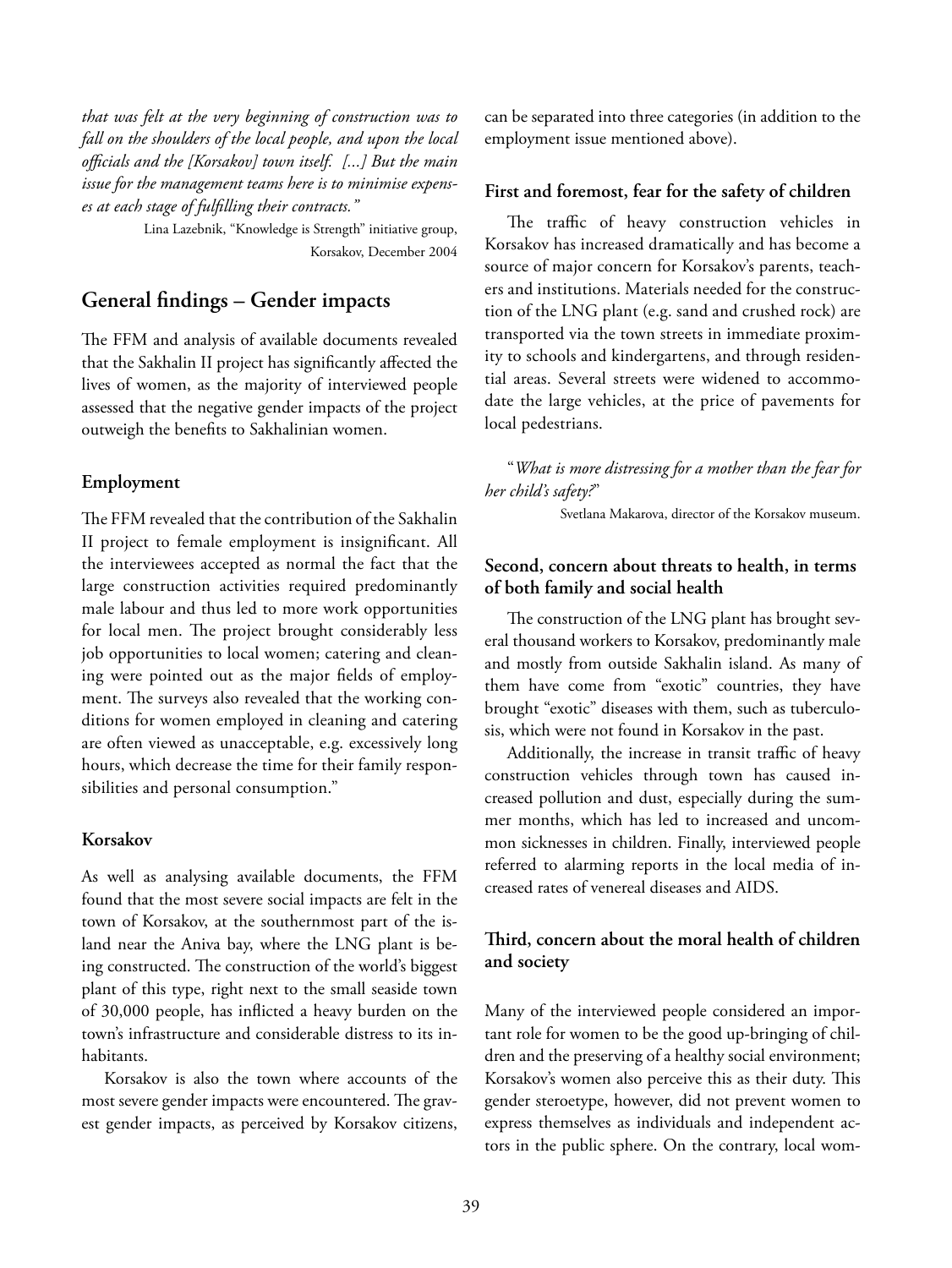*that was felt at the very beginning of construction was to fall on the shoulders of the local people, and upon the local offi cials and the [Korsakov] town itself. [...] But the main issue for the management teams here is to minimise expenses at each stage of fulfi lling their contracts."*

> Lina Lazebnik, "Knowledge is Strength" initiative group, Korsakov, December 2004

#### **General fi ndings – Gender impacts**

The FFM and analysis of available documents revealed that the Sakhalin II project has significantly affected the lives of women, as the majority of interviewed people assessed that the negative gender impacts of the project outweigh the benefits to Sakhalinian women.

#### **Employment**

The FFM revealed that the contribution of the Sakhalin II project to female employment is insignificant. All the interviewees accepted as normal the fact that the large construction activities required predominantly male labour and thus led to more work opportunities for local men. The project brought considerably less job opportunities to local women; catering and cleaning were pointed out as the major fields of employment. The surveys also revealed that the working conditions for women employed in cleaning and catering are often viewed as unacceptable, e.g. excessively long hours, which decrease the time for their family responsibilities and personal consumption."

#### **Korsakov**

As well as analysing available documents, the FFM found that the most severe social impacts are felt in the town of Korsakov, at the southernmost part of the island near the Aniva bay, where the LNG plant is being constructed. The construction of the world's biggest plant of this type, right next to the small seaside town of 30,000 people, has inflicted a heavy burden on the town's infrastructure and considerable distress to its inhabitants.

Korsakov is also the town where accounts of the most severe gender impacts were encountered. The gravest gender impacts, as perceived by Korsakov citizens,

can be separated into three categories (in addition to the employment issue mentioned above).

#### **First and foremost, fear for the safety of children**

The traffic of heavy construction vehicles in Korsakov has increased dramatically and has become a source of major concern for Korsakov's parents, teachers and institutions. Materials needed for the construction of the LNG plant (e.g. sand and crushed rock) are transported via the town streets in immediate proximity to schools and kindergartens, and through residential areas. Several streets were widened to accommodate the large vehicles, at the price of pavements for local pedestrians.

"*What is more distressing for a mother than the fear for her child's safety?*"

Svetlana Makarova, director of the Korsakov museum.

#### **Second, concern about threats to health, in terms of both family and social health**

The construction of the LNG plant has brought several thousand workers to Korsakov, predominantly male and mostly from outside Sakhalin island. As many of them have come from "exotic" countries, they have brought "exotic" diseases with them, such as tuberculosis, which were not found in Korsakov in the past.

Additionally, the increase in transit traffic of heavy construction vehicles through town has caused increased pollution and dust, especially during the summer months, which has led to increased and uncommon sicknesses in children. Finally, interviewed people referred to alarming reports in the local media of increased rates of venereal diseases and AIDS.

#### Third, concern about the moral health of children **and society**

Many of the interviewed people considered an important role for women to be the good up-bringing of children and the preserving of a healthy social environment; Korsakov's women also perceive this as their duty. This gender steroetype, however, did not prevent women to express themselves as individuals and independent actors in the public sphere. On the contrary, local wom-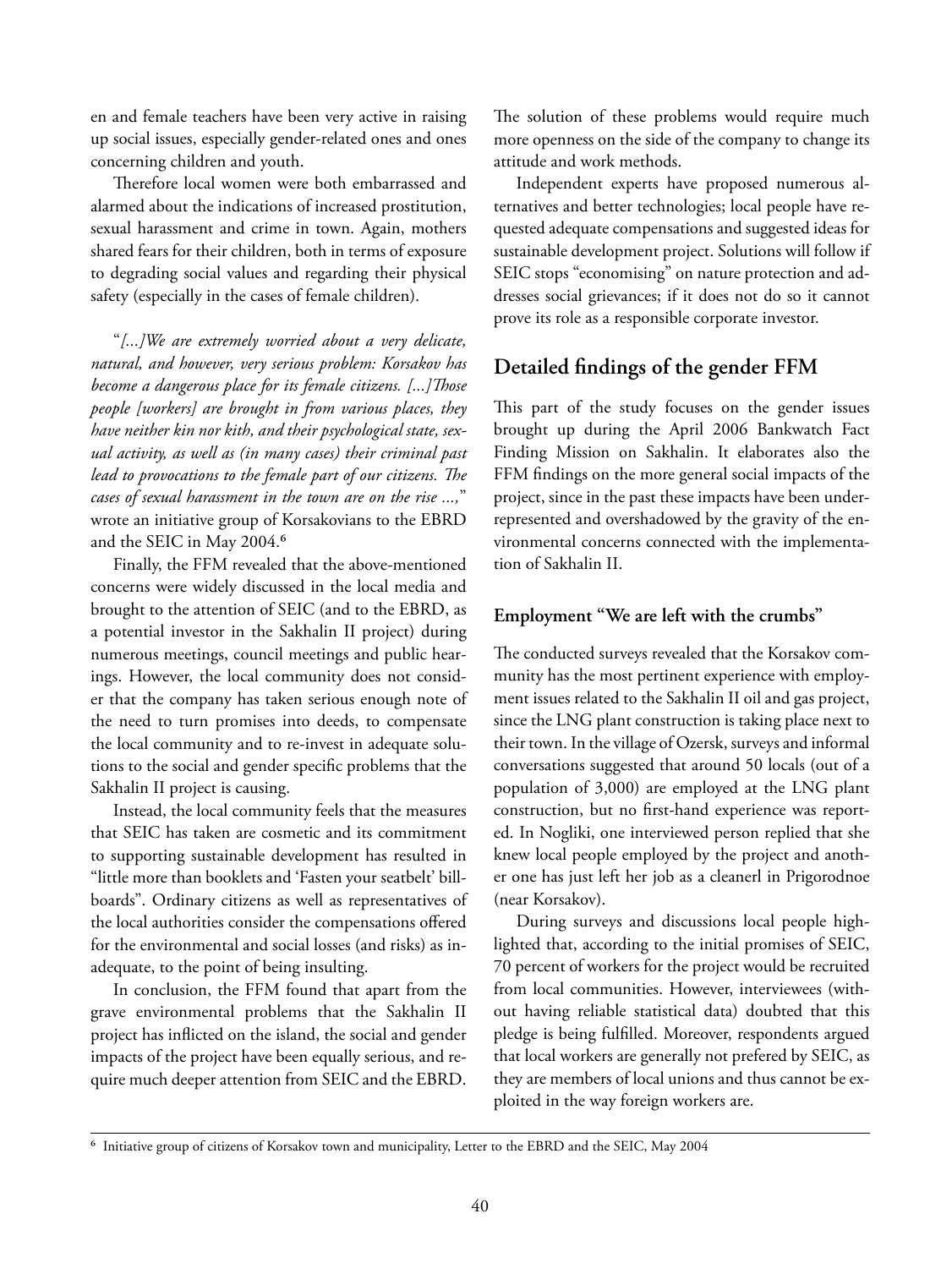en and female teachers have been very active in raising up social issues, especially gender-related ones and ones concerning children and youth.

Therefore local women were both embarrassed and alarmed about the indications of increased prostitution, sexual harassment and crime in town. Again, mothers shared fears for their children, both in terms of exposure to degrading social values and regarding their physical safety (especially in the cases of female children).

"*[...]We are extremely worried about a very delicate, natural, and however, very serious problem: Korsakov has become a dangerous place for its female citizens.* [...] Those *people [workers] are brought in from various places, they have neither kin nor kith, and their psychological state, sexual activity, as well as (in many cases) their criminal past lead to provocations to the female part of our citizens. The cases of sexual harassment in the town are on the rise ...,*" wrote an initiative group of Korsakovians to the EBRD and the SEIC in May 2004.<sup>6</sup>

Finally, the FFM revealed that the above-mentioned concerns were widely discussed in the local media and brought to the attention of SEIC (and to the EBRD, as a potential investor in the Sakhalin II project) during numerous meetings, council meetings and public hearings. However, the local community does not consider that the company has taken serious enough note of the need to turn promises into deeds, to compensate the local community and to re-invest in adequate solutions to the social and gender specific problems that the Sakhalin II project is causing.

Instead, the local community feels that the measures that SEIC has taken are cosmetic and its commitment to supporting sustainable development has resulted in "little more than booklets and 'Fasten your seatbelt' billboards". Ordinary citizens as well as representatives of the local authorities consider the compensations offered for the environmental and social losses (and risks) as inadequate, to the point of being insulting.

In conclusion, the FFM found that apart from the grave environmental problems that the Sakhalin II project has inflicted on the island, the social and gender impacts of the project have been equally serious, and require much deeper attention from SEIC and the EBRD.

The solution of these problems would require much more openness on the side of the company to change its attitude and work methods.

Independent experts have proposed numerous alternatives and better technologies; local people have requested adequate compensations and suggested ideas for sustainable development project. Solutions will follow if SEIC stops "economising" on nature protection and addresses social grievances; if it does not do so it cannot prove its role as a responsible corporate investor.

#### **Detailed findings of the gender FFM**

This part of the study focuses on the gender issues brought up during the April 2006 Bankwatch Fact Finding Mission on Sakhalin. It elaborates also the FFM findings on the more general social impacts of the project, since in the past these impacts have been underrepresented and overshadowed by the gravity of the environmental concerns connected with the implementation of Sakhalin II.

#### **Employment "We are left with the crumbs"**

The conducted surveys revealed that the Korsakov community has the most pertinent experience with employment issues related to the Sakhalin II oil and gas project, since the LNG plant construction is taking place next to their town. In the village of Ozersk, surveys and informal conversations suggested that around 50 locals (out of a population of 3,000) are employed at the LNG plant construction, but no first-hand experience was reported. In Nogliki, one interviewed person replied that she knew local people employed by the project and another one has just left her job as a cleanerl in Prigorodnoe (near Korsakov).

During surveys and discussions local people highlighted that, according to the initial promises of SEIC, 70 percent of workers for the project would be recruited from local communities. However, interviewees (without having reliable statistical data) doubted that this pledge is being fulfilled. Moreover, respondents argued that local workers are generally not prefered by SEIC, as they are members of local unions and thus cannot be exploited in the way foreign workers are.

⁶ Initiative group of citizens of Korsakov town and municipality, Letter to the EBRD and the SEIC, May 2004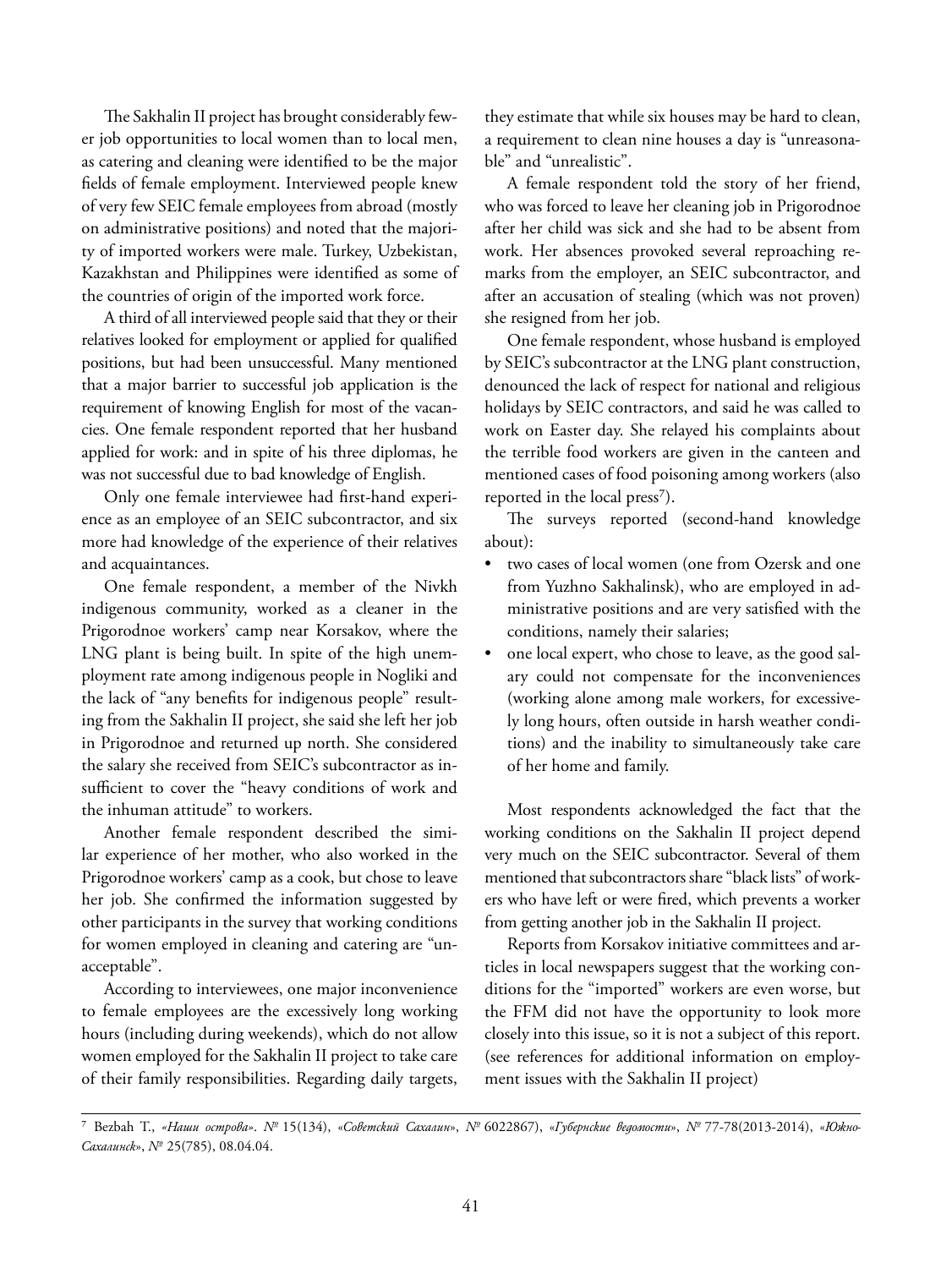The Sakhalin II project has brought considerably fewer job opportunities to local women than to local men, as catering and cleaning were identified to be the major fields of female employment. Interviewed people knew of very few SEIC female employees from abroad (mostly on administrative positions) and noted that the majority of imported workers were male. Turkey, Uzbekistan, Kazakhstan and Philippines were identified as some of the countries of origin of the imported work force.

A third of all interviewed people said that they or their relatives looked for employment or applied for qualified positions, but had been unsuccessful. Many mentioned that a major barrier to successful job application is the requirement of knowing English for most of the vacancies. One female respondent reported that her husband applied for work: and in spite of his three diplomas, he was not successful due to bad knowledge of English.

Only one female interviewee had first-hand experience as an employee of an SEIC subcontractor, and six more had knowledge of the experience of their relatives and acquaintances.

One female respondent, a member of the Nivkh indigenous community, worked as a cleaner in the Prigorodnoe workers' camp near Korsakov, where the LNG plant is being built. In spite of the high unemployment rate among indigenous people in Nogliki and the lack of "any benefits for indigenous people" resulting from the Sakhalin II project, she said she left her job in Prigorodnoe and returned up north. She considered the salary she received from SEIC's subcontractor as insufficient to cover the "heavy conditions of work and the inhuman attitude" to workers.

Another female respondent described the similar experience of her mother, who also worked in the Prigorodnoe workers' camp as a cook, but chose to leave her job. She confirmed the information suggested by other participants in the survey that working conditions for women employed in cleaning and catering are "unacceptable".

According to interviewees, one major inconvenience to female employees are the excessively long working hours (including during weekends), which do not allow women employed for the Sakhalin II project to take care of their family responsibilities. Regarding daily targets,

they estimate that while six houses may be hard to clean, a requirement to clean nine houses a day is "unreasonable" and "unrealistic".

A female respondent told the story of her friend, who was forced to leave her cleaning job in Prigorodnoe after her child was sick and she had to be absent from work. Her absences provoked several reproaching remarks from the employer, an SEIC subcontractor, and after an accusation of stealing (which was not proven) she resigned from her job.

One female respondent, whose husband is employed by SEIC's subcontractor at the LNG plant construction, denounced the lack of respect for national and religious holidays by SEIC contractors, and said he was called to work on Easter day. She relayed his complaints about the terrible food workers are given in the canteen and mentioned cases of food poisoning among workers (also reported in the local press<sup>7</sup>).

The surveys reported (second-hand knowledge about):

- two cases of local women (one from Ozersk and one from Yuzhno Sakhalinsk), who are employed in administrative positions and are very satisfied with the conditions, namely their salaries;
- one local expert, who chose to leave, as the good salary could not compensate for the inconveniences (working alone among male workers, for excessively long hours, often outside in harsh weather conditions) and the inability to simultaneously take care of her home and family.

Most respondents acknowledged the fact that the working conditions on the Sakhalin II project depend very much on the SEIC subcontractor. Several of them mentioned that subcontractors share "black lists" of workers who have left or were fired, which prevents a worker from getting another job in the Sakhalin II project.

Reports from Korsakov initiative committees and articles in local newspapers suggest that the working conditions for the "imported" workers are even worse, but the FFM did not have the opportunity to look more closely into this issue, so it is not a subject of this report. (see references for additional information on employment issues with the Sakhalin II project)

⁷ Bezbah T., *«Наши острова»*. *№* 15(134), «*Советский Сахалин*», *№* 6022867), «*Губернские ведомости*», *№* 77-78(2013-2014), «*Южно-Сахалинск*», *№* 25(785), 08.04.04.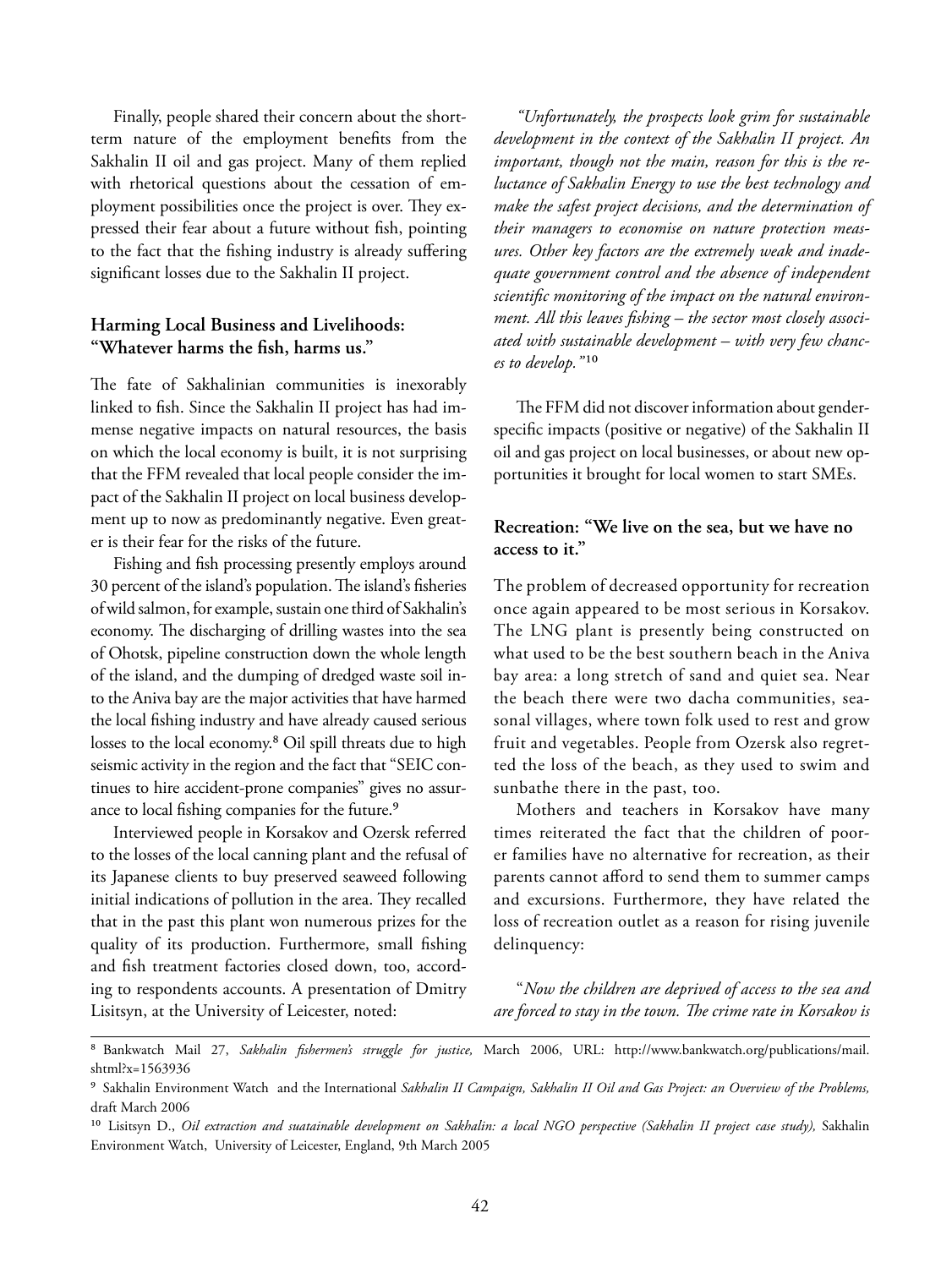Finally, people shared their concern about the shortterm nature of the employment benefits from the Sakhalin II oil and gas project. Many of them replied with rhetorical questions about the cessation of employment possibilities once the project is over. They expressed their fear about a future without fish, pointing to the fact that the fishing industry is already suffering significant losses due to the Sakhalin II project.

#### **Harming Local Business and Livelihoods:**  "Whatever harms the fish, harms us."

The fate of Sakhalinian communities is inexorably linked to fish. Since the Sakhalin II project has had immense negative impacts on natural resources, the basis on which the local economy is built, it is not surprising that the FFM revealed that local people consider the impact of the Sakhalin II project on local business development up to now as predominantly negative. Even greater is their fear for the risks of the future.

Fishing and fish processing presently employs around 30 percent of the island's population. The island's fisheries of wild salmon, for example, sustain one third of Sakhalin's economy. The discharging of drilling wastes into the sea of Ohotsk, pipeline construction down the whole length of the island, and the dumping of dredged waste soil into the Aniva bay are the major activities that have harmed the local fishing industry and have already caused serious losses to the local economy.<sup>8</sup> Oil spill threats due to high seismic activity in the region and the fact that "SEIC continues to hire accident-prone companies" gives no assurance to local fishing companies for the future.<sup>9</sup>

Interviewed people in Korsakov and Ozersk referred to the losses of the local canning plant and the refusal of its Japanese clients to buy preserved seaweed following initial indications of pollution in the area. They recalled that in the past this plant won numerous prizes for the quality of its production. Furthermore, small fishing and fish treatment factories closed down, too, according to respondents accounts. A presentation of Dmitry Lisitsyn, at the University of Leicester, noted:

*"Unfortunately, the prospects look grim for sustainable development in the context of the Sakhalin II project. An important, though not the main, reason for this is the reluctance of Sakhalin Energy to use the best technology and make the safest project decisions, and the determination of their managers to economise on nature protection measures. Other key factors are the extremely weak and inadequate government control and the absence of independent*  scientific monitoring of the impact on the natural environment. All this leaves fishing – the sector most closely associ*ated with sustainable development – with very few chances to develop.*"<sup>10</sup>

The FFM did not discover information about genderspecific impacts (positive or negative) of the Sakhalin II oil and gas project on local businesses, or about new opportunities it brought for local women to start SMEs.

#### **Recreation: "We live on the sea, but we have no access to it."**

The problem of decreased opportunity for recreation once again appeared to be most serious in Korsakov. The LNG plant is presently being constructed on what used to be the best southern beach in the Aniva bay area: a long stretch of sand and quiet sea. Near the beach there were two dacha communities, seasonal villages, where town folk used to rest and grow fruit and vegetables. People from Ozersk also regretted the loss of the beach, as they used to swim and sunbathe there in the past, too.

Mothers and teachers in Korsakov have many times reiterated the fact that the children of poorer families have no alternative for recreation, as their parents cannot afford to send them to summer camps and excursions. Furthermore, they have related the loss of recreation outlet as a reason for rising juvenile delinquency:

"*Now the children are deprived of access to the sea and are forced to stay in the town. The crime rate in Korsakov is* 

<sup>&</sup>lt;sup>8</sup> Bankwatch Mail 27, Sakhalin fishermen's struggle for justice, March 2006, URL: http://www.bankwatch.org/publications/mail. shtml?x=1563936

⁹ Sakhalin Environment Watch and the International *Sakhalin II Campaign, Sakhalin II Oil and Gas Project: an Overview of the Problems,* draft March 2006

<sup>&</sup>lt;sup>10</sup> Lisitsyn D., *Oil extraction and suatainable development on Sakhalin: a local NGO perspective (Sakhalin II project case study)*, Sakhalin Environment Watch, University of Leicester, England, 9th March 2005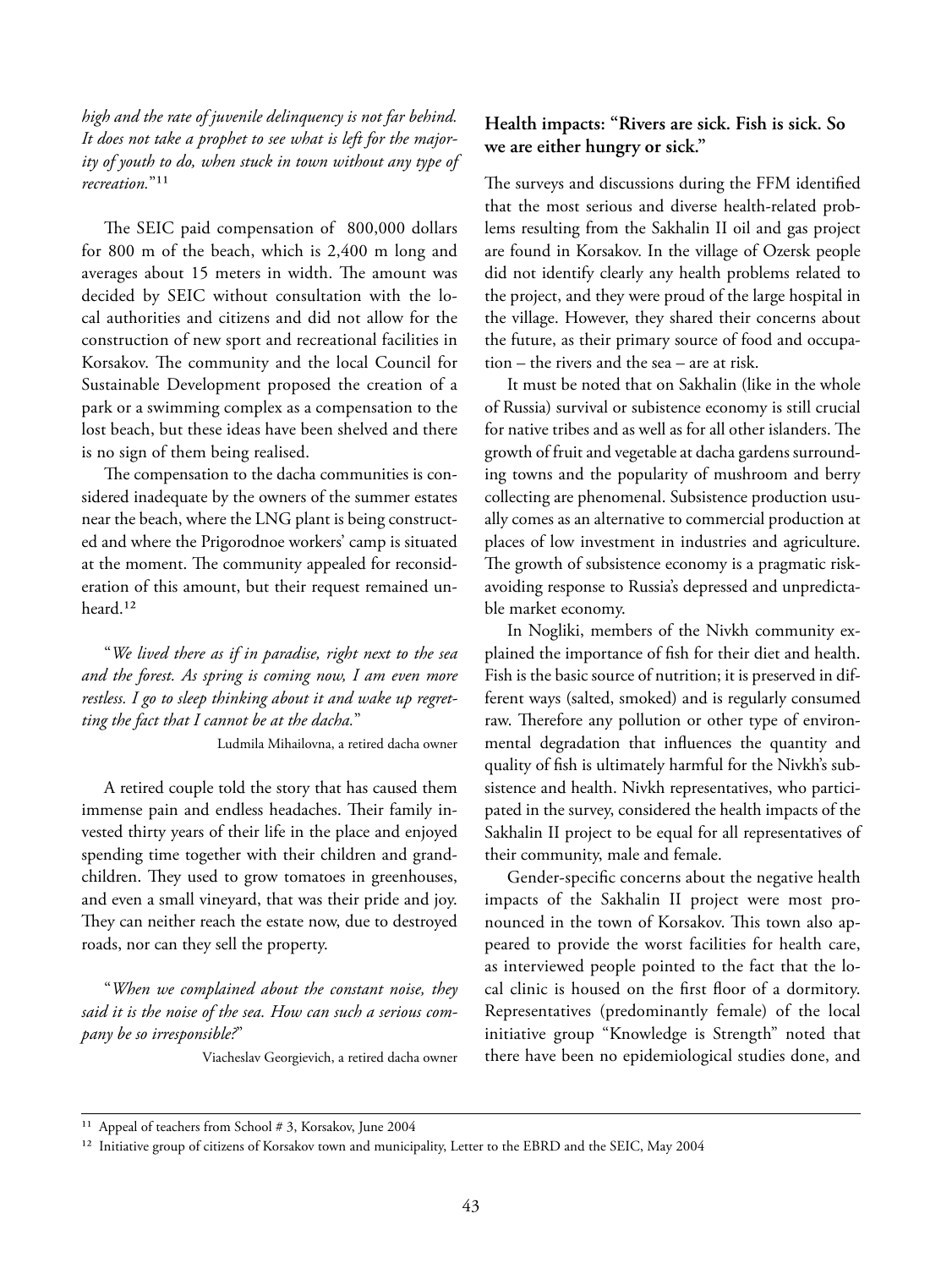*high and the rate of juvenile delinquency is not far behind. It does not take a prophet to see what is left for the majority of youth to do, when stuck in town without any type of recreation*<sup>"11</sup>

The SEIC paid compensation of 800,000 dollars for 800 m of the beach, which is 2,400 m long and averages about 15 meters in width. The amount was decided by SEIC without consultation with the local authorities and citizens and did not allow for the construction of new sport and recreational facilities in Korsakov. The community and the local Council for Sustainable Development proposed the creation of a park or a swimming complex as a compensation to the lost beach, but these ideas have been shelved and there is no sign of them being realised.

The compensation to the dacha communities is considered inadequate by the owners of the summer estates near the beach, where the LNG plant is being constructed and where the Prigorodnoe workers' camp is situated at the moment. The community appealed for reconsideration of this amount, but their request remained unheard.<sup>12</sup>

"*We lived there as if in paradise, right next to the sea and the forest. As spring is coming now, I am even more restless. I go to sleep thinking about it and wake up regretting the fact that I cannot be at the dacha.*"

Ludmila Mihailovna, a retired dacha owner

A retired couple told the story that has caused them immense pain and endless headaches. Their family invested thirty years of their life in the place and enjoyed spending time together with their children and grandchildren. They used to grow tomatoes in greenhouses, and even a small vineyard, that was their pride and joy. They can neither reach the estate now, due to destroyed roads, nor can they sell the property.

"*When we complained about the constant noise, they said it is the noise of the sea. How can such a serious company be so irresponsible?*"

Viacheslav Georgievich, a retired dacha owner

#### **Health impacts: "Rivers are sick. Fish is sick. So we are either hungry or sick."**

The surveys and discussions during the FFM identified that the most serious and diverse health-related problems resulting from the Sakhalin II oil and gas project are found in Korsakov. In the village of Ozersk people did not identify clearly any health problems related to the project, and they were proud of the large hospital in the village. However, they shared their concerns about the future, as their primary source of food and occupation – the rivers and the sea – are at risk.

It must be noted that on Sakhalin (like in the whole of Russia) survival or subistence economy is still crucial for native tribes and as well as for all other islanders. The growth of fruit and vegetable at dacha gardens surrounding towns and the popularity of mushroom and berry collecting are phenomenal. Subsistence production usually comes as an alternative to commercial production at places of low investment in industries and agriculture. The growth of subsistence economy is a pragmatic riskavoiding response to Russia's depressed and unpredictable market economy.

In Nogliki, members of the Nivkh community explained the importance of fish for their diet and health. Fish is the basic source of nutrition; it is preserved in different ways (salted, smoked) and is regularly consumed raw. Therefore any pollution or other type of environmental degradation that influences the quantity and quality of fish is ultimately harmful for the Nivkh's subsistence and health. Nivkh representatives, who participated in the survey, considered the health impacts of the Sakhalin II project to be equal for all representatives of their community, male and female.

Gender-specific concerns about the negative health impacts of the Sakhalin II project were most pronounced in the town of Korsakov. This town also appeared to provide the worst facilities for health care, as interviewed people pointed to the fact that the local clinic is housed on the first floor of a dormitory. Representatives (predominantly female) of the local initiative group "Knowledge is Strength" noted that there have been no epidemiological studies done, and

<sup>&</sup>lt;sup>11</sup> Appeal of teachers from School # 3, Korsakov, June 2004

<sup>&</sup>lt;sup>12</sup> Initiative group of citizens of Korsakov town and municipality, Letter to the EBRD and the SEIC, May 2004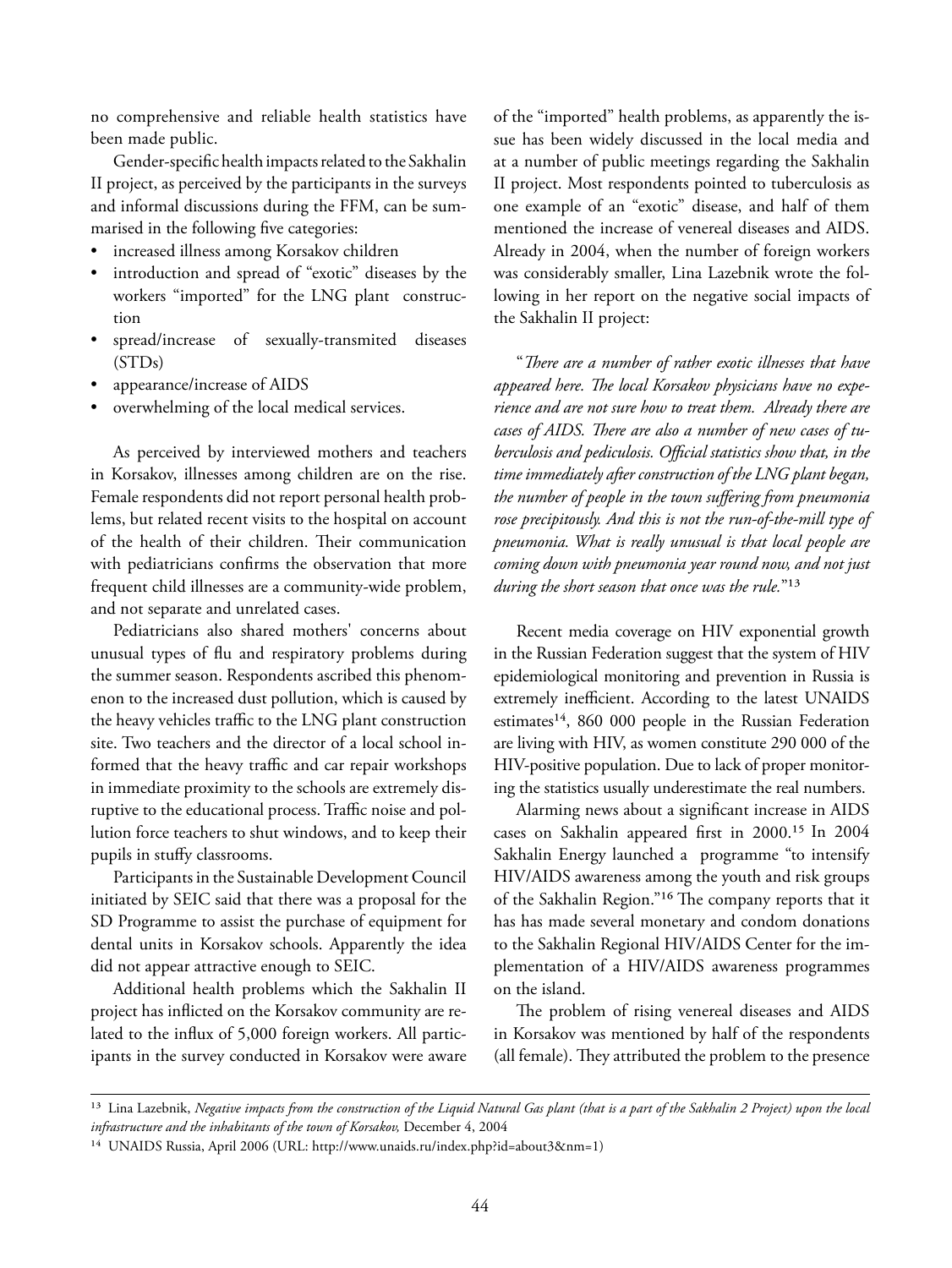no comprehensive and reliable health statistics have been made public.

Gender-specific health impacts related to the Sakhalin II project, as perceived by the participants in the surveys and informal discussions during the FFM, can be summarised in the following five categories:

- increased illness among Korsakov children
- introduction and spread of "exotic" diseases by the workers "imported" for the LNG plant construction
- spread/increase of sexually-transmited diseases (STDs)
- appearance/increase of AIDS
- overwhelming of the local medical services.

As perceived by interviewed mothers and teachers in Korsakov, illnesses among children are on the rise. Female respondents did not report personal health problems, but related recent visits to the hospital on account of the health of their children. Their communication with pediatricians confirms the observation that more frequent child illnesses are a community-wide problem, and not separate and unrelated cases.

Pediatricians also shared mothers' concerns about unusual types of flu and respiratory problems during the summer season. Respondents ascribed this phenomenon to the increased dust pollution, which is caused by the heavy vehicles traffic to the LNG plant construction site. Two teachers and the director of a local school informed that the heavy traffic and car repair workshops in immediate proximity to the schools are extremely disruptive to the educational process. Traffic noise and pollution force teachers to shut windows, and to keep their pupils in stuffy classrooms.

Participants in the Sustainable Development Council initiated by SEIC said that there was a proposal for the SD Programme to assist the purchase of equipment for dental units in Korsakov schools. Apparently the idea did not appear attractive enough to SEIC.

Additional health problems which the Sakhalin II project has inflicted on the Korsakov community are related to the influx of 5,000 foreign workers. All participants in the survey conducted in Korsakov were aware

of the "imported" health problems, as apparently the issue has been widely discussed in the local media and at a number of public meetings regarding the Sakhalin II project. Most respondents pointed to tuberculosis as one example of an "exotic" disease, and half of them mentioned the increase of venereal diseases and AIDS. Already in 2004, when the number of foreign workers was considerably smaller, Lina Lazebnik wrote the following in her report on the negative social impacts of the Sakhalin II project:

"*Th ere are a number of rather exotic illnesses that have*  appeared here. The local Korsakov physicians have no expe*rience and are not sure how to treat them. Already there are*  cases of AIDS. There are also a number of new cases of tuberculosis and pediculosis. Official statistics show that, in the *time immediately after construction of the LNG plant began, the number of people in the town suffering from pneumonia rose precipitously. And this is not the run-of-the-mill type of pneumonia. What is really unusual is that local people are coming down with pneumonia year round now, and not just during the short season that once was the rule.*"<sup>13</sup>

Recent media coverage on HIV exponential growth in the Russian Federation suggest that the system of HIV epidemiological monitoring and prevention in Russia is extremely inefficient. According to the latest UNAIDS estimates<sup>14</sup>, 860 000 people in the Russian Federation are living with HIV, as women constitute 290 000 of the HIV-positive population. Due to lack of proper monitoring the statistics usually underestimate the real numbers.

Alarming news about a significant increase in AIDS cases on Sakhalin appeared first in  $2000$ .<sup>15</sup> In  $2004$ Sakhalin Energy launched a programme "to intensify HIV/AIDS awareness among the youth and risk groups of the Sakhalin Region."<sup>16</sup> The company reports that it has has made several monetary and condom donations to the Sakhalin Regional HIV/AIDS Center for the implementation of a HIV/AIDS awareness programmes on the island.

The problem of rising venereal diseases and AIDS in Korsakov was mentioned by half of the respondents (all female). They attributed the problem to the presence

<sup>&</sup>lt;sup>13</sup> Lina Lazebnik, *Negative impacts from the construction of the Liquid Natural Gas plant (that is a part of the Sakhalin 2 Project) upon the local infrastructure and the inhabitants of the town of Korsakov,* December 4, 2004

<sup>&</sup>lt;sup>14</sup> UNAIDS Russia, April 2006 (URL: http://www.unaids.ru/index.php?id=about3&nm=1)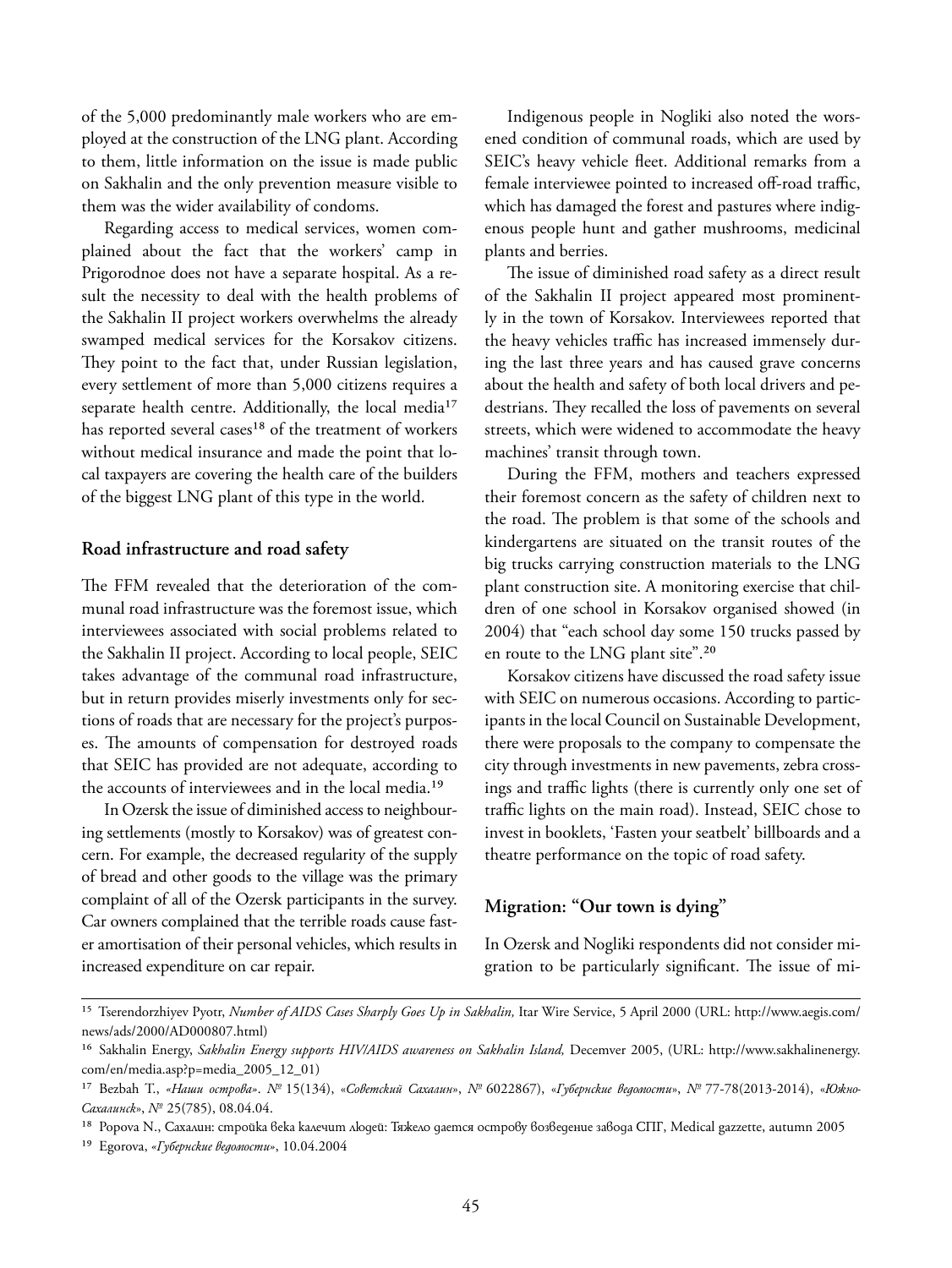of the 5,000 predominantly male workers who are employed at the construction of the LNG plant. According to them, little information on the issue is made public on Sakhalin and the only prevention measure visible to them was the wider availability of condoms.

Regarding access to medical services, women complained about the fact that the workers' camp in Prigorodnoe does not have a separate hospital. As a result the necessity to deal with the health problems of the Sakhalin II project workers overwhelms the already swamped medical services for the Korsakov citizens. They point to the fact that, under Russian legislation, every settlement of more than 5,000 citizens requires a separate health centre. Additionally, the local media<sup>17</sup> has reported several cases<sup>18</sup> of the treatment of workers without medical insurance and made the point that local taxpayers are covering the health care of the builders of the biggest LNG plant of this type in the world.

#### **Road infrastructure and road safety**

The FFM revealed that the deterioration of the communal road infrastructure was the foremost issue, which interviewees associated with social problems related to the Sakhalin II project. According to local people, SEIC takes advantage of the communal road infrastructure, but in return provides miserly investments only for sections of roads that are necessary for the project's purposes. The amounts of compensation for destroyed roads that SEIC has provided are not adequate, according to the accounts of interviewees and in the local media.<sup>19</sup>

In Ozersk the issue of diminished access to neighbouring settlements (mostly to Korsakov) was of greatest concern. For example, the decreased regularity of the supply of bread and other goods to the village was the primary complaint of all of the Ozersk participants in the survey. Car owners complained that the terrible roads cause faster amortisation of their personal vehicles, which results in increased expenditure on car repair.

Indigenous people in Nogliki also noted the worsened condition of communal roads, which are used by SEIC's heavy vehicle fleet. Additional remarks from a female interviewee pointed to increased off-road traffic, which has damaged the forest and pastures where indigenous people hunt and gather mushrooms, medicinal plants and berries.

The issue of diminished road safety as a direct result of the Sakhalin II project appeared most prominently in the town of Korsakov. Interviewees reported that the heavy vehicles traffic has increased immensely during the last three years and has caused grave concerns about the health and safety of both local drivers and pedestrians. They recalled the loss of pavements on several streets, which were widened to accommodate the heavy machines' transit through town.

During the FFM, mothers and teachers expressed their foremost concern as the safety of children next to the road. The problem is that some of the schools and kindergartens are situated on the transit routes of the big trucks carrying construction materials to the LNG plant construction site. A monitoring exercise that children of one school in Korsakov organised showed (in 2004) that "each school day some 150 trucks passed by en route to the LNG plant site".<sup>20</sup>

Korsakov citizens have discussed the road safety issue with SEIC on numerous occasions. According to participants in the local Council on Sustainable Development, there were proposals to the company to compensate the city through investments in new pavements, zebra crossings and traffic lights (there is currently only one set of traffic lights on the main road). Instead, SEIC chose to invest in booklets, 'Fasten your seatbelt' billboards and a theatre performance on the topic of road safety.

#### **Migration: "Our town is dying"**

In Ozersk and Nogliki respondents did not consider migration to be particularly significant. The issue of mi-

<sup>&</sup>lt;sup>15</sup> Tserendorzhiyev Pyotr, *Number of AIDS Cases Sharply Goes Up in Sakhalin*, Itar Wire Service, 5 April 2000 (URL: http://www.aegis.com/ news/ads/2000/AD000807.html)

<sup>&</sup>lt;sup>16</sup> Sakhalin Energy, Sakhalin Energy supports HIV/AIDS awareness on Sakhalin Island, Decemver 2005, (URL: http://www.sakhalinenergy. com/en/media.asp?p=media\_2005\_12\_01)

¹⁷ Bezbah T., *«Наши острова»*. *№* 15(134), «*Советский Сахалин*», *№* 6022867), «*Губернские ведомости*», *№* 77-78(2013-2014), «*Южно-Сахалинск*», *№* 25(785), 08.04.04.

<sup>&</sup>lt;sup>18</sup> Popova N., Сахалин: стройка века калечит людей: Тяжело дается острову возведение завода СПГ, Medical gazzette, autumn 2005

<sup>&</sup>lt;sup>19</sup> Egorova, «Губернские ведомости», 10.04.2004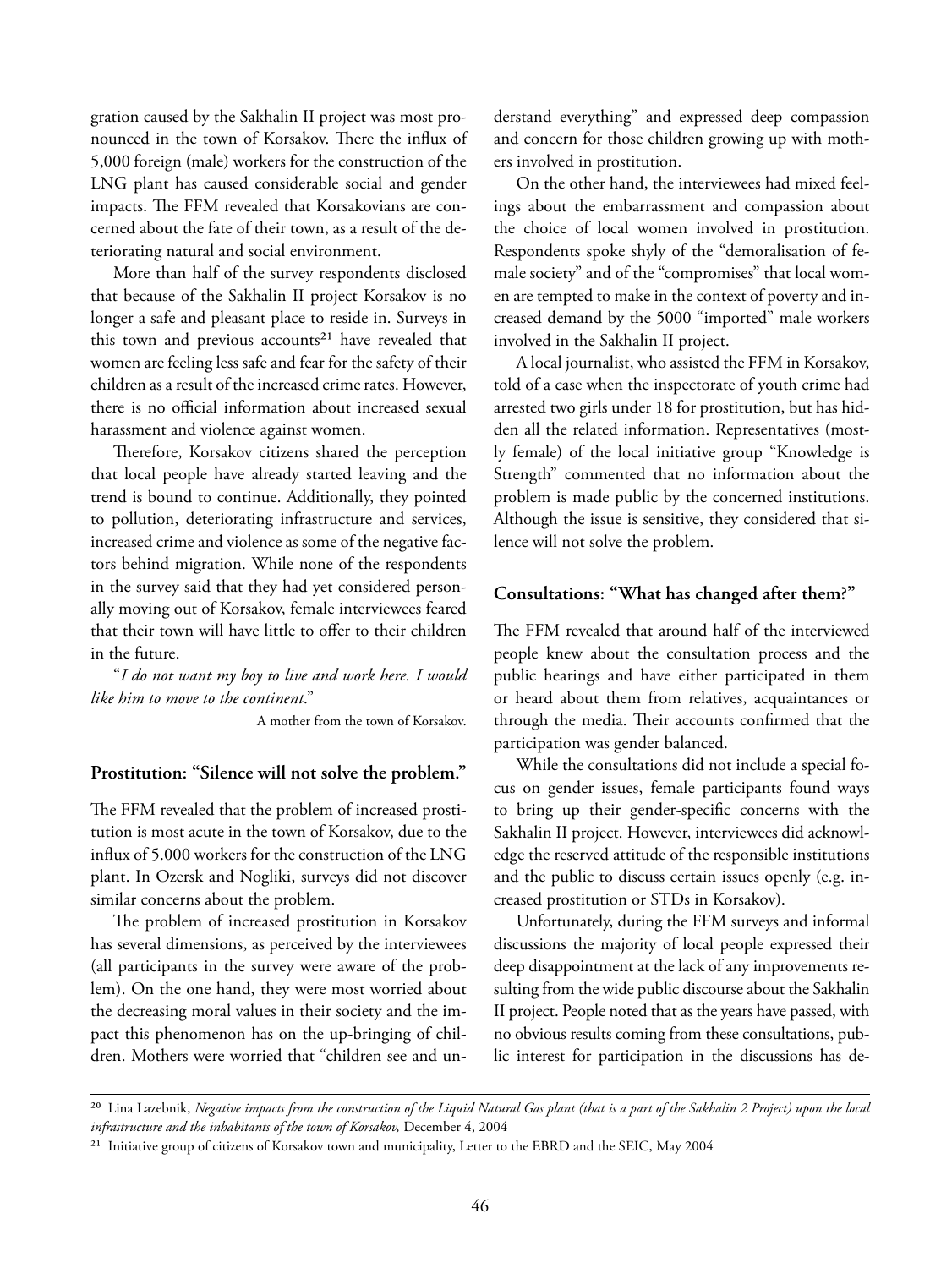gration caused by the Sakhalin II project was most pronounced in the town of Korsakov. There the influx of 5,000 foreign (male) workers for the construction of the LNG plant has caused considerable social and gender impacts. The FFM revealed that Korsakovians are concerned about the fate of their town, as a result of the deteriorating natural and social environment.

More than half of the survey respondents disclosed that because of the Sakhalin II project Korsakov is no longer a safe and pleasant place to reside in. Surveys in this town and previous accounts<sup>21</sup> have revealed that women are feeling less safe and fear for the safety of their children as a result of the increased crime rates. However, there is no official information about increased sexual harassment and violence against women.

Therefore, Korsakov citizens shared the perception that local people have already started leaving and the trend is bound to continue. Additionally, they pointed to pollution, deteriorating infrastructure and services, increased crime and violence as some of the negative factors behind migration. While none of the respondents in the survey said that they had yet considered personally moving out of Korsakov, female interviewees feared that their town will have little to offer to their children in the future.

"*I do not want my boy to live and work here. I would like him to move to the continent*."

A mother from the town of Korsakov.

#### **Prostitution: "Silence will not solve the problem."**

The FFM revealed that the problem of increased prostitution is most acute in the town of Korsakov, due to the influx of 5.000 workers for the construction of the LNG plant. In Ozersk and Nogliki, surveys did not discover similar concerns about the problem.

The problem of increased prostitution in Korsakov has several dimensions, as perceived by the interviewees (all participants in the survey were aware of the problem). On the one hand, they were most worried about the decreasing moral values in their society and the impact this phenomenon has on the up-bringing of children. Mothers were worried that "children see and un-

derstand everything" and expressed deep compassion and concern for those children growing up with mothers involved in prostitution.

On the other hand, the interviewees had mixed feelings about the embarrassment and compassion about the choice of local women involved in prostitution. Respondents spoke shyly of the "demoralisation of female society" and of the "compromises" that local women are tempted to make in the context of poverty and increased demand by the 5000 "imported" male workers involved in the Sakhalin II project.

A local journalist, who assisted the FFM in Korsakov, told of a case when the inspectorate of youth crime had arrested two girls under 18 for prostitution, but has hidden all the related information. Representatives (mostly female) of the local initiative group "Knowledge is Strength" commented that no information about the problem is made public by the concerned institutions. Although the issue is sensitive, they considered that silence will not solve the problem.

#### **Consultations: "What has changed after them?"**

The FFM revealed that around half of the interviewed people knew about the consultation process and the public hearings and have either participated in them or heard about them from relatives, acquaintances or through the media. Their accounts confirmed that the participation was gender balanced.

While the consultations did not include a special focus on gender issues, female participants found ways to bring up their gender-specific concerns with the Sakhalin II project. However, interviewees did acknowledge the reserved attitude of the responsible institutions and the public to discuss certain issues openly (e.g. increased prostitution or STDs in Korsakov).

Unfortunately, during the FFM surveys and informal discussions the majority of local people expressed their deep disappointment at the lack of any improvements resulting from the wide public discourse about the Sakhalin II project. People noted that as the years have passed, with no obvious results coming from these consultations, public interest for participation in the discussions has de-

<sup>&</sup>lt;sup>20</sup> Lina Lazebnik, *Negative impacts from the construction of the Liquid Natural Gas plant (that is a part of the Sakhalin 2 Project) upon the local infrastructure and the inhabitants of the town of Korsakov,* December 4, 2004

<sup>&</sup>lt;sup>21</sup> Initiative group of citizens of Korsakov town and municipality, Letter to the EBRD and the SEIC, May 2004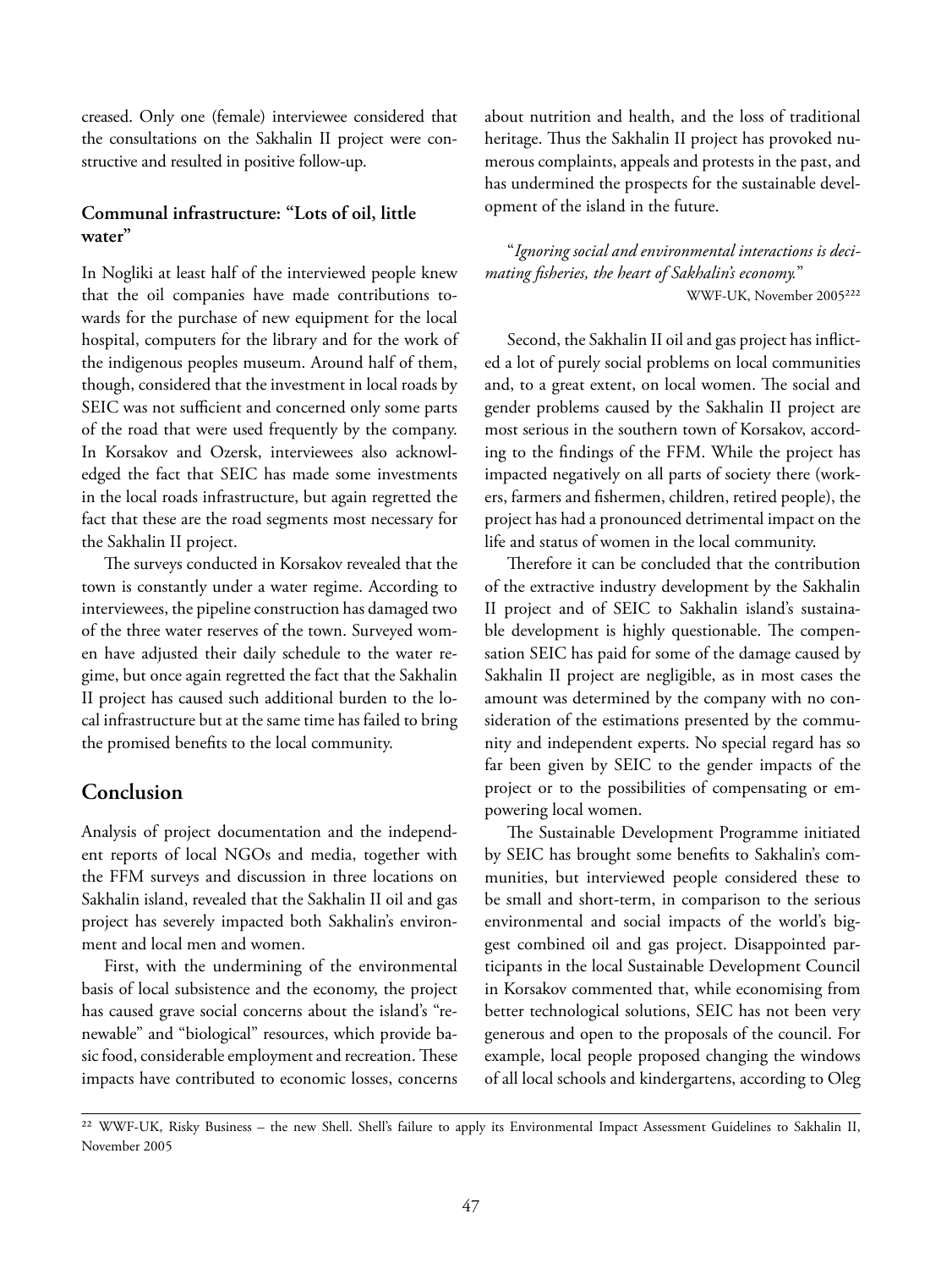creased. Only one (female) interviewee considered that the consultations on the Sakhalin II project were constructive and resulted in positive follow-up.

#### **Communal infrastructure: "Lots of oil, little water"**

In Nogliki at least half of the interviewed people knew that the oil companies have made contributions towards for the purchase of new equipment for the local hospital, computers for the library and for the work of the indigenous peoples museum. Around half of them, though, considered that the investment in local roads by SEIC was not sufficient and concerned only some parts of the road that were used frequently by the company. In Korsakov and Ozersk, interviewees also acknowledged the fact that SEIC has made some investments in the local roads infrastructure, but again regretted the fact that these are the road segments most necessary for the Sakhalin II project.

The surveys conducted in Korsakov revealed that the town is constantly under a water regime. According to interviewees, the pipeline construction has damaged two of the three water reserves of the town. Surveyed women have adjusted their daily schedule to the water regime, but once again regretted the fact that the Sakhalin II project has caused such additional burden to the local infrastructure but at the same time has failed to bring the promised benefits to the local community.

#### **Conclusion**

Analysis of project documentation and the independent reports of local NGOs and media, together with the FFM surveys and discussion in three locations on Sakhalin island, revealed that the Sakhalin II oil and gas project has severely impacted both Sakhalin's environment and local men and women.

First, with the undermining of the environmental basis of local subsistence and the economy, the project has caused grave social concerns about the island's "renewable" and "biological" resources, which provide basic food, considerable employment and recreation. These impacts have contributed to economic losses, concerns

about nutrition and health, and the loss of traditional heritage. Thus the Sakhalin II project has provoked numerous complaints, appeals and protests in the past, and has undermined the prospects for the sustainable development of the island in the future.

"*Ignoring social and environmental interactions is decimating fi sheries, the heart of Sakhalin's economy.*" WWF-UK, November 2005<sup>222</sup>

Second, the Sakhalin II oil and gas project has inflicted a lot of purely social problems on local communities and, to a great extent, on local women. The social and gender problems caused by the Sakhalin II project are most serious in the southern town of Korsakov, according to the findings of the FFM. While the project has impacted negatively on all parts of society there (workers, farmers and fishermen, children, retired people), the project has had a pronounced detrimental impact on the life and status of women in the local community.

Therefore it can be concluded that the contribution of the extractive industry development by the Sakhalin II project and of SEIC to Sakhalin island's sustainable development is highly questionable. The compensation SEIC has paid for some of the damage caused by Sakhalin II project are negligible, as in most cases the amount was determined by the company with no consideration of the estimations presented by the community and independent experts. No special regard has so far been given by SEIC to the gender impacts of the project or to the possibilities of compensating or empowering local women.

The Sustainable Development Programme initiated by SEIC has brought some benefits to Sakhalin's communities, but interviewed people considered these to be small and short-term, in comparison to the serious environmental and social impacts of the world's biggest combined oil and gas project. Disappointed participants in the local Sustainable Development Council in Korsakov commented that, while economising from better technological solutions, SEIC has not been very generous and open to the proposals of the council. For example, local people proposed changing the windows of all local schools and kindergartens, according to Oleg

²² WWF-UK, Risky Business – the new Shell. Shell's failure to apply its Environmental Impact Assessment Guidelines to Sakhalin II, November 2005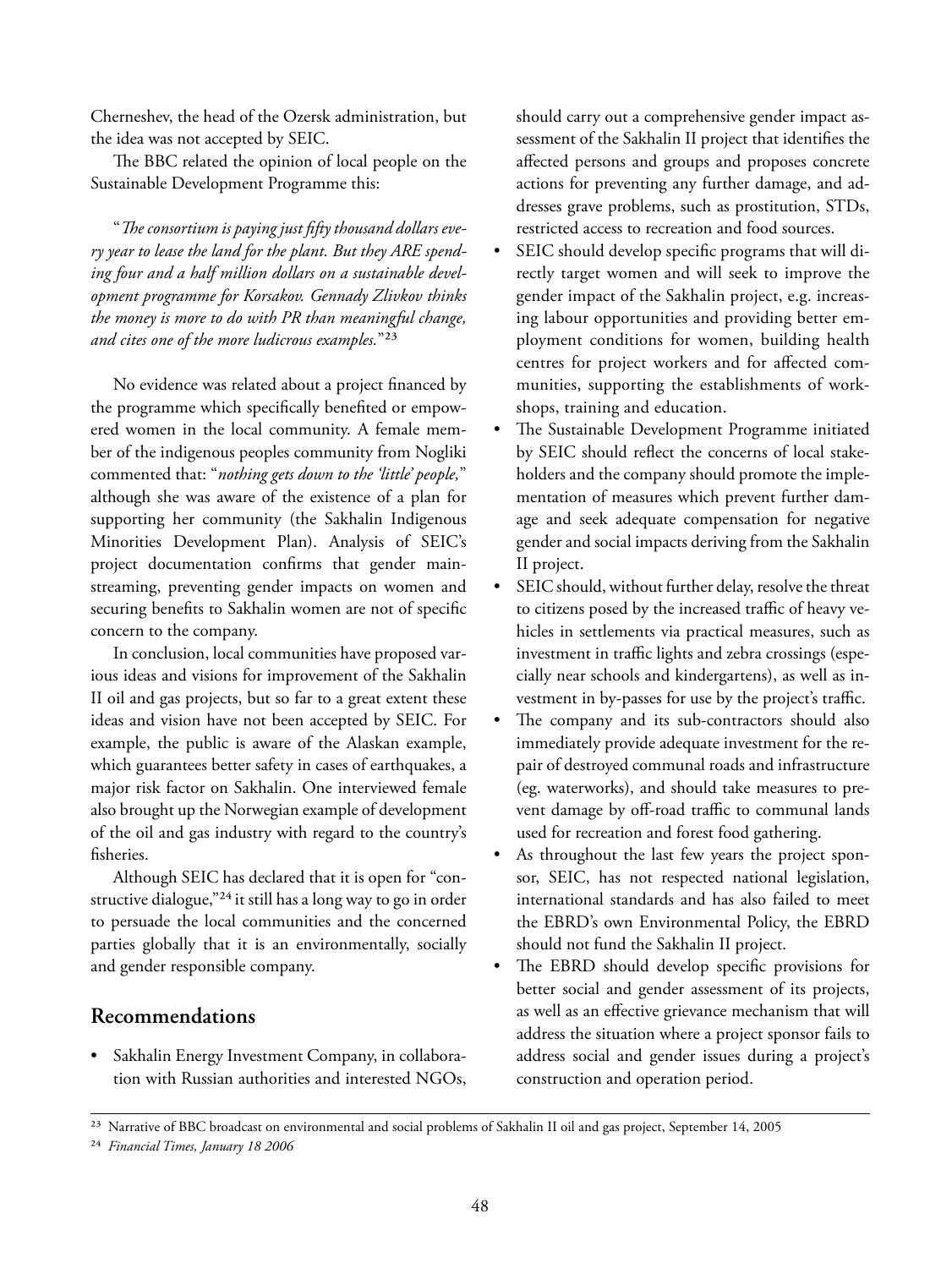Cherneshev, the head of the Ozersk administration, but the idea was not accepted by SEIC.

The BBC related the opinion of local people on the Sustainable Development Programme this:

" The consortium is paying just fifty thousand dollars eve*ry year to lease the land for the plant. But they ARE spending four and a half million dollars on a sustainable development programme for Korsakov. Gennady Zlivkov thinks the money is more to do with PR than meaningful change,*  and cites one of the more *ludicrous* examples."<sup>23</sup>

No evidence was related about a project financed by the programme which specifically benefited or empowered women in the local community. A female member of the indigenous peoples community from Nogliki commented that: "*nothing gets down to the 'little' people,*" although she was aware of the existence of a plan for supporting her community (the Sakhalin Indigenous Minorities Development Plan). Analysis of SEIC's project documentation confirms that gender mainstreaming, preventing gender impacts on women and securing benefits to Sakhalin women are not of specific concern to the company.

In conclusion, local communities have proposed various ideas and visions for improvement of the Sakhalin II oil and gas projects, but so far to a great extent these ideas and vision have not been accepted by SEIC. For example, the public is aware of the Alaskan example, which guarantees better safety in cases of earthquakes, a major risk factor on Sakhalin. One interviewed female also brought up the Norwegian example of development of the oil and gas industry with regard to the country's fisheries.

Although SEIC has declared that it is open for "constructive dialogue,"<sup>24</sup> it still has a long way to go in order to persuade the local communities and the concerned parties globally that it is an environmentally, socially and gender responsible company.

#### **Recommendations**

• Sakhalin Energy Investment Company, in collaboration with Russian authorities and interested NGOs, should carry out a comprehensive gender impact assessment of the Sakhalin II project that identifies the affected persons and groups and proposes concrete actions for preventing any further damage, and addresses grave problems, such as prostitution, STDs, restricted access to recreation and food sources.

- SEIC should develop specific programs that will directly target women and will seek to improve the gender impact of the Sakhalin project, e.g. increasing labour opportunities and providing better employment conditions for women, building health centres for project workers and for affected communities, supporting the establishments of workshops, training and education.
- The Sustainable Development Programme initiated by SEIC should reflect the concerns of local stakeholders and the company should promote the implementation of measures which prevent further damage and seek adequate compensation for negative gender and social impacts deriving from the Sakhalin II project.
- SEIC should, without further delay, resolve the threat to citizens posed by the increased traffic of heavy vehicles in settlements via practical measures, such as investment in traffic lights and zebra crossings (especially near schools and kindergartens), as well as investment in by-passes for use by the project's traffic.
- The company and its sub-contractors should also immediately provide adequate investment for the repair of destroyed communal roads and infrastructure (eg. waterworks), and should take measures to prevent damage by off-road traffic to communal lands used for recreation and forest food gathering.
- As throughout the last few years the project sponsor, SEIC, has not respected national legislation, international standards and has also failed to meet the EBRD's own Environmental Policy, the EBRD should not fund the Sakhalin II project.
- The EBRD should develop specific provisions for better social and gender assessment of its projects, as well as an effective grievance mechanism that will address the situation where a project sponsor fails to address social and gender issues during a project's construction and operation period.

<sup>&</sup>lt;sup>23</sup> Narrative of BBC broadcast on environmental and social problems of Sakhalin II oil and gas project, September 14, 2005

²⁴ *Financial Times, January 18 2006*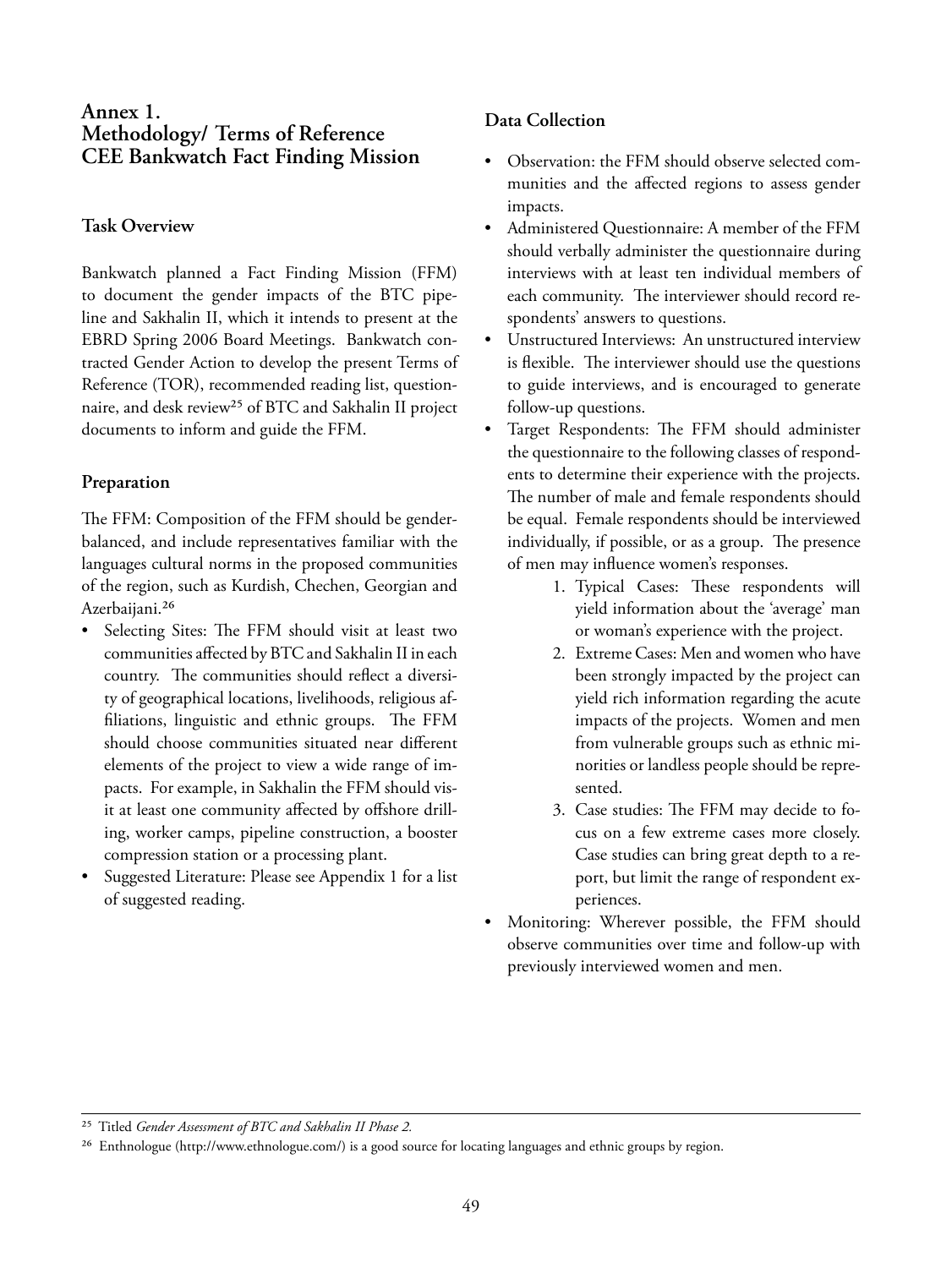#### **Annex 1. Methodology/ Terms of Reference CEE Bankwatch Fact Finding Mission**

#### **Task Overview**

Bankwatch planned a Fact Finding Mission (FFM) to document the gender impacts of the BTC pipeline and Sakhalin II, which it intends to present at the EBRD Spring 2006 Board Meetings. Bankwatch contracted Gender Action to develop the present Terms of Reference (TOR), recommended reading list, questionnaire, and desk review<sup>25</sup> of BTC and Sakhalin II project documents to inform and guide the FFM.

#### **Preparation**

The FFM: Composition of the FFM should be genderbalanced, and include representatives familiar with the languages cultural norms in the proposed communities of the region, such as Kurdish, Chechen, Georgian and Azerbaijani.<sup>26</sup>

- Selecting Sites: The FFM should visit at least two communities affected by BTC and Sakhalin II in each country. The communities should reflect a diversity of geographical locations, livelihoods, religious affiliations, linguistic and ethnic groups. The FFM should choose communities situated near different elements of the project to view a wide range of impacts. For example, in Sakhalin the FFM should visit at least one community affected by offshore drilling, worker camps, pipeline construction, a booster compression station or a processing plant.
- Suggested Literature: Please see Appendix 1 for a list of suggested reading.

#### **Data Collection**

- Observation: the FFM should observe selected communities and the affected regions to assess gender impacts.
- Administered Questionnaire: A member of the FFM should verbally administer the questionnaire during interviews with at least ten individual members of each community. The interviewer should record respondents' answers to questions.
- Unstructured Interviews: An unstructured interview is flexible. The interviewer should use the questions to guide interviews, and is encouraged to generate follow-up questions.
- Target Respondents: The FFM should administer the questionnaire to the following classes of respondents to determine their experience with the projects. The number of male and female respondents should be equal. Female respondents should be interviewed individually, if possible, or as a group. The presence of men may influence women's responses.
	- 1. Typical Cases: These respondents will yield information about the 'average' man or woman's experience with the project.
	- 2. Extreme Cases: Men and women who have been strongly impacted by the project can yield rich information regarding the acute impacts of the projects. Women and men from vulnerable groups such as ethnic minorities or landless people should be represented.
	- 3. Case studies: The FFM may decide to focus on a few extreme cases more closely. Case studies can bring great depth to a report, but limit the range of respondent experiences.
- Monitoring: Wherever possible, the FFM should observe communities over time and follow-up with previously interviewed women and men.

<sup>25</sup> Titled *Gender Assessment of BTC and Sakhalin II Phase 2*.

<sup>&</sup>lt;sup>26</sup> Enthnologue (http://www.ethnologue.com/) is a good source for locating languages and ethnic groups by region.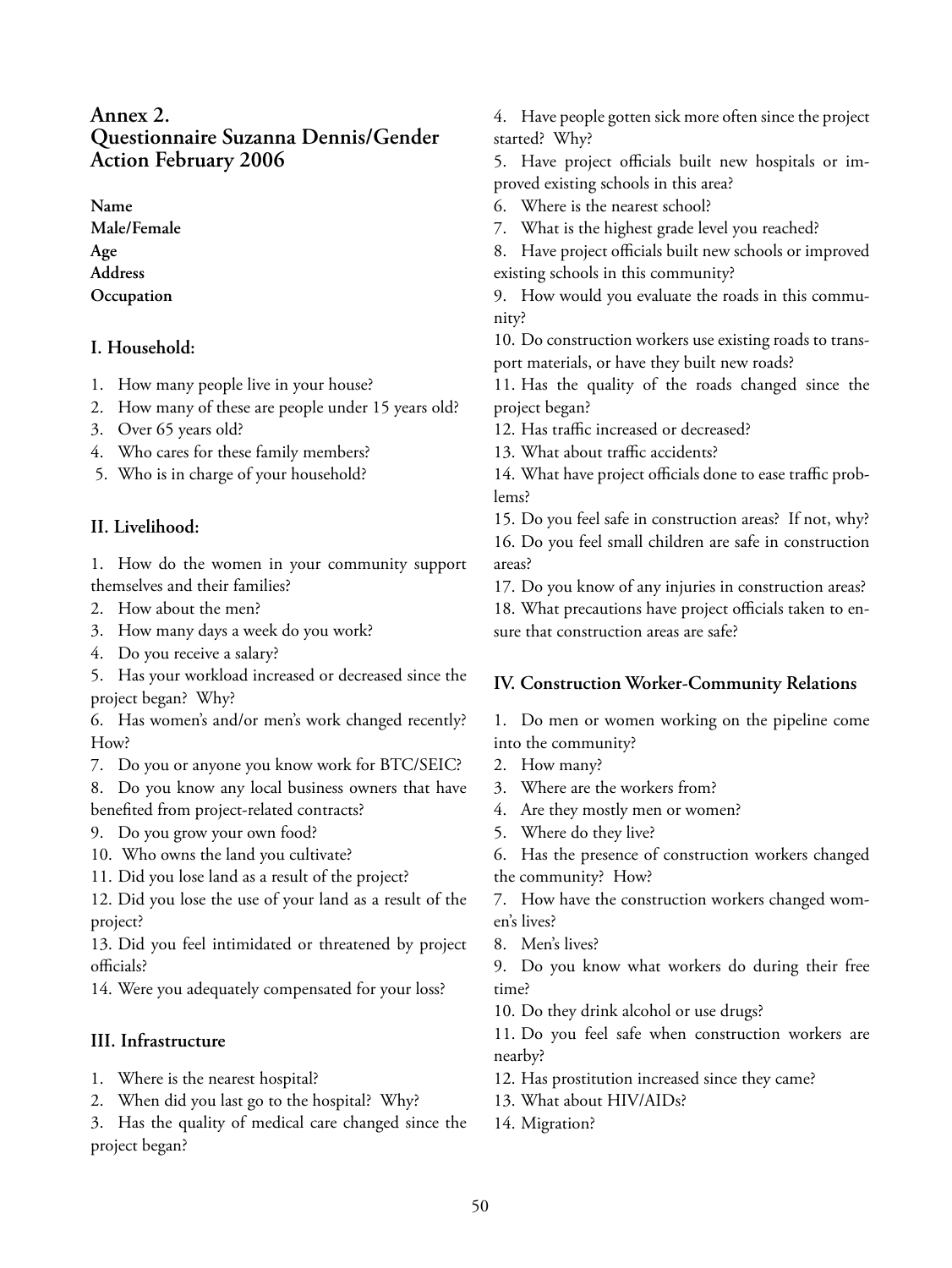#### **Annex 2. Questionnaire Suzanna Dennis/Gender Action February 2006**

**Name Male/Female Age Address Occupation**

#### **I. Household:**

- 1. How many people live in your house?
- 2. How many of these are people under 15 years old?
- 3. Over 65 years old?
- 4. Who cares for these family members?
- 5. Who is in charge of your household?

#### **II. Livelihood:**

1. How do the women in your community support themselves and their families?

- 2. How about the men?
- 3. How many days a week do you work?
- 4. Do you receive a salary?

5. Has your workload increased or decreased since the project began? Why?

6. Has women's and/or men's work changed recently? How?

7. Do you or anyone you know work for BTC/SEIC?

8. Do you know any local business owners that have benefited from project-related contracts?

- 9. Do you grow your own food?
- 10. Who owns the land you cultivate?
- 11. Did you lose land as a result of the project?

12. Did you lose the use of your land as a result of the project?

13. Did you feel intimidated or threatened by project officials?

14. Were you adequately compensated for your loss?

#### **III. Infrastructure**

- 1. Where is the nearest hospital?
- 2. When did you last go to the hospital? Why?

3. Has the quality of medical care changed since the project began?

4. Have people gotten sick more often since the project started? Why?

5. Have project officials built new hospitals or improved existing schools in this area?

- 6. Where is the nearest school?
- 7. What is the highest grade level you reached?

8. Have project officials built new schools or improved existing schools in this community?

9. How would you evaluate the roads in this community?

10. Do construction workers use existing roads to transport materials, or have they built new roads?

11. Has the quality of the roads changed since the project began?

12. Has traffic increased or decreased?

13. What about traffic accidents?

14. What have project officials done to ease traffic problems?

15. Do you feel safe in construction areas? If not, why? 16. Do you feel small children are safe in construction areas?

17. Do you know of any injuries in construction areas? 18. What precautions have project officials taken to ensure that construction areas are safe?

#### **IV. Construction Worker-Community Relations**

1. Do men or women working on the pipeline come into the community?

- 2. How many?
- 3. Where are the workers from?
- 4. Are they mostly men or women?
- 5. Where do they live?
- 6. Has the presence of construction workers changed the community? How?

7. How have the construction workers changed women's lives?

8. Men's lives?

9. Do you know what workers do during their free time?

10. Do they drink alcohol or use drugs?

11. Do you feel safe when construction workers are nearby?

- 12. Has prostitution increased since they came?
- 13. What about HIV/AIDs?
- 14. Migration?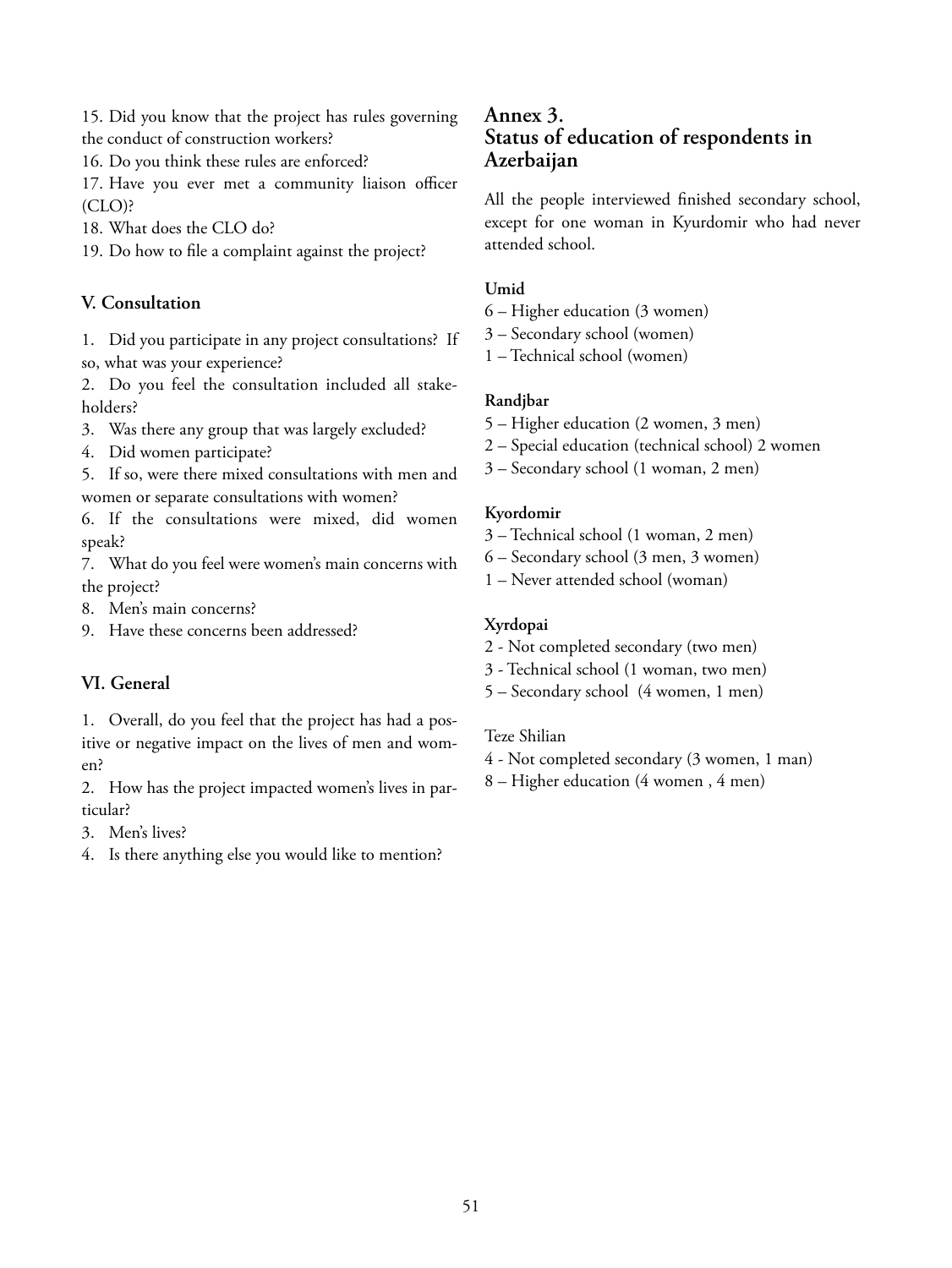15. Did you know that the project has rules governing the conduct of construction workers?

16. Do you think these rules are enforced?

17. Have you ever met a community liaison officer (CLO)?

18. What does the CLO do?

19. Do how to file a complaint against the project?

#### **V. Consultation**

1. Did you participate in any project consultations? If so, what was your experience?

2. Do you feel the consultation included all stakeholders?

3. Was there any group that was largely excluded?

4. Did women participate?

5. If so, were there mixed consultations with men and women or separate consultations with women?

6. If the consultations were mixed, did women speak?

7. What do you feel were women's main concerns with the project?

8. Men's main concerns?

9. Have these concerns been addressed?

#### **VI. General**

1. Overall, do you feel that the project has had a positive or negative impact on the lives of men and women?

2. How has the project impacted women's lives in particular?

3. Men's lives?

4. Is there anything else you would like to mention?

#### **Annex 3. Status of education of respondents in Azerbaijan**

All the people interviewed finished secondary school, except for one woman in Kyurdomir who had never attended school.

#### **Umid**

6 – Higher education (3 women)

3 – Secondary school (women)

1 – Technical school (women)

#### **Randjbar**

- 5 Higher education (2 women, 3 men)
- 2 Special education (technical school) 2 women
- 3 Secondary school (1 woman, 2 men)

#### **Kyordomir**

- 3 Technical school (1 woman, 2 men)
- 6 Secondary school (3 men, 3 women)
- 1 Never attended school (woman)

#### **Xyrdopai**

- 2 Not completed secondary (two men)
- 3 Technical school (1 woman, two men)
- 5 Secondary school (4 women, 1 men)

#### Teze Shilian

- 4 Not completed secondary (3 women, 1 man)
- 8 Higher education (4 women , 4 men)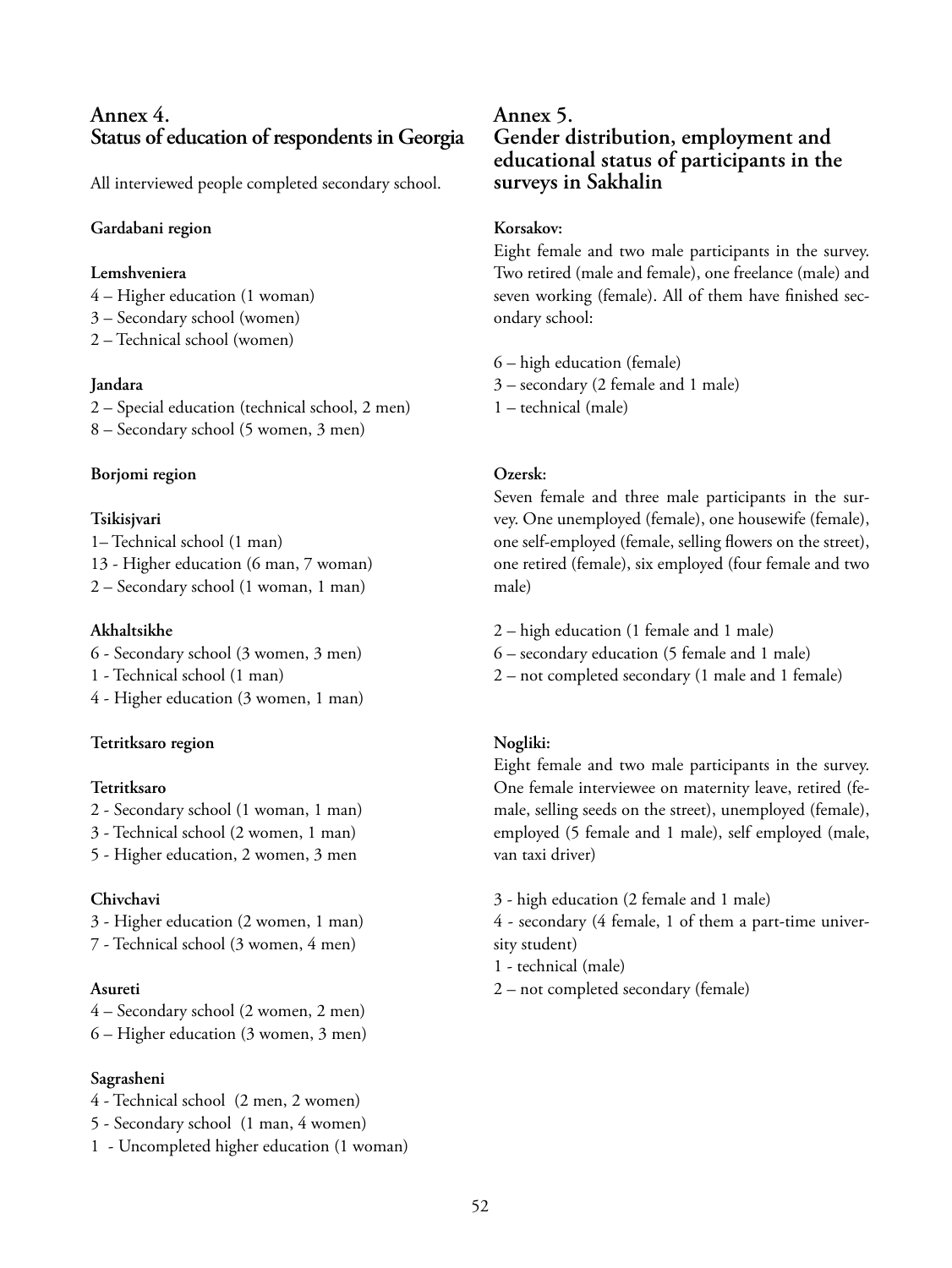#### **Annex 4. Status of education of respondents in Georgia**

All interviewed people completed secondary school.

#### **Gardabani region**

#### **Lemshveniera**

- 4 Higher education (1 woman)
- 3 Secondary school (women)
- 2 Technical school (women)

#### **Jandara**

2 – Special education (technical school, 2 men) 8 – Secondary school (5 women, 3 men)

#### **Borjomi region**

#### **Tsikisjvari**

1– Technical school (1 man) 13 - Higher education (6 man, 7 woman) 2 – Secondary school (1 woman, 1 man)

#### **Akhaltsikhe**

- 6 Secondary school (3 women, 3 men)
- 1 Technical school (1 man)
- 4 Higher education (3 women, 1 man)

#### **Tetritksaro region**

#### **Tetritksaro**

- 2 Secondary school (1 woman, 1 man)
- 3 Technical school (2 women, 1 man)
- 5 Higher education, 2 women, 3 men

#### **Chivchavi**

- 3 Higher education (2 women, 1 man)
- 7 Technical school (3 women, 4 men)

#### **Asureti**

- 4 Secondary school (2 women, 2 men)
- 6 Higher education (3 women, 3 men)

#### **Sagrasheni**

- 4 Technical school (2 men, 2 women)
- 5 Secondary school (1 man, 4 women)
- 1 Uncompleted higher education (1 woman)

#### **Annex 5. Gender distribution, employment and educational status of participants in the surveys in Sakhalin**

#### **Korsakov:**

Eight female and two male participants in the survey. Two retired (male and female), one freelance (male) and seven working (female). All of them have finished secondary school:

- 6 high education (female)
- 3 secondary (2 female and 1 male)
- 1 technical (male)

#### **Ozersk:**

Seven female and three male participants in the survey. One unemployed (female), one housewife (female), one self-employed (female, selling flowers on the street), one retired (female), six employed (four female and two male)

- 2 high education (1 female and 1 male)
- 6 secondary education (5 female and 1 male)
- 2 not completed secondary (1 male and 1 female)

#### **Nogliki:**

Eight female and two male participants in the survey. One female interviewee on maternity leave, retired (female, selling seeds on the street), unemployed (female), employed (5 female and 1 male), self employed (male, van taxi driver)

- 3 high education (2 female and 1 male)
- 4 secondary (4 female, 1 of them a part-time university student)
- 1 technical (male)
- 2 not completed secondary (female)